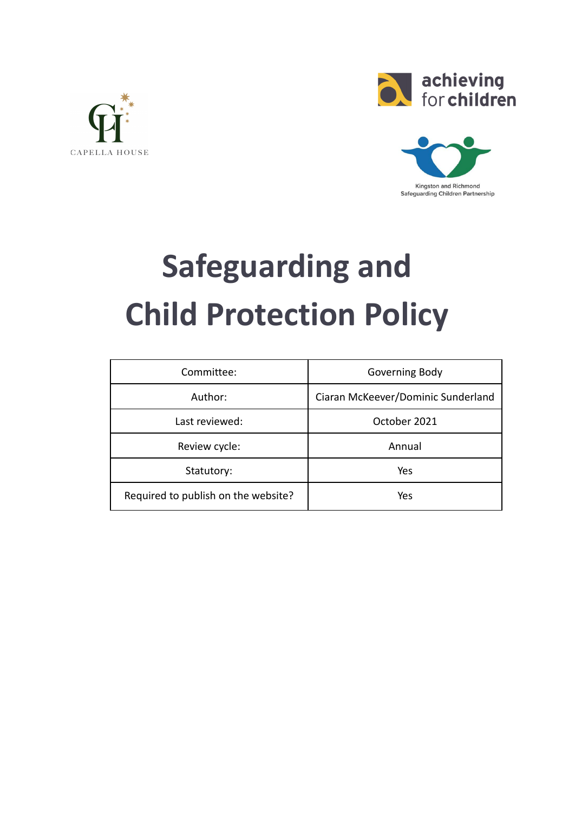





# **Safeguarding and Child Protection Policy**

| Committee:                          | Governing Body                     |  |
|-------------------------------------|------------------------------------|--|
| Author:                             | Ciaran McKeever/Dominic Sunderland |  |
| Last reviewed:                      | October 2021                       |  |
| Review cycle:                       | Annual                             |  |
| Statutory:                          | Yes                                |  |
| Required to publish on the website? | Yes                                |  |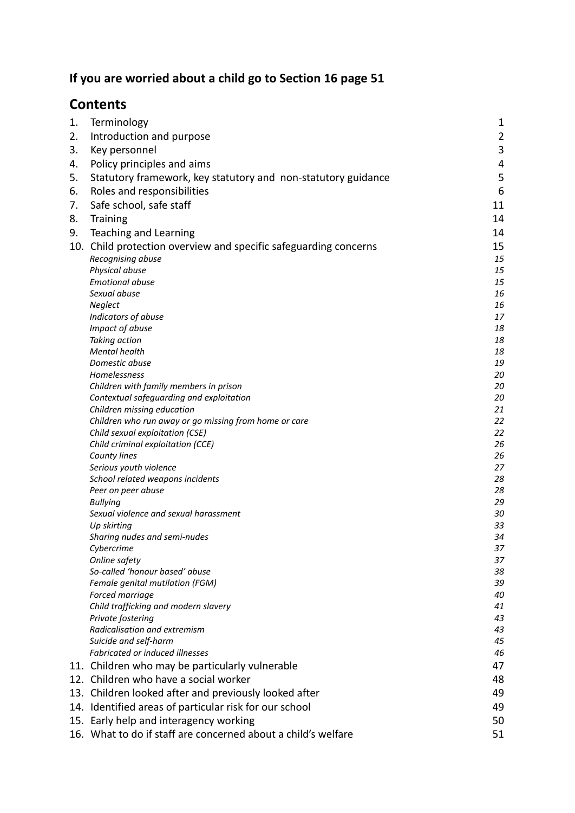# **If you are worried about a child go to Section 16 page 51**

# **Contents**

| 1. | Terminology                                                      | $\mathbf{1}$   |
|----|------------------------------------------------------------------|----------------|
| 2. | Introduction and purpose                                         | $\overline{2}$ |
| 3. | Key personnel                                                    | 3              |
| 4. | Policy principles and aims                                       | 4              |
| 5. | Statutory framework, key statutory and non-statutory guidance    | 5              |
|    |                                                                  |                |
| 6. | Roles and responsibilities                                       | 6              |
| 7. | Safe school, safe staff                                          | 11             |
| 8. | Training                                                         | 14             |
| 9. | Teaching and Learning                                            | 14             |
|    | 10. Child protection overview and specific safeguarding concerns | 15             |
|    | Recognising abuse                                                | 15             |
|    | Physical abuse                                                   | 15             |
|    | <b>Emotional abuse</b>                                           | 15             |
|    | Sexual abuse                                                     | 16             |
|    | Neglect                                                          | 16             |
|    | Indicators of abuse                                              | 17             |
|    | Impact of abuse                                                  | 18             |
|    | Taking action                                                    | 18             |
|    | Mental health                                                    | 18             |
|    | Domestic abuse                                                   | 19             |
|    | Homelessness<br>Children with family members in prison           | 20<br>20       |
|    | Contextual safeguarding and exploitation                         | 20             |
|    | Children missing education                                       | 21             |
|    | Children who run away or go missing from home or care            | 22             |
|    | Child sexual exploitation (CSE)                                  | 22             |
|    | Child criminal exploitation (CCE)                                | 26             |
|    | County lines                                                     | 26             |
|    | Serious youth violence                                           | 27             |
|    | School related weapons incidents                                 | 28             |
|    | Peer on peer abuse                                               | 28             |
|    | <b>Bullying</b>                                                  | 29             |
|    | Sexual violence and sexual harassment                            | 30             |
|    | Up skirting                                                      | 33             |
|    | Sharing nudes and semi-nudes                                     | 34             |
|    | Cybercrime                                                       | 37             |
|    | Online safety                                                    | 37             |
|    | So-called 'honour based' abuse                                   | 38             |
|    | Female genital mutilation (FGM)                                  | 39<br>40       |
|    | Forced marriage<br>Child trafficking and modern slavery          | 41             |
|    | Private fostering                                                | 43             |
|    | Radicalisation and extremism                                     | 43             |
|    | Suicide and self-harm                                            | 45             |
|    | Fabricated or induced illnesses                                  | 46             |
|    | 11. Children who may be particularly vulnerable                  | 47             |
|    | 12. Children who have a social worker                            | 48             |
|    |                                                                  | 49             |
|    | 13. Children looked after and previously looked after            |                |
|    | 14. Identified areas of particular risk for our school           | 49             |
|    | 15. Early help and interagency working                           | 50             |
|    | 16. What to do if staff are concerned about a child's welfare    | 51             |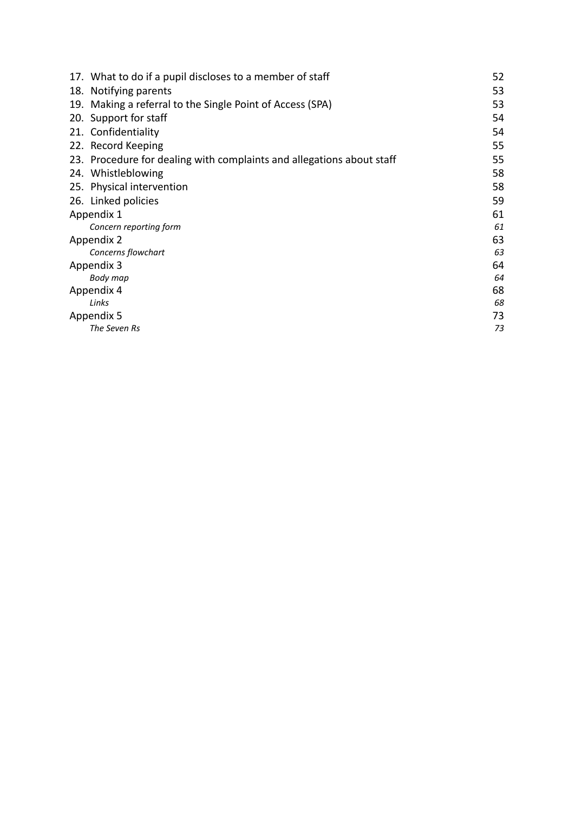| 17. What to do if a pupil discloses to a member of staff              | 52 |
|-----------------------------------------------------------------------|----|
| 18. Notifying parents                                                 | 53 |
| 19. Making a referral to the Single Point of Access (SPA)             | 53 |
| 20. Support for staff                                                 | 54 |
| 21. Confidentiality                                                   | 54 |
| 22. Record Keeping                                                    | 55 |
| 23. Procedure for dealing with complaints and allegations about staff | 55 |
| 24. Whistleblowing                                                    | 58 |
| 25. Physical intervention                                             | 58 |
| 26. Linked policies                                                   | 59 |
| Appendix 1                                                            | 61 |
| Concern reporting form                                                | 61 |
| Appendix 2                                                            | 63 |
| Concerns flowchart                                                    | 63 |
| Appendix 3                                                            | 64 |
| Body map                                                              | 64 |
| Appendix 4                                                            | 68 |
| Links                                                                 | 68 |
| Appendix 5                                                            | 73 |
| The Seven Rs                                                          | 73 |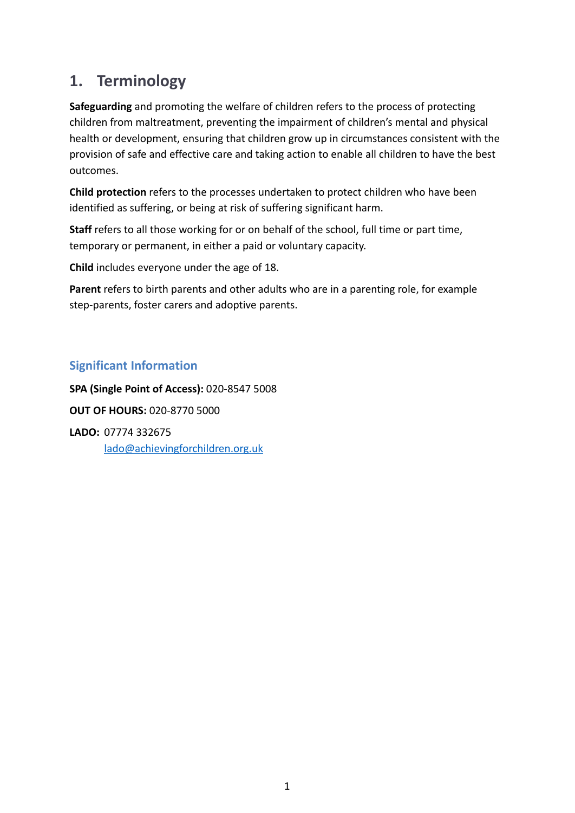# <span id="page-3-0"></span>**1. Terminology**

**Safeguarding** and promoting the welfare of children refers to the process of protecting children from maltreatment, preventing the impairment of children's mental and physical health or development, ensuring that children grow up in circumstances consistent with the provision of safe and effective care and taking action to enable all children to have the best outcomes.

**Child protection** refers to the processes undertaken to protect children who have been identified as suffering, or being at risk of suffering significant harm.

**Staff** refers to all those working for or on behalf of the school, full time or part time, temporary or permanent, in either a paid or voluntary capacity.

**Child** includes everyone under the age of 18.

**Parent** refers to birth parents and other adults who are in a parenting role, for example step-parents, foster carers and adoptive parents.

### **Significant Information**

**SPA (Single Point of Access):** 020-8547 5008 **OUT OF HOURS:** 020-8770 5000 **LADO:** 07774 332675 [lado@achievingforchildren.org.uk](mailto:lado@achievingforchildren.org.uk)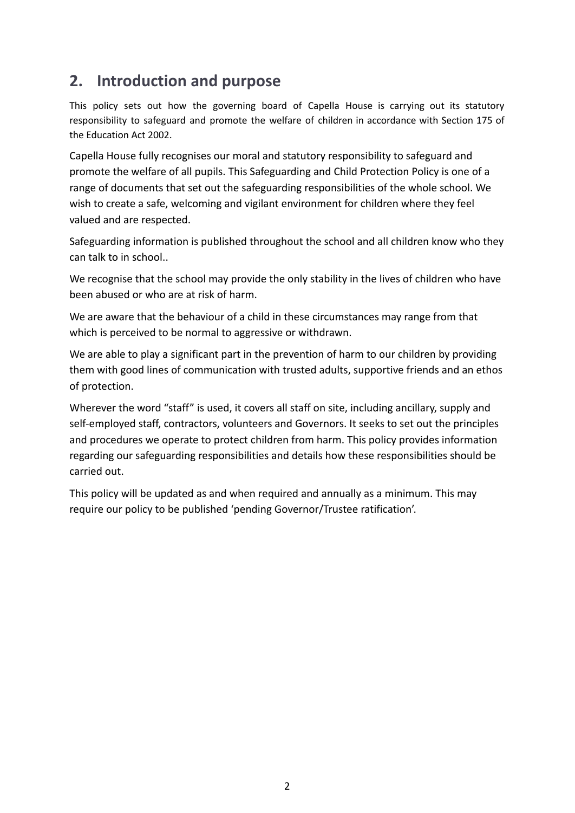# <span id="page-4-0"></span>**2. Introduction and purpose**

This policy sets out how the governing board of Capella House is carrying out its statutory responsibility to safeguard and promote the welfare of children in accordance with Section 175 of the Education Act 2002.

Capella House fully recognises our moral and statutory responsibility to safeguard and promote the welfare of all pupils. This Safeguarding and Child Protection Policy is one of a range of documents that set out the safeguarding responsibilities of the whole school. We wish to create a safe, welcoming and vigilant environment for children where they feel valued and are respected.

Safeguarding information is published throughout the school and all children know who they can talk to in school..

We recognise that the school may provide the only stability in the lives of children who have been abused or who are at risk of harm.

We are aware that the behaviour of a child in these circumstances may range from that which is perceived to be normal to aggressive or withdrawn.

We are able to play a significant part in the prevention of harm to our children by providing them with good lines of communication with trusted adults, supportive friends and an ethos of protection.

Wherever the word "staff" is used, it covers all staff on site, including ancillary, supply and self-employed staff, contractors, volunteers and Governors. It seeks to set out the principles and procedures we operate to protect children from harm. This policy provides information regarding our safeguarding responsibilities and details how these responsibilities should be carried out.

This policy will be updated as and when required and annually as a minimum. This may require our policy to be published 'pending Governor/Trustee ratification'.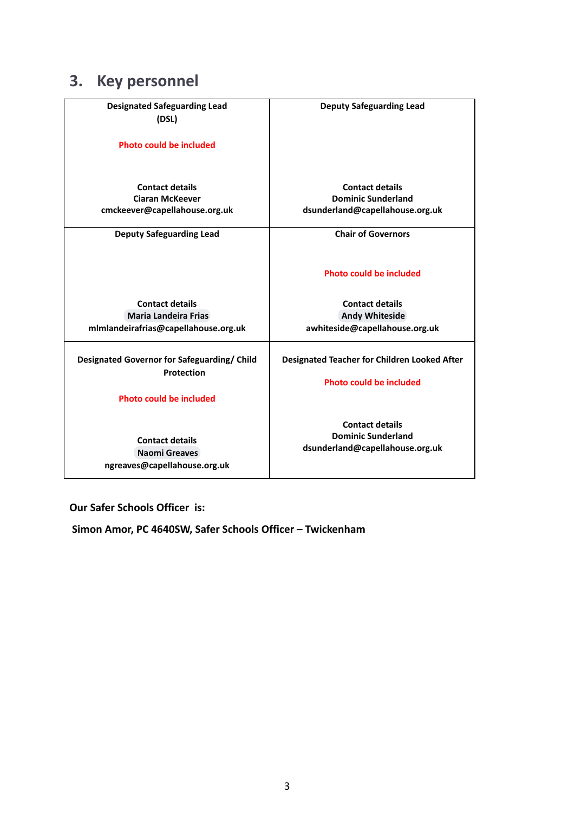# <span id="page-5-0"></span>**3. Key personnel**

| <b>Designated Safeguarding Lead</b>         | <b>Deputy Safeguarding Lead</b>                     |
|---------------------------------------------|-----------------------------------------------------|
| (DSL)                                       |                                                     |
|                                             |                                                     |
| <b>Photo could be included</b>              |                                                     |
|                                             |                                                     |
|                                             |                                                     |
|                                             |                                                     |
| <b>Contact details</b>                      | <b>Contact details</b>                              |
| <b>Ciaran McKeever</b>                      | <b>Dominic Sunderland</b>                           |
| cmckeever@capellahouse.org.uk               | dsunderland@capellahouse.org.uk                     |
|                                             |                                                     |
| <b>Deputy Safeguarding Lead</b>             | <b>Chair of Governors</b>                           |
|                                             |                                                     |
|                                             |                                                     |
|                                             | Photo could be included                             |
|                                             |                                                     |
|                                             |                                                     |
| <b>Contact details</b>                      | <b>Contact details</b>                              |
| Maria Landeira Frias                        | Andy Whiteside                                      |
| mlmlandeirafrias@capellahouse.org.uk        | awhiteside@capellahouse.org.uk                      |
|                                             |                                                     |
| Designated Governor for Safeguarding/ Child | <b>Designated Teacher for Children Looked After</b> |
| Protection                                  |                                                     |
|                                             | Photo could be included                             |
|                                             |                                                     |
| <b>Photo could be included</b>              |                                                     |
|                                             |                                                     |
|                                             | <b>Contact details</b>                              |
| <b>Contact details</b>                      | <b>Dominic Sunderland</b>                           |
| <b>Naomi Greaves</b>                        | dsunderland@capellahouse.org.uk                     |
| ngreaves@capellahouse.org.uk                |                                                     |
|                                             |                                                     |

### **Our Safer Schools Officer is:**

**Simon Amor, PC 4640SW, Safer Schools Officer – Twickenham**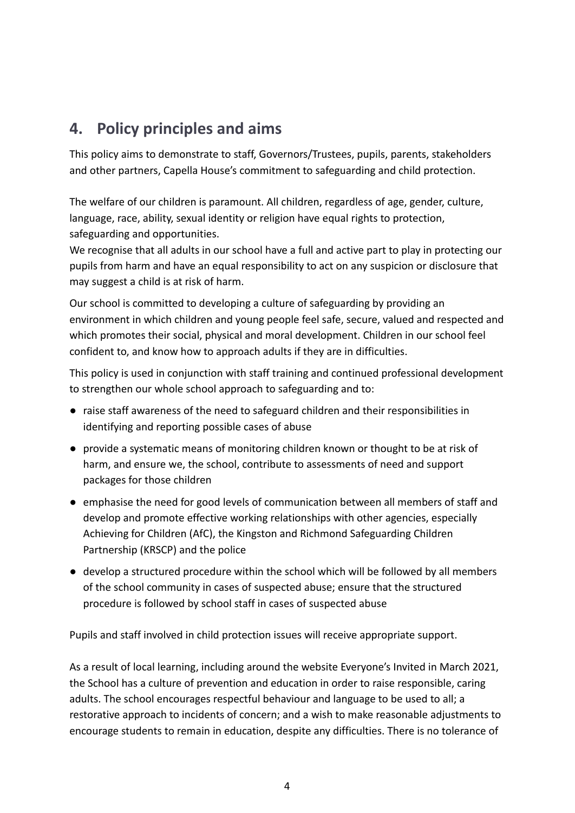# <span id="page-6-0"></span>**4. Policy principles and aims**

This policy aims to demonstrate to staff, Governors/Trustees, pupils, parents, stakeholders and other partners, Capella House's commitment to safeguarding and child protection.

The welfare of our children is paramount. All children, regardless of age, gender, culture, language, race, ability, sexual identity or religion have equal rights to protection, safeguarding and opportunities.

We recognise that all adults in our school have a full and active part to play in protecting our pupils from harm and have an equal responsibility to act on any suspicion or disclosure that may suggest a child is at risk of harm.

Our school is committed to developing a culture of safeguarding by providing an environment in which children and young people feel safe, secure, valued and respected and which promotes their social, physical and moral development. Children in our school feel confident to, and know how to approach adults if they are in difficulties.

This policy is used in conjunction with staff training and continued professional development to strengthen our whole school approach to safeguarding and to:

- raise staff awareness of the need to safeguard children and their responsibilities in identifying and reporting possible cases of abuse
- provide a systematic means of monitoring children known or thought to be at risk of harm, and ensure we, the school, contribute to assessments of need and support packages for those children
- emphasise the need for good levels of communication between all members of staff and develop and promote effective working relationships with other agencies, especially Achieving for Children (AfC), the Kingston and Richmond Safeguarding Children Partnership (KRSCP) and the police
- develop a structured procedure within the school which will be followed by all members of the school community in cases of suspected abuse; ensure that the structured procedure is followed by school staff in cases of suspected abuse

Pupils and staff involved in child protection issues will receive appropriate support.

As a result of local learning, including around the website Everyone's Invited in March 2021, the School has a culture of prevention and education in order to raise responsible, caring adults. The school encourages respectful behaviour and language to be used to all; a restorative approach to incidents of concern; and a wish to make reasonable adjustments to encourage students to remain in education, despite any difficulties. There is no tolerance of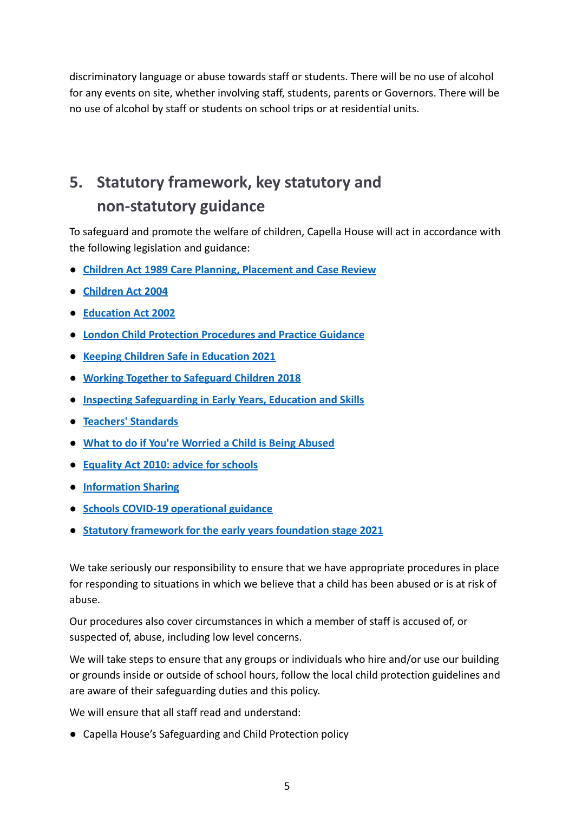discriminatory language or abuse towards staff or students. There will be no use of alcohol for any events on site, whether involving staff, students, parents or Governors. There will be no use of alcohol by staff or students on school trips or at residential units.

# <span id="page-7-0"></span>**5. Statutory framework, key statutory and non-statutory guidance**

To safeguard and promote the welfare of children, Capella House will act in accordance with the following legislation and guidance:

- **● [Children Act 1989 Care Planning, Placement and Case Review](https://www.gov.uk/government/publications/children-act-1989-care-planning-placement-and-case-review)**
- **● [Children Act 2004](http://www.legislation.gov.uk/ukpga/2004/31/contents)**
- **● [Education Act 2002](http://www.legislation.gov.uk/ukpga/2002/32/section/175)**
- **● [London Child Protection Procedures and Practice Guidance](http://www.londoncp.co.uk/)**
- **● [Keeping Children Safe in Education 2021](https://www.gov.uk/government/publications/keeping-children-safe-in-education--2)**
- **● [Working Together to Safeguard Children 2018](https://www.gov.uk/government/publications/working-together-to-safeguard-children--2)**
- **● [Inspecting Safeguarding in Early Years, Education and Skills](https://www.gov.uk/government/publications/inspecting-safeguarding-in-early-years-education-and-skills/inspecting-safeguarding-in-early-years-education-and-skills)**
- **● [Teachers' Standards](https://www.gov.uk/government/publications/teachers-standards)**
- **● [What to do if You're Worried a Child is Being Abused](https://www.gov.uk/government/publications/what-to-do-if-youre-worried-a-child-is-being-abused--2)**
- **● [Equality Act 2010: advice for schools](https://www.gov.uk/government/publications/equality-act-2010-advice-for-schools)**
- **● [Information Sharing](https://www.gov.uk/government/publications/safeguarding-practitioners-information-sharing-advice)**
- **● [Schools COVID-19 operational guidance](https://www.gov.uk/government/publications/actions-for-schools-during-the-coronavirus-outbreak/schools-covid-19-operational-guidance)**
- **● [Statutory framework for the early years foundation stage 2021](https://www.gov.uk/government/publications/early-years-foundation-stage-framework--2)**

We take seriously our responsibility to ensure that we have appropriate procedures in place for responding to situations in which we believe that a child has been abused or is at risk of abuse.

Our procedures also cover circumstances in which a member of staff is accused of, or suspected of, abuse, including low level concerns.

We will take steps to ensure that any groups or individuals who hire and/or use our building or grounds inside or outside of school hours, follow the local child protection guidelines and are aware of their safeguarding duties and this policy.

We will ensure that all staff read and understand:

● Capella House's Safeguarding and Child Protection policy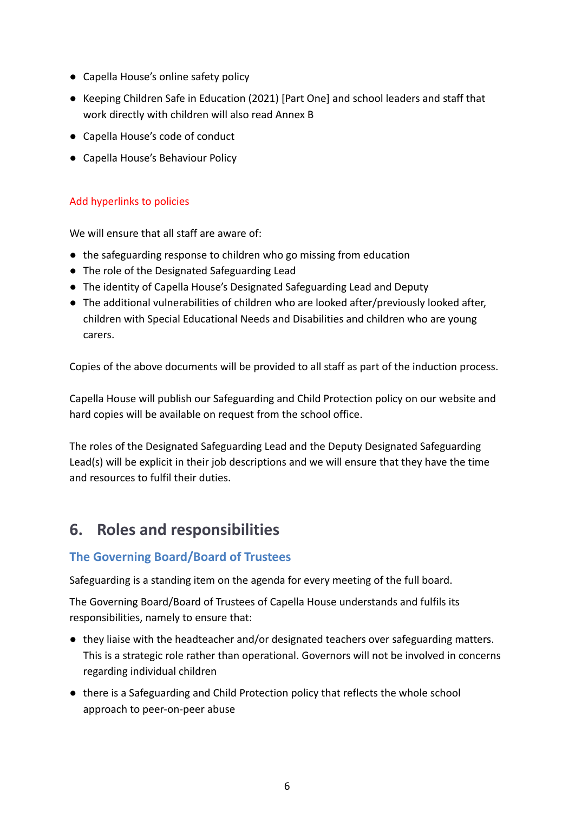- Capella House's online safety policy
- Keeping Children Safe in Education (2021) [Part One] and school leaders and staff that work directly with children will also read Annex B
- Capella House's code of conduct
- Capella House's Behaviour Policy

### Add hyperlinks to policies

We will ensure that all staff are aware of:

- the safeguarding response to children who go missing from education
- The role of the Designated Safeguarding Lead
- The identity of Capella House's Designated Safeguarding Lead and Deputy
- The additional vulnerabilities of children who are looked after/previously looked after, children with Special Educational Needs and Disabilities and children who are young carers.

Copies of the above documents will be provided to all staff as part of the induction process.

Capella House will publish our Safeguarding and Child Protection policy on our website and hard copies will be available on request from the school office.

The roles of the Designated Safeguarding Lead and the Deputy Designated Safeguarding Lead(s) will be explicit in their job descriptions and we will ensure that they have the time and resources to fulfil their duties.

# <span id="page-8-0"></span>**6. Roles and responsibilities**

### **The Governing Board/Board of Trustees**

Safeguarding is a standing item on the agenda for every meeting of the full board.

The Governing Board/Board of Trustees of Capella House understands and fulfils its responsibilities, namely to ensure that:

- they liaise with the headteacher and/or designated teachers over safeguarding matters. This is a strategic role rather than operational. Governors will not be involved in concerns regarding individual children
- there is a Safeguarding and Child Protection policy that reflects the whole school approach to peer-on-peer abuse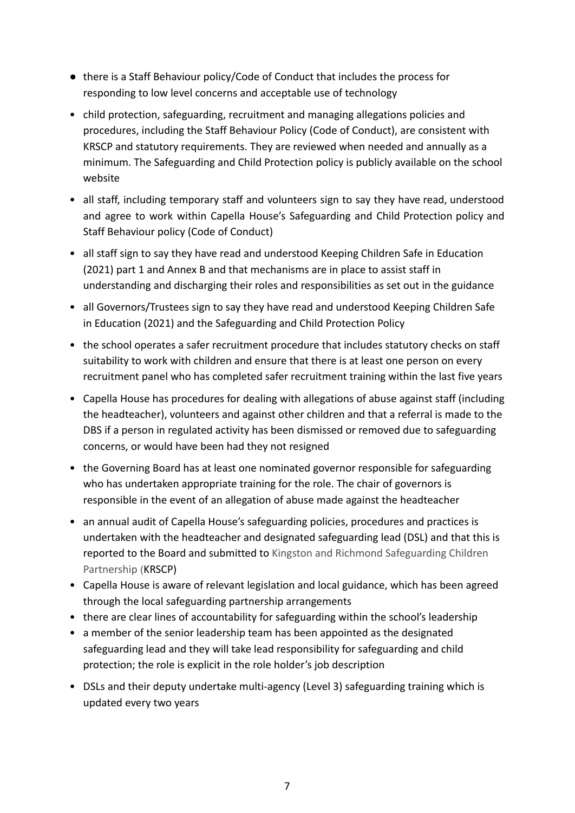- there is a Staff Behaviour policy/Code of Conduct that includes the process for responding to low level concerns and acceptable use of technology
- child protection, safeguarding, recruitment and managing allegations policies and procedures, including the Staff Behaviour Policy (Code of Conduct), are consistent with KRSCP and statutory requirements. They are reviewed when needed and annually as a minimum. The Safeguarding and Child Protection policy is publicly available on the school website
- all staff, including temporary staff and volunteers sign to say they have read, understood and agree to work within Capella House's Safeguarding and Child Protection policy and Staff Behaviour policy (Code of Conduct)
- all staff sign to say they have read and understood Keeping Children Safe in Education (2021) part 1 and Annex B and that mechanisms are in place to assist staff in understanding and discharging their roles and responsibilities as set out in the guidance
- all Governors/Trustees sign to say they have read and understood Keeping Children Safe in Education (2021) and the Safeguarding and Child Protection Policy
- the school operates a safer recruitment procedure that includes statutory checks on staff suitability to work with children and ensure that there is at least one person on every recruitment panel who has completed safer recruitment training within the last five years
- Capella House has procedures for dealing with allegations of abuse against staff (including the headteacher), volunteers and against other children and that a referral is made to the DBS if a person in regulated activity has been dismissed or removed due to safeguarding concerns, or would have been had they not resigned
- the Governing Board has at least one nominated governor responsible for safeguarding who has undertaken appropriate training for the role. The chair of governors is responsible in the event of an allegation of abuse made against the headteacher
- an annual audit of Capella House's safeguarding policies, procedures and practices is undertaken with the headteacher and designated safeguarding lead (DSL) and that this is reported to the Board and submitted to Kingston and Richmond Safeguarding Children Partnership (KRSCP)
- Capella House is aware of relevant legislation and local guidance, which has been agreed through the local safeguarding partnership arrangements
- there are clear lines of accountability for safeguarding within the school's leadership
- a member of the senior leadership team has been appointed as the designated safeguarding lead and they will take lead responsibility for safeguarding and child protection; the role is explicit in the role holder's job description
- DSLs and their deputy undertake multi-agency (Level 3) safeguarding training which is updated every two years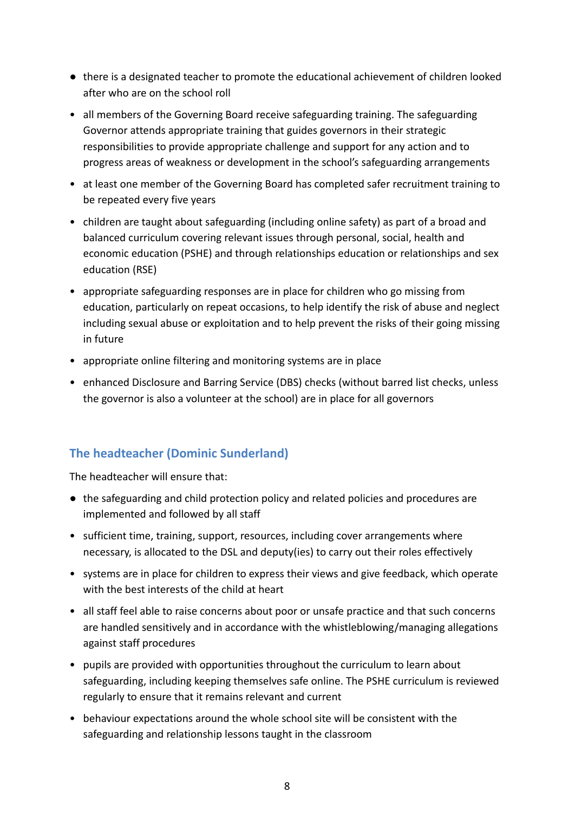- there is a designated teacher to promote the educational achievement of children looked after who are on the school roll
- all members of the Governing Board receive safeguarding training. The safeguarding Governor attends appropriate training that guides governors in their strategic responsibilities to provide appropriate challenge and support for any action and to progress areas of weakness or development in the school's safeguarding arrangements
- at least one member of the Governing Board has completed safer recruitment training to be repeated every five years
- children are taught about safeguarding (including online safety) as part of a broad and balanced curriculum covering relevant issues through personal, social, health and economic education (PSHE) and through relationships education or relationships and sex education (RSE)
- appropriate safeguarding responses are in place for children who go missing from education, particularly on repeat occasions, to help identify the risk of abuse and neglect including sexual abuse or exploitation and to help prevent the risks of their going missing in future
- appropriate online filtering and monitoring systems are in place
- enhanced Disclosure and Barring Service (DBS) checks (without barred list checks, unless the governor is also a volunteer at the school) are in place for all governors

### **The headteacher (Dominic Sunderland)**

The headteacher will ensure that:

- the safeguarding and child protection policy and related policies and procedures are implemented and followed by all staff
- sufficient time, training, support, resources, including cover arrangements where necessary, is allocated to the DSL and deputy(ies) to carry out their roles effectively
- systems are in place for children to express their views and give feedback, which operate with the best interests of the child at heart
- all staff feel able to raise concerns about poor or unsafe practice and that such concerns are handled sensitively and in accordance with the whistleblowing/managing allegations against staff procedures
- pupils are provided with opportunities throughout the curriculum to learn about safeguarding, including keeping themselves safe online. The PSHE curriculum is reviewed regularly to ensure that it remains relevant and current
- behaviour expectations around the whole school site will be consistent with the safeguarding and relationship lessons taught in the classroom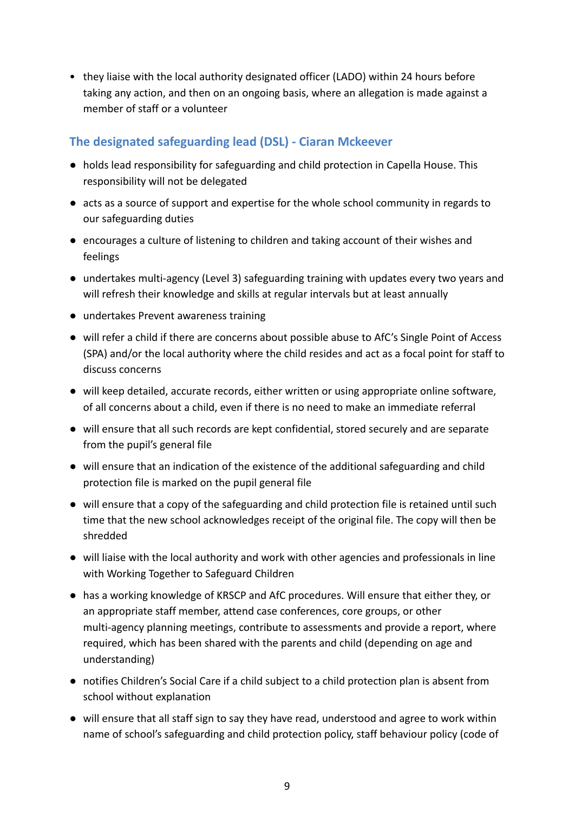• they liaise with the local authority designated officer (LADO) within 24 hours before taking any action, and then on an ongoing basis, where an allegation is made against a member of staff or a volunteer

### **The designated safeguarding lead (DSL) - Ciaran Mckeever**

- holds lead responsibility for safeguarding and child protection in Capella House. This responsibility will not be delegated
- acts as a source of support and expertise for the whole school community in regards to our safeguarding duties
- encourages a culture of listening to children and taking account of their wishes and feelings
- undertakes multi-agency (Level 3) safeguarding training with updates every two years and will refresh their knowledge and skills at regular intervals but at least annually
- undertakes Prevent awareness training
- will refer a child if there are concerns about possible abuse to AfC's Single Point of Access (SPA) and/or the local authority where the child resides and act as a focal point for staff to discuss concerns
- will keep detailed, accurate records, either written or using appropriate online software, of all concerns about a child, even if there is no need to make an immediate referral
- will ensure that all such records are kept confidential, stored securely and are separate from the pupil's general file
- will ensure that an indication of the existence of the additional safeguarding and child protection file is marked on the pupil general file
- will ensure that a copy of the safeguarding and child protection file is retained until such time that the new school acknowledges receipt of the original file. The copy will then be shredded
- will liaise with the local authority and work with other agencies and professionals in line with Working Together to Safeguard Children
- has a working knowledge of KRSCP and AfC procedures. Will ensure that either they, or an appropriate staff member, attend case conferences, core groups, or other multi-agency planning meetings, contribute to assessments and provide a report, where required, which has been shared with the parents and child (depending on age and understanding)
- notifies Children's Social Care if a child subject to a child protection plan is absent from school without explanation
- will ensure that all staff sign to say they have read, understood and agree to work within name of school's safeguarding and child protection policy, staff behaviour policy (code of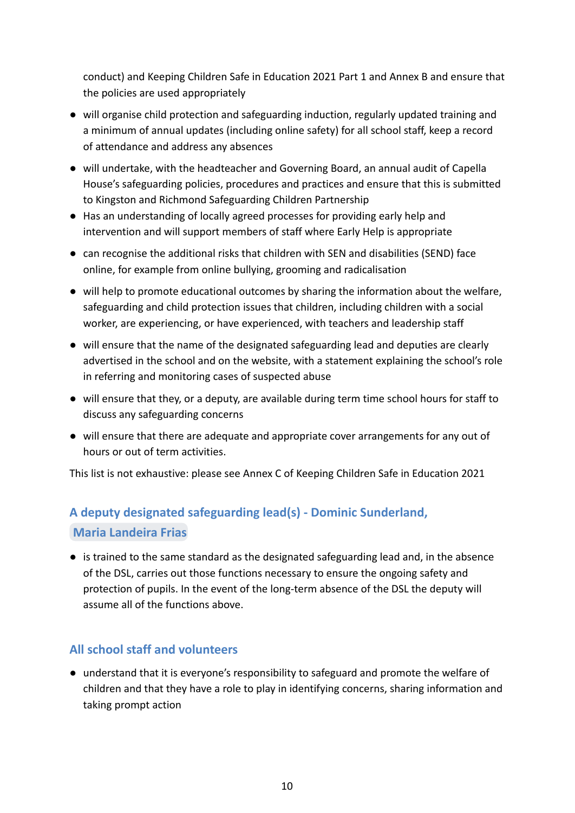conduct) and Keeping Children Safe in Education 2021 Part 1 and Annex B and ensure that the policies are used appropriately

- will organise child protection and safeguarding induction, regularly updated training and a minimum of annual updates (including online safety) for all school staff, keep a record of attendance and address any absences
- will undertake, with the headteacher and Governing Board, an annual audit of Capella House's safeguarding policies, procedures and practices and ensure that this is submitted to Kingston and Richmond Safeguarding Children Partnership
- Has an understanding of locally agreed processes for providing early help and intervention and will support members of staff where Early Help is appropriate
- can recognise the additional risks that children with SEN and disabilities (SEND) face online, for example from online bullying, grooming and radicalisation
- will help to promote educational outcomes by sharing the information about the welfare, safeguarding and child protection issues that children, including children with a social worker, are experiencing, or have experienced, with teachers and leadership staff
- will ensure that the name of the designated safeguarding lead and deputies are clearly advertised in the school and on the website, with a statement explaining the school's role in referring and monitoring cases of suspected abuse
- will ensure that they, or a deputy, are available during term time school hours for staff to discuss any safeguarding concerns
- will ensure that there are adequate and appropriate cover arrangements for any out of hours or out of term activities.

This list is not exhaustive: please see Annex C of Keeping Children Safe in Education 2021

## **A deputy designated safeguarding lead(s) - Dominic Sunderland, Maria [Landeira](mailto:mlandeirafrias@capellahouse.org.uk) Frias**

● is trained to the same standard as the designated safeguarding lead and, in the absence of the DSL, carries out those functions necessary to ensure the ongoing safety and protection of pupils. In the event of the long-term absence of the DSL the deputy will assume all of the functions above.

### **All school staff and volunteers**

● understand that it is everyone's responsibility to safeguard and promote the welfare of children and that they have a role to play in identifying concerns, sharing information and taking prompt action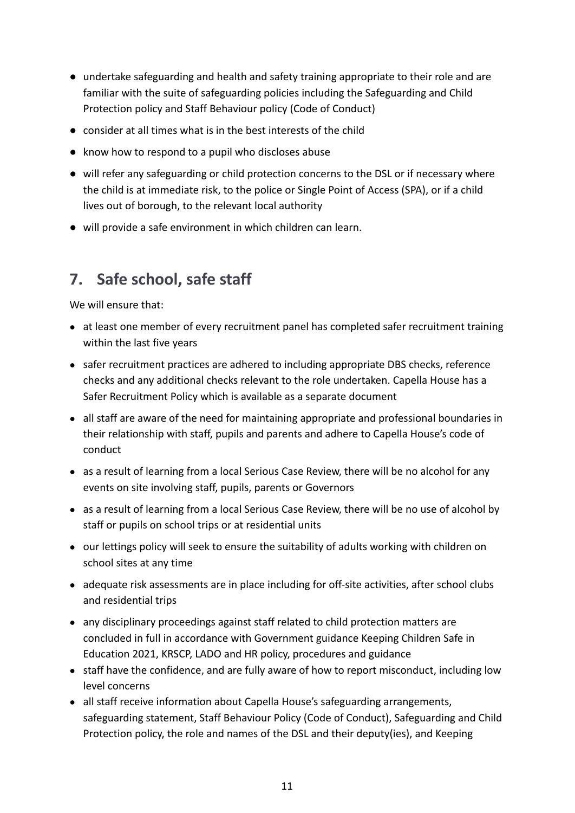- undertake safeguarding and health and safety training appropriate to their role and are familiar with the suite of safeguarding policies including the Safeguarding and Child Protection policy and Staff Behaviour policy (Code of Conduct)
- consider at all times what is in the best interests of the child
- know how to respond to a pupil who discloses abuse
- will refer any safeguarding or child protection concerns to the DSL or if necessary where the child is at immediate risk, to the police or Single Point of Access (SPA), or if a child lives out of borough, to the relevant local authority
- will provide a safe environment in which children can learn.

# <span id="page-13-0"></span>**7. Safe school, safe staff**

We will ensure that:

- at least one member of every recruitment panel has completed safer recruitment training within the last five years
- safer recruitment practices are adhered to including appropriate DBS checks, reference checks and any additional checks relevant to the role undertaken. Capella House has a Safer Recruitment Policy which is available as a separate document
- all staff are aware of the need for maintaining appropriate and professional boundaries in their relationship with staff, pupils and parents and adhere to Capella House's code of conduct
- as a result of learning from a local Serious Case Review, there will be no alcohol for any events on site involving staff, pupils, parents or Governors
- as a result of learning from a local Serious Case Review, there will be no use of alcohol by staff or pupils on school trips or at residential units
- our lettings policy will seek to ensure the suitability of adults working with children on school sites at any time
- adequate risk assessments are in place including for off-site activities, after school clubs and residential trips
- any disciplinary proceedings against staff related to child protection matters are concluded in full in accordance with Government guidance Keeping Children Safe in Education 2021, KRSCP, LADO and HR policy, procedures and guidance
- staff have the confidence, and are fully aware of how to report misconduct, including low level concerns
- all staff receive information about Capella House's safeguarding arrangements, safeguarding statement, Staff Behaviour Policy (Code of Conduct), Safeguarding and Child Protection policy, the role and names of the DSL and their deputy(ies), and Keeping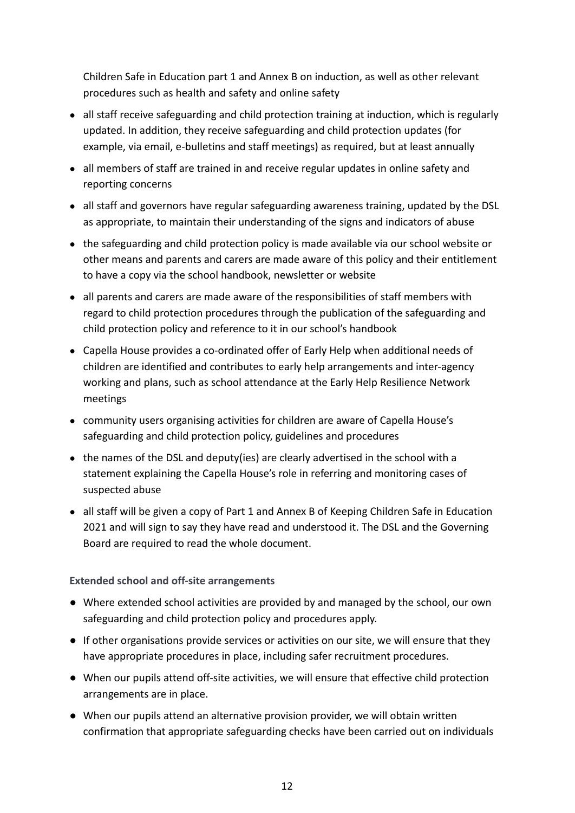Children Safe in Education part 1 and Annex B on induction, as well as other relevant procedures such as health and safety and online safety

- all staff receive safeguarding and child protection training at induction, which is regularly updated. In addition, they receive safeguarding and child protection updates (for example, via email, e-bulletins and staff meetings) as required, but at least annually
- all members of staff are trained in and receive regular updates in online safety and reporting concerns
- all staff and governors have regular safeguarding awareness training, updated by the DSL as appropriate, to maintain their understanding of the signs and indicators of abuse
- the safeguarding and child protection policy is made available via our school website or other means and parents and carers are made aware of this policy and their entitlement to have a copy via the school handbook, newsletter or website
- all parents and carers are made aware of the responsibilities of staff members with regard to child protection procedures through the publication of the safeguarding and child protection policy and reference to it in our school's handbook
- Capella House provides a co-ordinated offer of Early Help when additional needs of children are identified and contributes to early help arrangements and inter-agency working and plans, such as school attendance at the Early Help Resilience Network meetings
- community users organising activities for children are aware of Capella House's safeguarding and child protection policy, guidelines and procedures
- the names of the DSL and deputy(ies) are clearly advertised in the school with a statement explaining the Capella House's role in referring and monitoring cases of suspected abuse
- all staff will be given a copy of Part 1 and Annex B of Keeping Children Safe in Education 2021 and will sign to say they have read and understood it. The DSL and the Governing Board are required to read the whole document.

**Extended school and off-site arrangements**

- Where extended school activities are provided by and managed by the school, our own safeguarding and child protection policy and procedures apply.
- If other organisations provide services or activities on our site, we will ensure that they have appropriate procedures in place, including safer recruitment procedures.
- When our pupils attend off-site activities, we will ensure that effective child protection arrangements are in place.
- When our pupils attend an alternative provision provider, we will obtain written confirmation that appropriate safeguarding checks have been carried out on individuals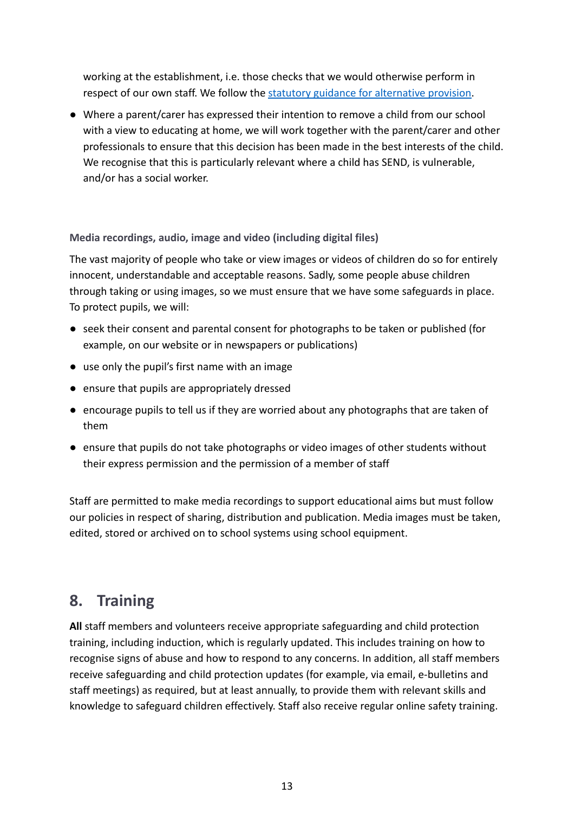working at the establishment, i.e. those checks that we would otherwise perform in respect of our own staff. We follow the statutory [guidance for alternative provision.](https://www.gov.uk/government/publications/alternative-provision)

● Where a parent/carer has expressed their intention to remove a child from our school with a view to educating at home, we will work together with the parent/carer and other professionals to ensure that this decision has been made in the best interests of the child. We recognise that this is particularly relevant where a child has SEND, is vulnerable, and/or has a social worker.

### **Media recordings, audio, image and video (including digital files)**

The vast majority of people who take or view images or videos of children do so for entirely innocent, understandable and acceptable reasons. Sadly, some people abuse children through taking or using images, so we must ensure that we have some safeguards in place. To protect pupils, we will:

- seek their consent and parental consent for photographs to be taken or published (for example, on our website or in newspapers or publications)
- use only the pupil's first name with an image
- ensure that pupils are appropriately dressed
- encourage pupils to tell us if they are worried about any photographs that are taken of them
- ensure that pupils do not take photographs or video images of other students without their express permission and the permission of a member of staff

Staff are permitted to make media recordings to support educational aims but must follow our policies in respect of sharing, distribution and publication. Media images must be taken, edited, stored or archived on to school systems using school equipment.

# <span id="page-15-0"></span>**8. Training**

**All** staff members and volunteers receive appropriate safeguarding and child protection training, including induction, which is regularly updated. This includes training on how to recognise signs of abuse and how to respond to any concerns. In addition, all staff members receive safeguarding and child protection updates (for example, via email, e-bulletins and staff meetings) as required, but at least annually, to provide them with relevant skills and knowledge to safeguard children effectively. Staff also receive regular online safety training.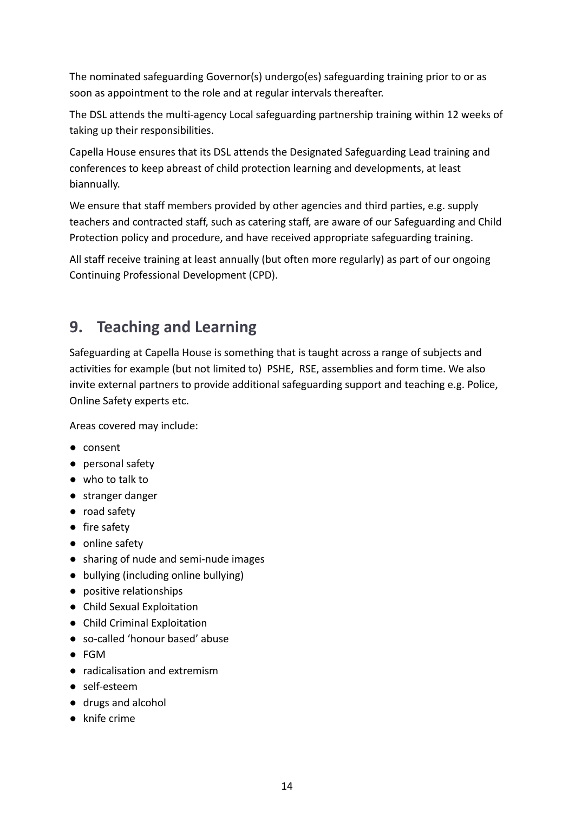The nominated safeguarding Governor(s) undergo(es) safeguarding training prior to or as soon as appointment to the role and at regular intervals thereafter.

The DSL attends the multi-agency Local safeguarding partnership training within 12 weeks of taking up their responsibilities.

Capella House ensures that its DSL attends the Designated Safeguarding Lead training and conferences to keep abreast of child protection learning and developments, at least biannually.

We ensure that staff members provided by other agencies and third parties, e.g. supply teachers and contracted staff, such as catering staff, are aware of our Safeguarding and Child Protection policy and procedure, and have received appropriate safeguarding training.

All staff receive training at least annually (but often more regularly) as part of our ongoing Continuing Professional Development (CPD).

# <span id="page-16-0"></span>**9. Teaching and Learning**

Safeguarding at Capella House is something that is taught across a range of subjects and activities for example (but not limited to) PSHE, RSE, assemblies and form time. We also invite external partners to provide additional safeguarding support and teaching e.g. Police, Online Safety experts etc.

Areas covered may include:

- consent
- personal safety
- who to talk to
- stranger danger
- road safety
- fire safety
- online safety
- sharing of nude and semi-nude images
- bullying (including online bullying)
- positive relationships
- Child Sexual Exploitation
- Child Criminal Exploitation
- so-called 'honour based' abuse
- FGM
- radicalisation and extremism
- self-esteem
- drugs and alcohol
- knife crime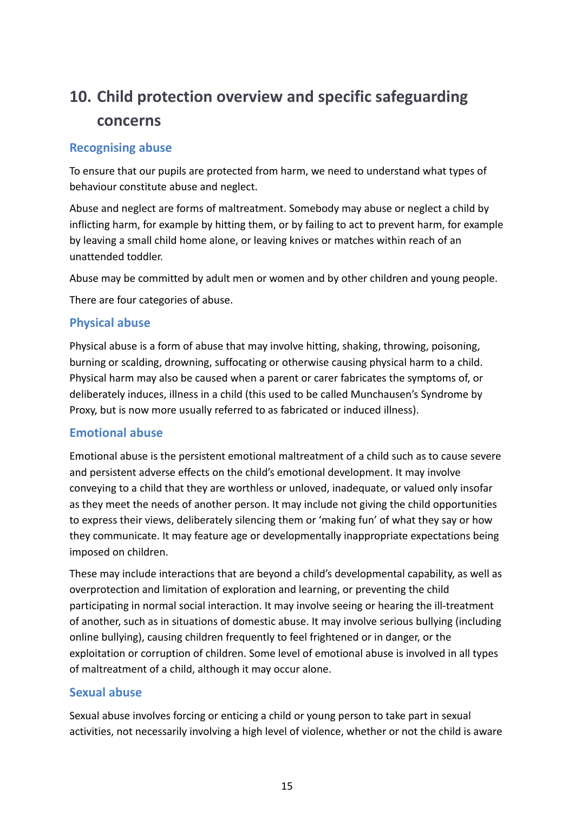# <span id="page-17-0"></span>**10. Child protection overview and specific safeguarding concerns**

### <span id="page-17-1"></span>**Recognising abuse**

To ensure that our pupils are protected from harm, we need to understand what types of behaviour constitute abuse and neglect.

Abuse and neglect are forms of maltreatment. Somebody may abuse or neglect a child by inflicting harm, for example by hitting them, or by failing to act to prevent harm, for example by leaving a small child home alone, or leaving knives or matches within reach of an unattended toddler.

Abuse may be committed by adult men or women and by other children and young people.

There are four categories of abuse.

### <span id="page-17-2"></span>**Physical abuse**

Physical abuse is a form of abuse that may involve hitting, shaking, throwing, poisoning, burning or scalding, drowning, suffocating or otherwise causing physical harm to a child. Physical harm may also be caused when a parent or carer fabricates the symptoms of, or deliberately induces, illness in a child (this used to be called Munchausen's Syndrome by Proxy, but is now more usually referred to as fabricated or induced illness).

### <span id="page-17-3"></span>**Emotional abuse**

Emotional abuse is the persistent emotional maltreatment of a child such as to cause severe and persistent adverse effects on the child's emotional development. It may involve conveying to a child that they are worthless or unloved, inadequate, or valued only insofar as they meet the needs of another person. It may include not giving the child opportunities to express their views, deliberately silencing them or 'making fun' of what they say or how they communicate. It may feature age or developmentally inappropriate expectations being imposed on children.

These may include interactions that are beyond a child's developmental capability, as well as overprotection and limitation of exploration and learning, or preventing the child participating in normal social interaction. It may involve seeing or hearing the ill-treatment of another, such as in situations of domestic abuse. It may involve serious bullying (including online bullying), causing children frequently to feel frightened or in danger, or the exploitation or corruption of children. Some level of emotional abuse is involved in all types of maltreatment of a child, although it may occur alone.

### <span id="page-17-4"></span>**Sexual abuse**

Sexual abuse involves forcing or enticing a child or young person to take part in sexual activities, not necessarily involving a high level of violence, whether or not the child is aware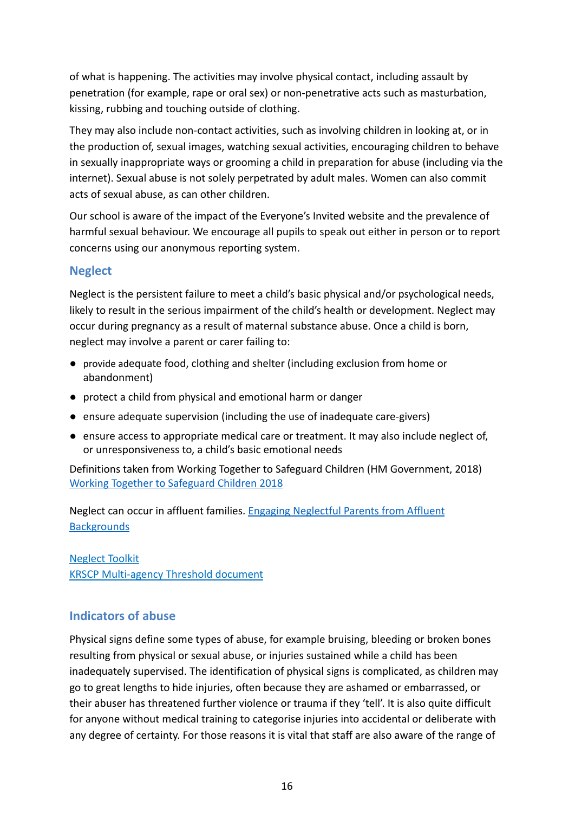of what is happening. The activities may involve physical contact, including assault by penetration (for example, rape or oral sex) or non-penetrative acts such as masturbation, kissing, rubbing and touching outside of clothing.

They may also include non-contact activities, such as involving children in looking at, or in the production of, sexual images, watching sexual activities, encouraging children to behave in sexually inappropriate ways or grooming a child in preparation for abuse (including via the internet). Sexual abuse is not solely perpetrated by adult males. Women can also commit acts of sexual abuse, as can other children.

Our school is aware of the impact of the Everyone's Invited website and the prevalence of harmful sexual behaviour. We encourage all pupils to speak out either in person or to report concerns using our anonymous reporting system.

### <span id="page-18-0"></span>**Neglect**

Neglect is the persistent failure to meet a child's basic physical and/or psychological needs, likely to result in the serious impairment of the child's health or development. Neglect may occur during pregnancy as a result of maternal substance abuse. Once a child is born, neglect may involve a parent or carer failing to:

- provide adequate food, clothing and shelter (including exclusion from home or abandonment)
- protect a child from physical and emotional harm or danger
- ensure adequate supervision (including the use of inadequate care-givers)
- ensure access to appropriate medical care or treatment. It may also include neglect of, or unresponsiveness to, a child's basic emotional needs

Definitions taken from Working Together to Safeguard Children (HM Government, 2018) [Working Together to Safeguard Children 2018](https://www.gov.uk/government/uploads/system/uploads/attachment_data/file/592101/Working_Together_to_Safeguard_Children_20170213.pdf)

Neglect can occur in affluent families. Engaging Neglectful [Parents from Affluent](https://www.gold.ac.uk/media/documents-by-section/departments/social-therapeutic-and-comms-studies/Report---Neglect-in-Affluent-Families-1-December-2017.pdf) **[Backgrounds](https://www.gold.ac.uk/media/documents-by-section/departments/social-therapeutic-and-comms-studies/Report---Neglect-in-Affluent-Families-1-December-2017.pdf)** 

[Neglect Toolkit](https://kingstonandrichmondsafeguardingchildrenpartnership.org.uk/news-resources/policies-and-procedures-87/child-neglect-toolkit-181.php) [KRSCP Multi-agency Threshold document](https://kingstonandrichmondsafeguardingchildrenpartnership.org.uk/news-resources/policies-and-procedures-87/multi-agency-threshold-document-144.php)

### <span id="page-18-1"></span>**Indicators of abuse**

Physical signs define some types of abuse, for example bruising, bleeding or broken bones resulting from physical or sexual abuse, or injuries sustained while a child has been inadequately supervised. The identification of physical signs is complicated, as children may go to great lengths to hide injuries, often because they are ashamed or embarrassed, or their abuser has threatened further violence or trauma if they 'tell'. It is also quite difficult for anyone without medical training to categorise injuries into accidental or deliberate with any degree of certainty. For those reasons it is vital that staff are also aware of the range of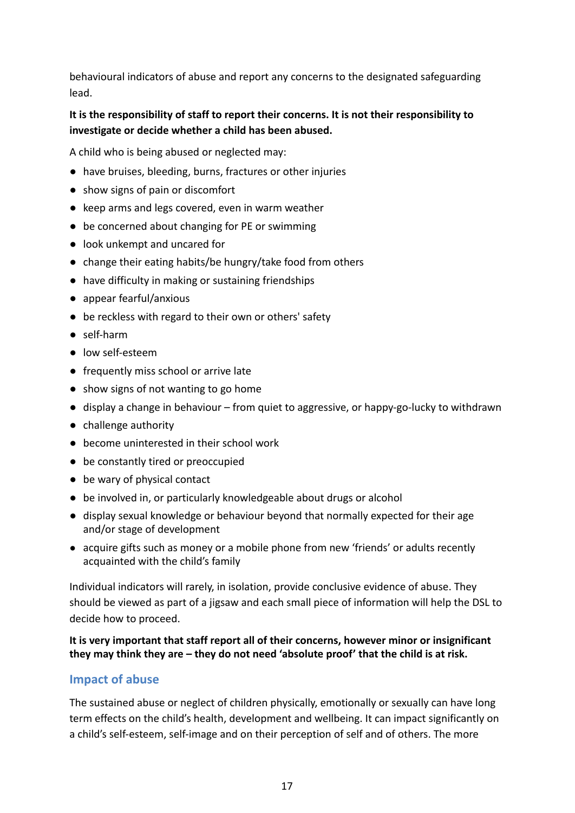behavioural indicators of abuse and report any concerns to the designated safeguarding lead.

### **It is the responsibility of staff to report their concerns. It is not their responsibility to investigate or decide whether a child has been abused.**

A child who is being abused or neglected may:

- have bruises, bleeding, burns, fractures or other injuries
- show signs of pain or discomfort
- keep arms and legs covered, even in warm weather
- be concerned about changing for PE or swimming
- look unkempt and uncared for
- change their eating habits/be hungry/take food from others
- have difficulty in making or sustaining friendships
- appear fearful/anxious
- be reckless with regard to their own or others' safety
- self-harm
- low self-esteem
- frequently miss school or arrive late
- show signs of not wanting to go home
- display a change in behaviour from quiet to aggressive, or happy-go-lucky to withdrawn
- challenge authority
- become uninterested in their school work
- be constantly tired or preoccupied
- be wary of physical contact
- be involved in, or particularly knowledgeable about drugs or alcohol
- display sexual knowledge or behaviour beyond that normally expected for their age and/or stage of development
- acquire gifts such as money or a mobile phone from new 'friends' or adults recently acquainted with the child's family

Individual indicators will rarely, in isolation, provide conclusive evidence of abuse. They should be viewed as part of a jigsaw and each small piece of information will help the DSL to decide how to proceed.

### **It is very important that staff report all of their concerns, however minor or insignificant they may think they are – they do not need 'absolute proof' that the child is at risk.**

### <span id="page-19-0"></span>**Impact of abuse**

The sustained abuse or neglect of children physically, emotionally or sexually can have long term effects on the child's health, development and wellbeing. It can impact significantly on a child's self-esteem, self-image and on their perception of self and of others. The more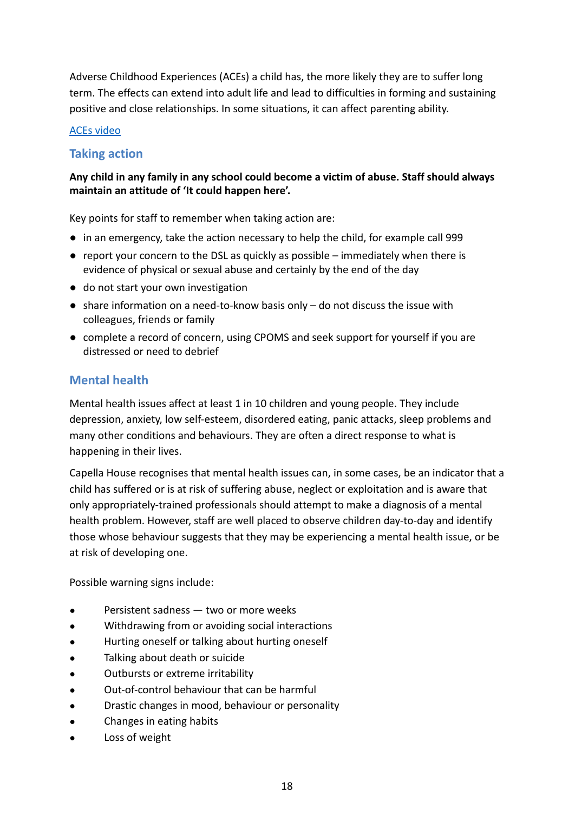Adverse Childhood Experiences (ACEs) a child has, the more likely they are to suffer long term. The effects can extend into adult life and lead to difficulties in forming and sustaining positive and close relationships. In some situations, it can affect parenting ability.

### [ACEs video](https://www.youtube.com/watch?v=XHgLYI9KZ-A)

### <span id="page-20-0"></span>**Taking action**

### **Any child in any family in any school could become a victim of abuse. Staff should always maintain an attitude of 'It could happen here'.**

Key points for staff to remember when taking action are:

- in an emergency, take the action necessary to help the child, for example call 999
- $\bullet$  report your concern to the DSL as quickly as possible immediately when there is evidence of physical or sexual abuse and certainly by the end of the day
- do not start your own investigation
- $\bullet$  share information on a need-to-know basis only  $-$  do not discuss the issue with colleagues, friends or family
- complete a record of concern, using CPOMS and seek support for yourself if you are distressed or need to debrief

### <span id="page-20-1"></span>**Mental health**

Mental health issues affect at least 1 in 10 children and young people. They include depression, anxiety, low self-esteem, disordered eating, panic attacks, sleep problems and many other conditions and behaviours. They are often a direct response to what is happening in their lives.

Capella House recognises that mental health issues can, in some cases, be an indicator that a child has suffered or is at risk of suffering abuse, neglect or exploitation and is aware that only appropriately-trained professionals should attempt to make a diagnosis of a mental health problem. However, staff are well placed to observe children day-to-day and identify those whose behaviour suggests that they may be experiencing a mental health issue, or be at risk of developing one.

Possible warning signs include:

- Persistent sadness two or more weeks
- Withdrawing from or avoiding social interactions
- Hurting oneself or talking about hurting oneself
- Talking about death or suicide
- Outbursts or extreme irritability
- Out-of-control behaviour that can be harmful
- Drastic changes in mood, behaviour or personality
- Changes in eating habits
- Loss of weight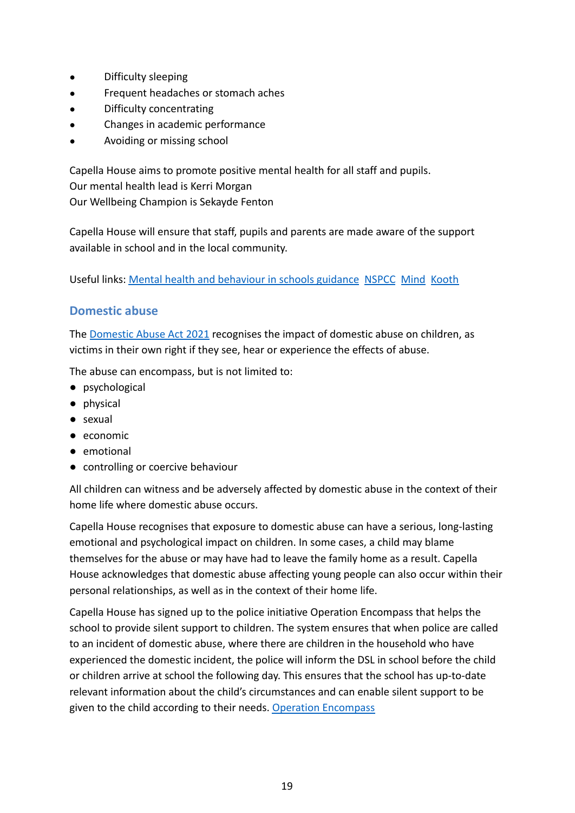- Difficulty sleeping
- Frequent headaches or stomach aches
- Difficulty concentrating
- Changes in academic performance
- Avoiding or missing school

Capella House aims to promote positive mental health for all staff and pupils. Our mental health lead is Kerri Morgan Our Wellbeing Champion is Sekayde Fenton

Capella House will ensure that staff, pupils and parents are made aware of the support available in school and in the local community.

Useful links: [Mental health and behaviour in schools](https://www.gov.uk/government/publications/mental-health-and-behaviour-in-schools--2) guidance [NSPCC](https://www.nspcc.org.uk/keeping-children-safe/childrens-mental-health/) [Mind](https://www.mind.org.uk/) [Kooth](https://www.kooth.com/)

### <span id="page-21-0"></span>**Domestic abuse**

The [Domestic Abuse Act 2021](https://www.legislation.gov.uk/ukpga/2021/17/contents/enacted) recognises the impact of domestic abuse on children, as victims in their own right if they see, hear or experience the effects of abuse.

The abuse can encompass, but is not limited to:

- psychological
- physical
- sexual
- economic
- emotional
- controlling or coercive behaviour

All children can witness and be adversely affected by domestic abuse in the context of their home life where domestic abuse occurs.

Capella House recognises that exposure to domestic abuse can have a serious, long-lasting emotional and psychological impact on children. In some cases, a child may blame themselves for the abuse or may have had to leave the family home as a result. Capella House acknowledges that domestic abuse affecting young people can also occur within their personal relationships, as well as in the context of their home life.

Capella House has signed up to the police initiative Operation Encompass that helps the school to provide silent support to children. The system ensures that when police are called to an incident of domestic abuse, where there are children in the household who have experienced the domestic incident, the police will inform the DSL in school before the child or children arrive at school the following day. This ensures that the school has up-to-date relevant information about the child's circumstances and can enable silent support to be given to the child according to their needs. Operation [Encompass](https://www.operationencompass.org/)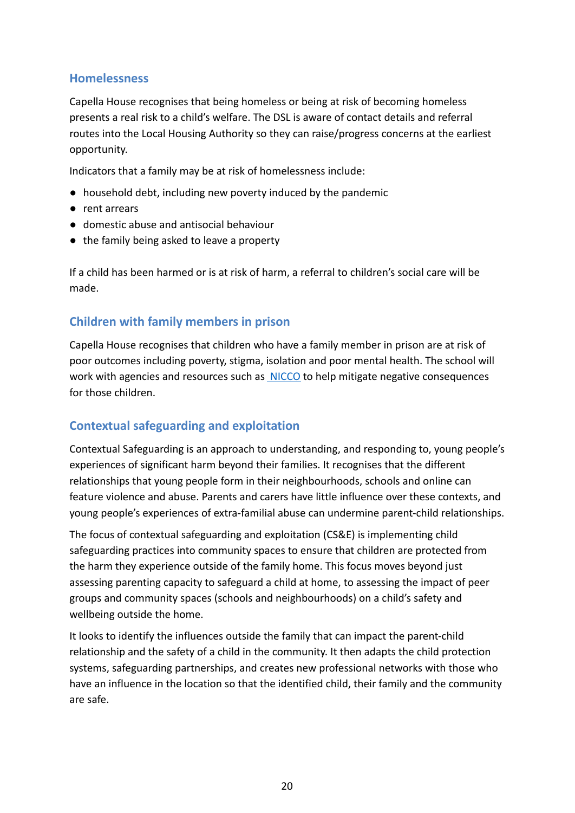### <span id="page-22-0"></span>**Homelessness**

Capella House recognises that being homeless or being at risk of becoming homeless presents a real risk to a child's welfare. The DSL is aware of contact details and referral routes into the Local Housing Authority so they can raise/progress concerns at the earliest opportunity.

Indicators that a family may be at risk of homelessness include:

- household debt, including new poverty induced by the pandemic
- rent arrears
- domestic abuse and antisocial behaviour
- the family being asked to leave a property

If a child has been harmed or is at risk of harm, a referral to children's social care will be made.

### <span id="page-22-1"></span>**Children with family members in prison**

Capella House recognises that children who have a family member in prison are at risk of poor outcomes including poverty, stigma, isolation and poor mental health. The school will work with agencies and resources such as **[NICCO](http://www.nicco.org.uk)** to help mitigate negative consequences for those children.

### <span id="page-22-2"></span>**Contextual safeguarding and exploitation**

Contextual Safeguarding is an approach to understanding, and responding to, young people's experiences of significant harm beyond their families. It recognises that the different relationships that young people form in their neighbourhoods, schools and online can feature violence and abuse. Parents and carers have little influence over these contexts, and young people's experiences of extra-familial abuse can undermine parent-child relationships.

The focus of contextual safeguarding and exploitation (CS&E) is implementing child safeguarding practices into community spaces to ensure that children are protected from the harm they experience outside of the family home. This focus moves beyond just assessing parenting capacity to safeguard a child at home, to assessing the impact of peer groups and community spaces (schools and neighbourhoods) on a child's safety and wellbeing outside the home.

It looks to identify the influences outside the family that can impact the parent-child relationship and the safety of a child in the community. It then adapts the child protection systems, safeguarding partnerships, and creates new professional networks with those who have an influence in the location so that the identified child, their family and the community are safe.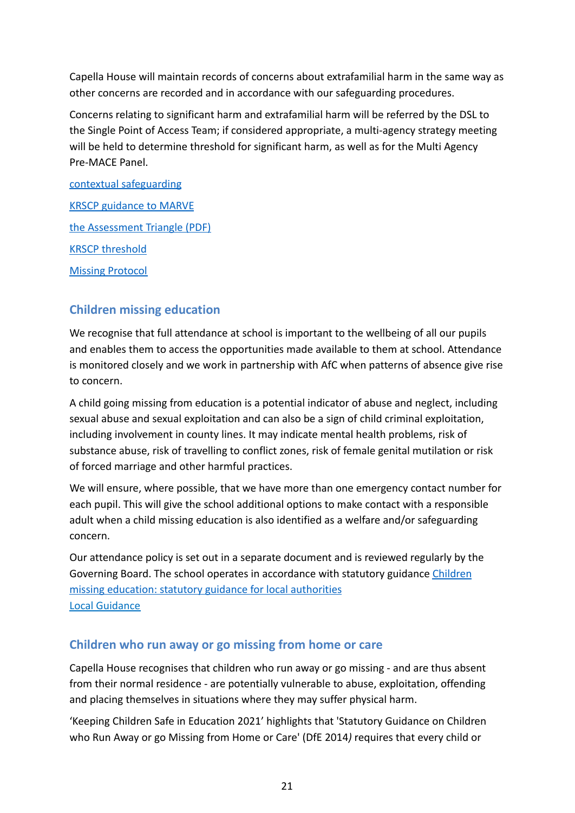Capella House will maintain records of concerns about extrafamilial harm in the same way as other concerns are recorded and in accordance with our safeguarding procedures.

Concerns relating to significant harm and extrafamilial harm will be referred by the DSL to the Single Point of Access Team; if considered appropriate, a multi-agency strategy meeting will be held to determine threshold for significant harm, as well as for the Multi Agency Pre-MACE Panel.

[contextual safeguarding](https://contextualsafeguarding.org.uk/about/what-is-contextual-safeguarding) [KRSCP guidance to MARVE](https://emea01.safelinks.protection.outlook.com/?url=https%3A%2F%2Fkingstonandrichmondsafeguardingchildrenpartnership.org.uk%2Fnews-resources%2Fpolicies-and-procedures-87%2Fchild-exploitation-marve-88.php&data=04%7C01%7C%7C96962205cbfe4bacec2008d9956d9eee%7C84df9e7fe9f640afb435aaaaaaaaaaaa%7C1%7C0%7C637705120316169307%7CUnknown%7CTWFpbGZsb3d8eyJWIjoiMC4wLjAwMDAiLCJQIjoiV2luMzIiLCJBTiI6Ik1haWwiLCJXVCI6Mn0%3D%7C1000&sdata=JDP01nI7p%2BsOGoEh5fTHSaPqJsMuU1wPn39NmT6wyGM%3D&reserved=0) [the Assessment Triangle \(PDF\)](https://emea01.safelinks.protection.outlook.com/?url=https%3A%2F%2Fwww.csnetwork.org.uk%2Fassets%2Fdocuments%2FContext-Assessment-Triangles.pdf&data=04%7C01%7C%7C96962205cbfe4bacec2008d9956d9eee%7C84df9e7fe9f640afb435aaaaaaaaaaaa%7C1%7C0%7C637705120316179290%7CUnknown%7CTWFpbGZsb3d8eyJWIjoiMC4wLjAwMDAiLCJQIjoiV2luMzIiLCJBTiI6Ik1haWwiLCJXVCI6Mn0%3D%7C1000&sdata=lf%2FMHkJMAVem6rqc2IEyqOpXZsgtxjjJcBQIYioea5g%3D&reserved=0) [KRSCP threshold](https://emea01.safelinks.protection.outlook.com/?url=https%3A%2F%2Fkingstonandrichmondsafeguardingchildrenpartnership.org.uk%2Fnews-resources%2Fpolicies-and-procedures-87%2Fmulti-agency-threshold-document-144.php&data=04%7C01%7C%7C96962205cbfe4bacec2008d9956d9eee%7C84df9e7fe9f640afb435aaaaaaaaaaaa%7C1%7C0%7C637705120316179290%7CUnknown%7CTWFpbGZsb3d8eyJWIjoiMC4wLjAwMDAiLCJQIjoiV2luMzIiLCJBTiI6Ik1haWwiLCJXVCI6Mn0%3D%7C1000&sdata=LaRX3XbUFK%2FVsMRw8%2FQ4xMTv8ns%2FMPy%2BukfHkhm9Vu0%3D&reserved=0) [Missing Protocol](https://emea01.safelinks.protection.outlook.com/?url=https%3A%2F%2Fkingstonandrichmondsafeguardingchildrenpartnership.org.uk%2Fnews-resources%2Fpolicies-and-procedures-87%2Fmissing-protocol-211.php&data=04%7C01%7C%7C96962205cbfe4bacec2008d9956d9eee%7C84df9e7fe9f640afb435aaaaaaaaaaaa%7C1%7C0%7C637705120316189288%7CUnknown%7CTWFpbGZsb3d8eyJWIjoiMC4wLjAwMDAiLCJQIjoiV2luMzIiLCJBTiI6Ik1haWwiLCJXVCI6Mn0%3D%7C1000&sdata=TfeWBl3FfnTZvSAqvzk6Fl6GI7Ls7u5jBNt7u%2BBlMiw%3D&reserved=0)

### <span id="page-23-0"></span>**Children missing education**

We recognise that full attendance at school is important to the wellbeing of all our pupils and enables them to access the opportunities made available to them at school. Attendance is monitored closely and we work in partnership with AfC when patterns of absence give rise to concern.

A child going missing from education is a potential indicator of abuse and neglect, including sexual abuse and sexual exploitation and can also be a sign of child criminal exploitation, including involvement in county lines. It may indicate mental health problems, risk of substance abuse, risk of travelling to conflict zones, risk of female genital mutilation or risk of forced marriage and other harmful practices.

We will ensure, where possible, that we have more than one emergency contact number for each pupil. This will give the school additional options to make contact with a responsible adult when a child missing education is also identified as a welfare and/or safeguarding concern.

Our attendance policy is set out in a separate document and is reviewed regularly by the Governing Board. The school operates in accordance with statutory guidance [Children](https://www.gov.uk/government/publications/children-missing-education) [missing education: statutory guidance for local authorities](https://www.gov.uk/government/publications/children-missing-education) [Local Guidance](https://kingstonandrichmondsafeguardingchildrenpartnership.org.uk/news-resources/policies-and-procedures-87/children-missing-education-196.php)

### <span id="page-23-1"></span>**Children who run away or go missing from home or care**

Capella House recognises that children who run away or go missing - and are thus absent from their normal residence - are potentially vulnerable to abuse, exploitation, offending and placing themselves in situations where they may suffer physical harm.

'Keeping Children Safe in Education 2021' highlights that 'Statutory Guidance on Children who Run Away or go Missing from Home or Care' (DfE 2014*)* requires that every child or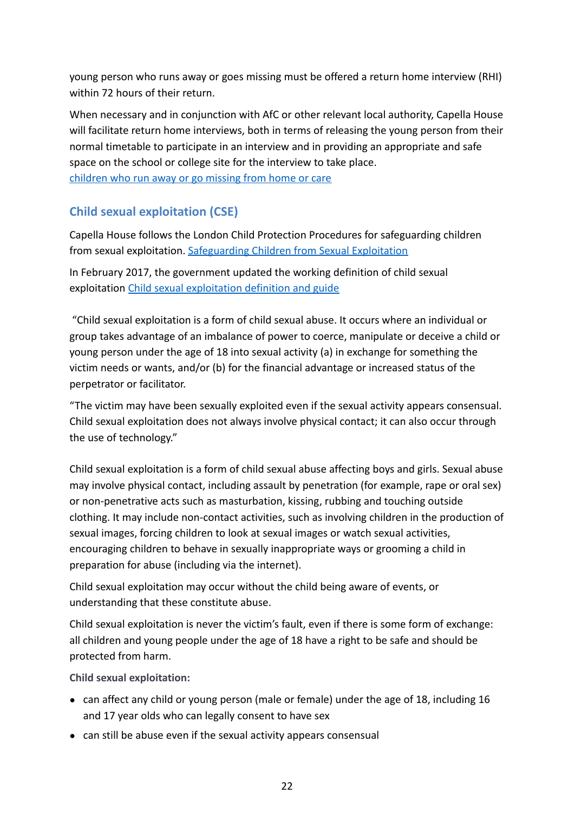young person who runs away or goes missing must be offered a return home interview (RHI) within 72 hours of their return.

When necessary and in conjunction with AfC or other relevant local authority, Capella House will facilitate return home interviews, both in terms of releasing the young person from their normal timetable to participate in an interview and in providing an appropriate and safe space on the school or college site for the interview to take place. [children who run away or go missing from home or care](https://www.gov.uk/government/publications/children-who-run-away-or-go-missing-from-home-or-care)

### <span id="page-24-0"></span>**Child sexual exploitation (CSE)**

Capella House follows the London Child Protection Procedures for safeguarding children from sexual exploitation. [Safeguarding Children from](https://www.londoncp.co.uk/sg_sex_exploit_ch.html?zoom_highlight=child+sexual+exploitation) Sexual Exploitation

In February 2017, the government updated the working definition of child sexual exploitation [Child sexual exploitation definition](https://www.gov.uk/government/publications/child-sexual-exploitation-definition-and-guide-for-practitioners) and guide

"Child sexual exploitation is a form of child sexual abuse. It occurs where an individual or group takes advantage of an imbalance of power to coerce, manipulate or deceive a child or young person under the age of 18 into sexual activity (a) in exchange for something the victim needs or wants, and/or (b) for the financial advantage or increased status of the perpetrator or facilitator.

"The victim may have been sexually exploited even if the sexual activity appears consensual. Child sexual exploitation does not always involve physical contact; it can also occur through the use of technology."

Child sexual exploitation is a form of child sexual abuse affecting boys and girls. Sexual abuse may involve physical contact, including assault by penetration (for example, rape or oral sex) or non-penetrative acts such as masturbation, kissing, rubbing and touching outside clothing. It may include non-contact activities, such as involving children in the production of sexual images, forcing children to look at sexual images or watch sexual activities, encouraging children to behave in sexually inappropriate ways or grooming a child in preparation for abuse (including via the internet).

Child sexual exploitation may occur without the child being aware of events, or understanding that these constitute abuse.

Child sexual exploitation is never the victim's fault, even if there is some form of exchange: all children and young people under the age of 18 have a right to be safe and should be protected from harm.

**Child sexual exploitation:**

- can affect any child or young person (male or female) under the age of 18, including 16 and 17 year olds who can legally consent to have sex
- can still be abuse even if the sexual activity appears consensual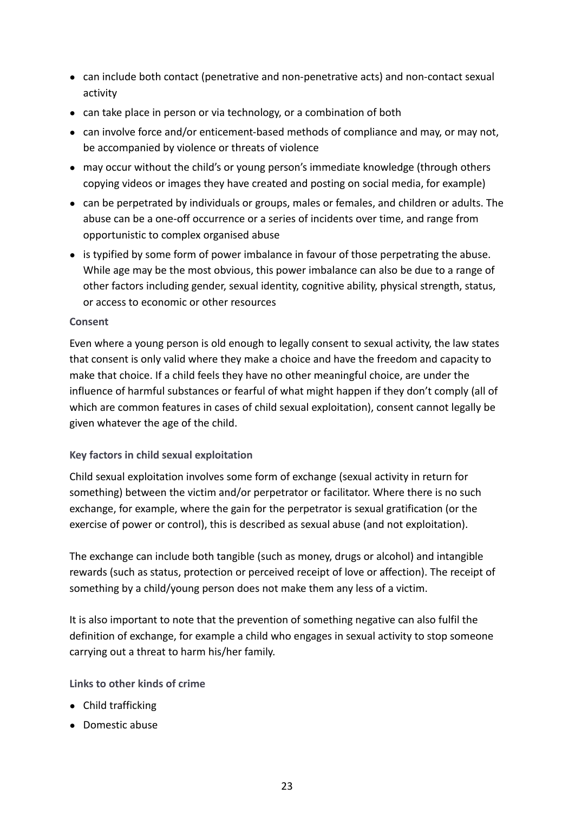- can include both contact (penetrative and non-penetrative acts) and non-contact sexual activity
- can take place in person or via technology, or a combination of both
- can involve force and/or enticement-based methods of compliance and may, or may not, be accompanied by violence or threats of violence
- may occur without the child's or young person's immediate knowledge (through others copying videos or images they have created and posting on social media, for example)
- can be perpetrated by individuals or groups, males or females, and children or adults. The abuse can be a one-off occurrence or a series of incidents over time, and range from opportunistic to complex organised abuse
- is typified by some form of power imbalance in favour of those perpetrating the abuse. While age may be the most obvious, this power imbalance can also be due to a range of other factors including gender, sexual identity, cognitive ability, physical strength, status, or access to economic or other resources

#### **Consent**

Even where a young person is old enough to legally consent to sexual activity, the law states that consent is only valid where they make a choice and have the freedom and capacity to make that choice. If a child feels they have no other meaningful choice, are under the influence of harmful substances or fearful of what might happen if they don't comply (all of which are common features in cases of child sexual exploitation), consent cannot legally be given whatever the age of the child.

### **Key factors in child sexual exploitation**

Child sexual exploitation involves some form of exchange (sexual activity in return for something) between the victim and/or perpetrator or facilitator. Where there is no such exchange, for example, where the gain for the perpetrator is sexual gratification (or the exercise of power or control), this is described as sexual abuse (and not exploitation).

The exchange can include both tangible (such as money, drugs or alcohol) and intangible rewards (such as status, protection or perceived receipt of love or affection). The receipt of something by a child/young person does not make them any less of a victim.

It is also important to note that the prevention of something negative can also fulfil the definition of exchange, for example a child who engages in sexual activity to stop someone carrying out a threat to harm his/her family.

### **Links to other kinds of crime**

- Child trafficking
- Domestic abuse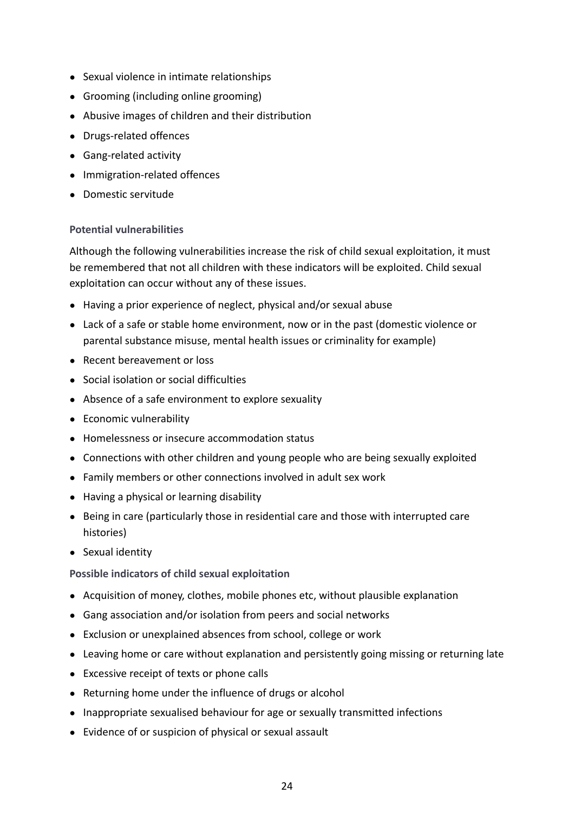- Sexual violence in intimate relationships
- Grooming (including online grooming)
- Abusive images of children and their distribution
- Drugs-related offences
- Gang-related activity
- Immigration-related offences
- Domestic servitude

#### **Potential vulnerabilities**

Although the following vulnerabilities increase the risk of child sexual exploitation, it must be remembered that not all children with these indicators will be exploited. Child sexual exploitation can occur without any of these issues.

- Having a prior experience of neglect, physical and/or sexual abuse
- Lack of a safe or stable home environment, now or in the past (domestic violence or parental substance misuse, mental health issues or criminality for example)
- Recent bereavement or loss
- Social isolation or social difficulties
- Absence of a safe environment to explore sexuality
- Economic vulnerability
- Homelessness or insecure accommodation status
- Connections with other children and young people who are being sexually exploited
- Family members or other connections involved in adult sex work
- Having a physical or learning disability
- Being in care (particularly those in residential care and those with interrupted care histories)
- Sexual identity

**Possible indicators of child sexual exploitation**

- Acquisition of money, clothes, mobile phones etc, without plausible explanation
- Gang association and/or isolation from peers and social networks
- Exclusion or unexplained absences from school, college or work
- Leaving home or care without explanation and persistently going missing or returning late
- Excessive receipt of texts or phone calls
- Returning home under the influence of drugs or alcohol
- Inappropriate sexualised behaviour for age or sexually transmitted infections
- Evidence of or suspicion of physical or sexual assault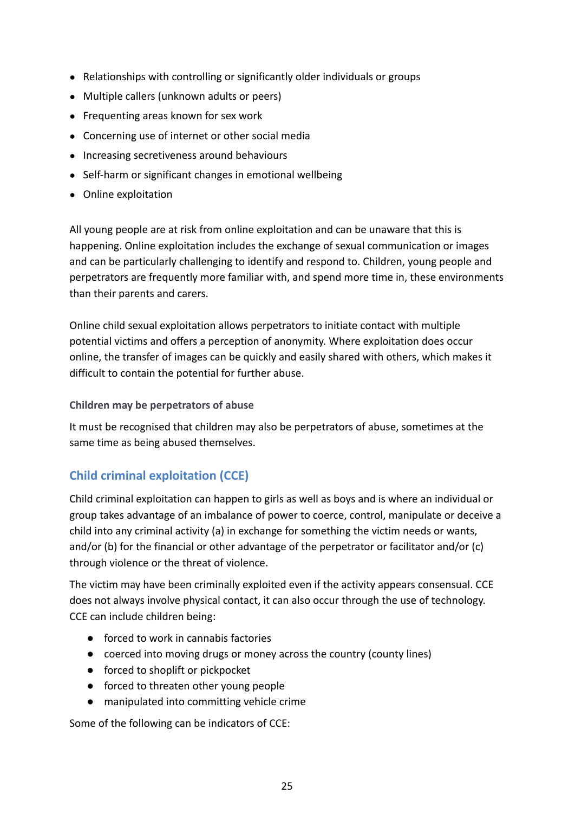- Relationships with controlling or significantly older individuals or groups
- Multiple callers (unknown adults or peers)
- Frequenting areas known for sex work
- Concerning use of internet or other social media
- Increasing secretiveness around behaviours
- Self-harm or significant changes in emotional wellbeing
- Online exploitation

All young people are at risk from online exploitation and can be unaware that this is happening. Online exploitation includes the exchange of sexual communication or images and can be particularly challenging to identify and respond to. Children, young people and perpetrators are frequently more familiar with, and spend more time in, these environments than their parents and carers.

Online child sexual exploitation allows perpetrators to initiate contact with multiple potential victims and offers a perception of anonymity. Where exploitation does occur online, the transfer of images can be quickly and easily shared with others, which makes it difficult to contain the potential for further abuse.

#### **Children may be perpetrators of abuse**

It must be recognised that children may also be perpetrators of abuse, sometimes at the same time as being abused themselves.

### <span id="page-27-0"></span>**Child criminal exploitation (CCE)**

Child criminal exploitation can happen to girls as well as boys and is where an individual or group takes advantage of an imbalance of power to coerce, control, manipulate or deceive a child into any criminal activity (a) in exchange for something the victim needs or wants, and/or (b) for the financial or other advantage of the perpetrator or facilitator and/or (c) through violence or the threat of violence.

The victim may have been criminally exploited even if the activity appears consensual. CCE does not always involve physical contact, it can also occur through the use of technology. CCE can include children being:

- forced to work in cannabis factories
- coerced into moving drugs or money across the country (county lines)
- forced to shoplift or pickpocket
- forced to threaten other young people
- manipulated into committing vehicle crime

Some of the following can be indicators of CCE: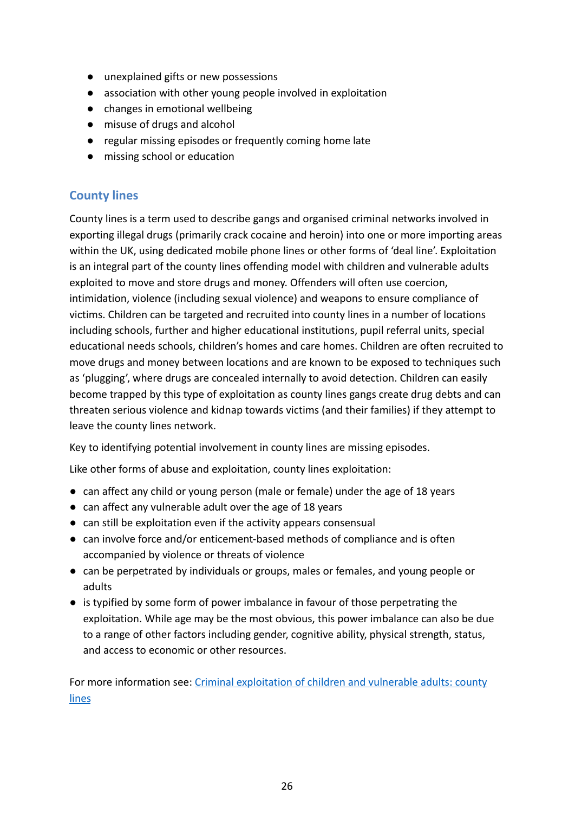- unexplained gifts or new possessions
- association with other young people involved in exploitation
- changes in emotional wellbeing
- misuse of drugs and alcohol
- regular missing episodes or frequently coming home late
- missing school or education

### <span id="page-28-0"></span>**County lines**

County lines is a term used to describe gangs and organised criminal networks involved in exporting illegal drugs (primarily crack cocaine and heroin) into one or more importing areas within the UK, using dedicated mobile phone lines or other forms of 'deal line'. Exploitation is an integral part of the county lines offending model with children and vulnerable adults exploited to move and store drugs and money. Offenders will often use coercion, intimidation, violence (including sexual violence) and weapons to ensure compliance of victims. Children can be targeted and recruited into county lines in a number of locations including schools, further and higher educational institutions, pupil referral units, special educational needs schools, children's homes and care homes. Children are often recruited to move drugs and money between locations and are known to be exposed to techniques such as 'plugging', where drugs are concealed internally to avoid detection. Children can easily become trapped by this type of exploitation as county lines gangs create drug debts and can threaten serious violence and kidnap towards victims (and their families) if they attempt to leave the county lines network.

Key to identifying potential involvement in county lines are missing episodes.

Like other forms of abuse and exploitation, county lines exploitation:

- can affect any child or young person (male or female) under the age of 18 years
- can affect any vulnerable adult over the age of 18 years
- can still be exploitation even if the activity appears consensual
- can involve force and/or enticement-based methods of compliance and is often accompanied by violence or threats of violence
- can be perpetrated by individuals or groups, males or females, and young people or adults
- is typified by some form of power imbalance in favour of those perpetrating the exploitation. While age may be the most obvious, this power imbalance can also be due to a range of other factors including gender, cognitive ability, physical strength, status, and access to economic or other resources.

For more information see: Criminal exploitation of [children and vulnerable adults: county](https://www.gov.uk/government/publications/criminal-exploitation-of-children-and-vulnerable-adults-county-lines) [lines](https://www.gov.uk/government/publications/criminal-exploitation-of-children-and-vulnerable-adults-county-lines)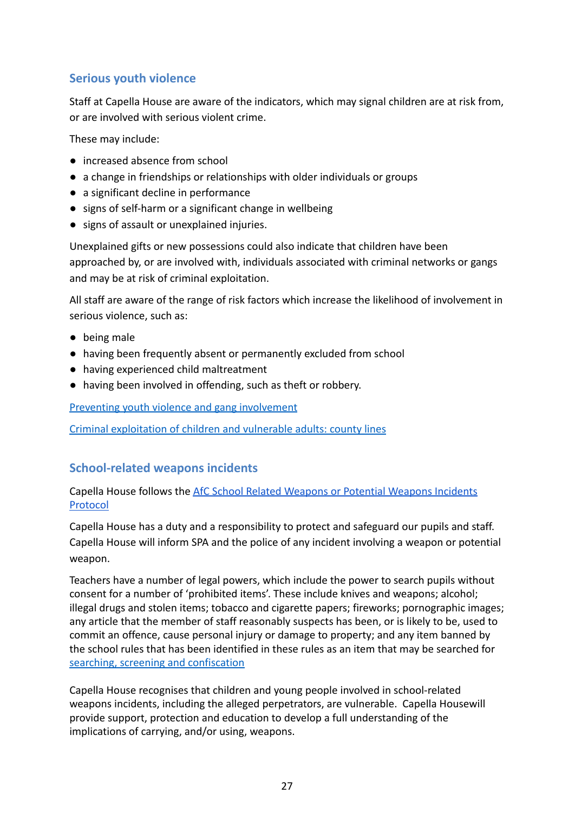### <span id="page-29-0"></span>**Serious youth violence**

Staff at Capella House are aware of the indicators, which may signal children are at risk from, or are involved with serious violent crime.

These may include:

- increased absence from school
- a change in friendships or relationships with older individuals or groups
- a significant decline in performance
- signs of self-harm or a significant change in wellbeing
- signs of assault or unexplained injuries.

Unexplained gifts or new possessions could also indicate that children have been approached by, or are involved with, individuals associated with criminal networks or gangs and may be at risk of criminal exploitation.

All staff are aware of the range of risk factors which increase the likelihood of involvement in serious violence, such as:

- being male
- having been frequently absent or permanently excluded from school
- having experienced child maltreatment
- having been involved in offending, such as theft or robbery.

Preventing youth violence and gang involvement

[Criminal exploitation of children and vulnerable adults: county lines](https://www.gov.uk/government/publications/criminal-exploitation-of-children-and-vulnerable-adults-county-lines)

### <span id="page-29-1"></span>**School-related weapons incidents**

Capella House follows the AfC School Related Weapons [or Potential Weapons Incidents](https://drive.google.com/file/d/0BzYR4MLF3eBMeldOdW5tOWNOSVBhOHdnSS1naWZ3bS1jYW9V/view?usp=sharing) [Protocol](https://drive.google.com/file/d/0BzYR4MLF3eBMeldOdW5tOWNOSVBhOHdnSS1naWZ3bS1jYW9V/view?usp=sharing)

Capella House has a duty and a responsibility to protect and safeguard our pupils and staff. Capella House will inform SPA and the police of any incident involving a weapon or potential weapon.

Teachers have a number of legal powers, which include the power to search pupils without consent for a number of 'prohibited items'. These include knives and weapons; alcohol; illegal drugs and stolen items; tobacco and cigarette papers; fireworks; pornographic images; any article that the member of staff reasonably suspects has been, or is likely to be, used to commit an offence, cause personal injury or damage to property; and any item banned by the school rules that has been identified in these rules as an item that may be searched for [searching, screening and confiscation](https://assets.publishing.service.gov.uk/government/uploads/system/uploads/attachment_data/file/674416/Searching_screening_and_confiscation.pdf%20)

Capella House recognises that children and young people involved in school-related weapons incidents, including the alleged perpetrators, are vulnerable. Capella Housewill provide support, protection and education to develop a full understanding of the implications of carrying, and/or using, weapons.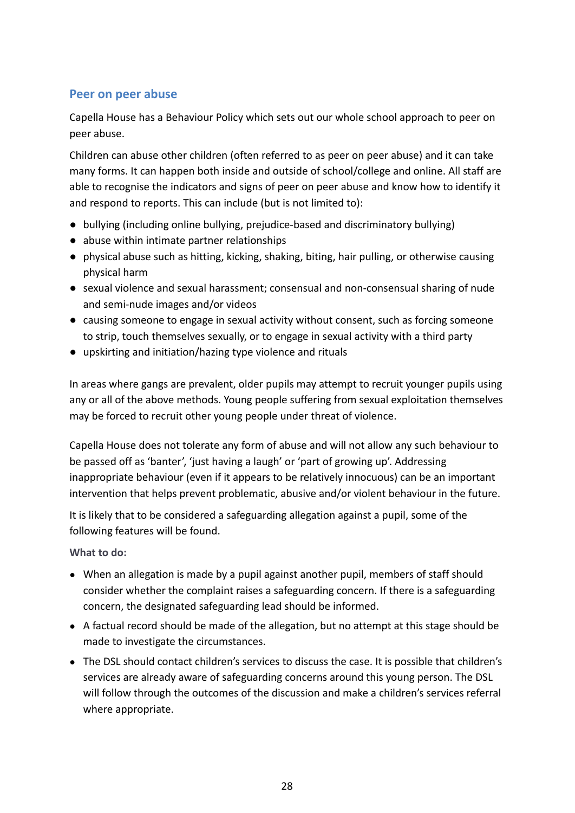### <span id="page-30-0"></span>**Peer on peer abuse**

Capella House has a Behaviour Policy which sets out our whole school approach to peer on peer abuse.

Children can abuse other children (often referred to as peer on peer abuse) and it can take many forms. It can happen both inside and outside of school/college and online. All staff are able to recognise the indicators and signs of peer on peer abuse and know how to identify it and respond to reports. This can include (but is not limited to):

- bullying (including online bullying, prejudice-based and discriminatory bullying)
- abuse within intimate partner relationships
- physical abuse such as hitting, kicking, shaking, biting, hair pulling, or otherwise causing physical harm
- sexual violence and sexual harassment; consensual and non-consensual sharing of nude and semi-nude images and/or videos
- causing someone to engage in sexual activity without consent, such as forcing someone to strip, touch themselves sexually, or to engage in sexual activity with a third party
- upskirting and initiation/hazing type violence and rituals

In areas where gangs are prevalent, older pupils may attempt to recruit younger pupils using any or all of the above methods. Young people suffering from sexual exploitation themselves may be forced to recruit other young people under threat of violence.

Capella House does not tolerate any form of abuse and will not allow any such behaviour to be passed off as 'banter', 'just having a laugh' or 'part of growing up'. Addressing inappropriate behaviour (even if it appears to be relatively innocuous) can be an important intervention that helps prevent problematic, abusive and/or violent behaviour in the future.

It is likely that to be considered a safeguarding allegation against a pupil, some of the following features will be found.

**What to do:**

- When an allegation is made by a pupil against another pupil, members of staff should consider whether the complaint raises a safeguarding concern. If there is a safeguarding concern, the designated safeguarding lead should be informed.
- A factual record should be made of the allegation, but no attempt at this stage should be made to investigate the circumstances.
- The DSL should contact children's services to discuss the case. It is possible that children's services are already aware of safeguarding concerns around this young person. The DSL will follow through the outcomes of the discussion and make a children's services referral where appropriate.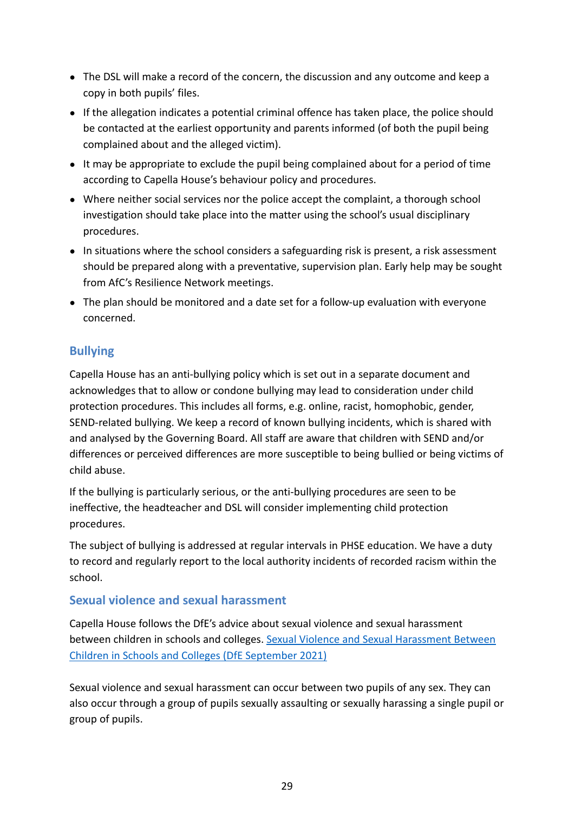- The DSL will make a record of the concern, the discussion and any outcome and keep a copy in both pupils' files.
- If the allegation indicates a potential criminal offence has taken place, the police should be contacted at the earliest opportunity and parents informed (of both the pupil being complained about and the alleged victim).
- It may be appropriate to exclude the pupil being complained about for a period of time according to Capella House's behaviour policy and procedures.
- Where neither social services nor the police accept the complaint, a thorough school investigation should take place into the matter using the school's usual disciplinary procedures.
- In situations where the school considers a safeguarding risk is present, a risk assessment should be prepared along with a preventative, supervision plan. Early help may be sought from AfC's Resilience Network meetings.
- The plan should be monitored and a date set for a follow-up evaluation with everyone concerned.

### <span id="page-31-0"></span>**Bullying**

Capella House has an anti-bullying policy which is set out in a separate document and acknowledges that to allow or condone bullying may lead to consideration under child protection procedures. This includes all forms, e.g. online, racist, homophobic, gender, SEND-related bullying. We keep a record of known bullying incidents, which is shared with and analysed by the Governing Board. All staff are aware that children with SEND and/or differences or perceived differences are more susceptible to being bullied or being victims of child abuse.

If the bullying is particularly serious, or the anti-bullying procedures are seen to be ineffective, the headteacher and DSL will consider implementing child protection procedures.

The subject of bullying is addressed at regular intervals in PHSE education. We have a duty to record and regularly report to the local authority incidents of recorded racism within the school.

### <span id="page-31-1"></span>**Sexual violence and sexual harassment**

Capella House follows the DfE's advice about sexual violence and sexual harassment between children in schools and colleges. Sexual Violence [and Sexual Harassment Between](https://www.gov.uk/government/publications/sexual-violence-and-sexual-harassment-between-children-in-schools-and-colleges) [Children in Schools and Colleges \(DfE September 2021\)](https://www.gov.uk/government/publications/sexual-violence-and-sexual-harassment-between-children-in-schools-and-colleges)

Sexual violence and sexual harassment can occur between two pupils of any sex. They can also occur through a group of pupils sexually assaulting or sexually harassing a single pupil or group of pupils.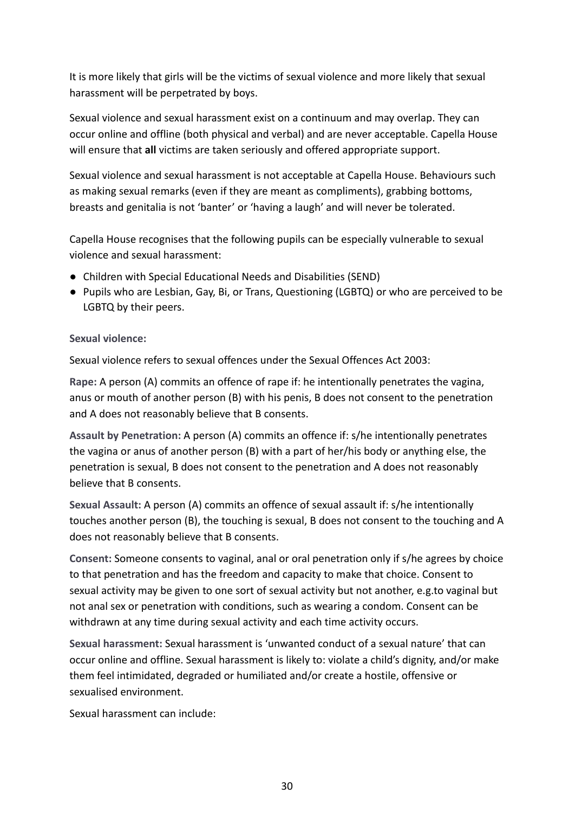It is more likely that girls will be the victims of sexual violence and more likely that sexual harassment will be perpetrated by boys.

Sexual violence and sexual harassment exist on a continuum and may overlap. They can occur online and offline (both physical and verbal) and are never acceptable. Capella House will ensure that **all** victims are taken seriously and offered appropriate support.

Sexual violence and sexual harassment is not acceptable at Capella House. Behaviours such as making sexual remarks (even if they are meant as compliments), grabbing bottoms, breasts and genitalia is not 'banter' or 'having a laugh' and will never be tolerated.

Capella House recognises that the following pupils can be especially vulnerable to sexual violence and sexual harassment:

- Children with Special Educational Needs and Disabilities (SEND)
- Pupils who are Lesbian, Gay, Bi, or Trans, Questioning (LGBTQ) or who are perceived to be LGBTQ by their peers.

#### **Sexual violence:**

Sexual violence refers to sexual offences under the Sexual Offences Act 2003:

**Rape:** A person (A) commits an offence of rape if: he intentionally penetrates the vagina, anus or mouth of another person (B) with his penis, B does not consent to the penetration and A does not reasonably believe that B consents.

**Assault by Penetration:** A person (A) commits an offence if: s/he intentionally penetrates the vagina or anus of another person (B) with a part of her/his body or anything else, the penetration is sexual, B does not consent to the penetration and A does not reasonably believe that B consents.

**Sexual Assault:** A person (A) commits an offence of sexual assault if: s/he intentionally touches another person (B), the touching is sexual, B does not consent to the touching and A does not reasonably believe that B consents.

**Consent:** Someone consents to vaginal, anal or oral penetration only if s/he agrees by choice to that penetration and has the freedom and capacity to make that choice. Consent to sexual activity may be given to one sort of sexual activity but not another, e.g.to vaginal but not anal sex or penetration with conditions, such as wearing a condom. Consent can be withdrawn at any time during sexual activity and each time activity occurs.

**Sexual harassment:** Sexual harassment is 'unwanted conduct of a sexual nature' that can occur online and offline. Sexual harassment is likely to: violate a child's dignity, and/or make them feel intimidated, degraded or humiliated and/or create a hostile, offensive or sexualised environment.

Sexual harassment can include: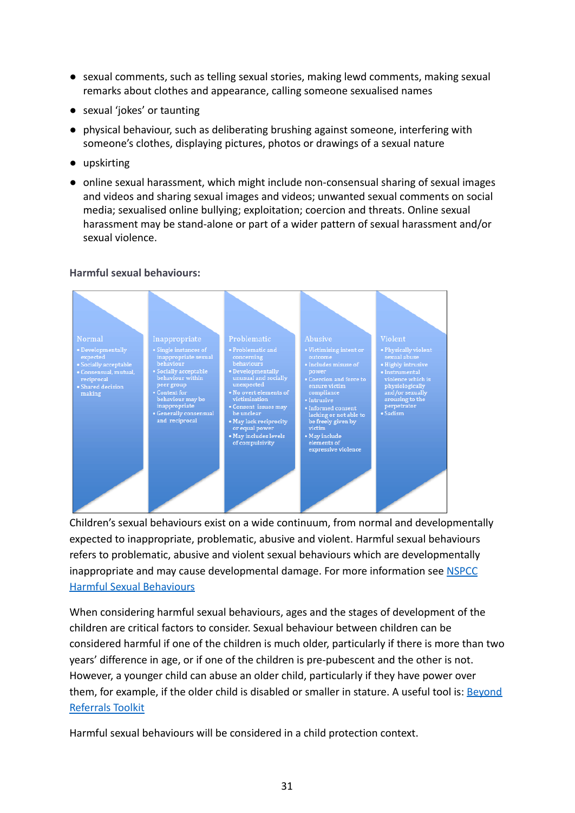- sexual comments, such as telling sexual stories, making lewd comments, making sexual remarks about clothes and appearance, calling someone sexualised names
- sexual 'jokes' or taunting
- physical behaviour, such as deliberating brushing against someone, interfering with someone's clothes, displaying pictures, photos or drawings of a sexual nature
- upskirting
- online sexual harassment, which might include non-consensual sharing of sexual images and videos and sharing sexual images and videos; unwanted sexual comments on social media; sexualised online bullying; exploitation; coercion and threats. Online sexual harassment may be stand-alone or part of a wider pattern of sexual harassment and/or sexual violence.

#### **Harmful sexual behaviours:**



Children's sexual behaviours exist on a wide continuum, from normal and developmentally expected to inappropriate, problematic, abusive and violent. Harmful sexual behaviours refers to problematic, abusive and violent sexual behaviours which are developmentally inappropriate and may cause developmental damage. For more information see [NSPCC](https://www.nspcc.org.uk/preventing-abuse/child-abuse-and-neglect/harmful-sexual-behaviour/signs-symptoms-effects/) [Harmful Sexual Behaviours](https://www.nspcc.org.uk/preventing-abuse/child-abuse-and-neglect/harmful-sexual-behaviour/signs-symptoms-effects/)

When considering harmful sexual behaviours, ages and the stages of development of the children are critical factors to consider. Sexual behaviour between children can be considered harmful if one of the children is much older, particularly if there is more than two years' difference in age, or if one of the children is pre-pubescent and the other is not. However, a younger child can abuse an older child, particularly if they have power over them, for example, if the older child is disabled or smaller in stature. A useful tool is: [Beyond](https://www.csnetwork.org.uk/assets/documents/CSN_BeyondReferrals_SchoolsGuidance_ARTWORK.pdf) [Referrals Toolkit](https://www.csnetwork.org.uk/assets/documents/CSN_BeyondReferrals_SchoolsGuidance_ARTWORK.pdf)

Harmful sexual behaviours will be considered in a child protection context.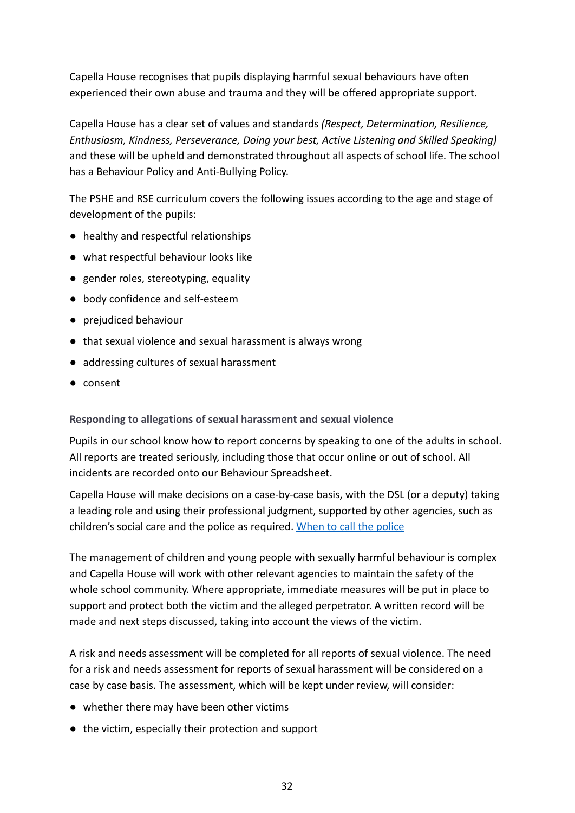Capella House recognises that pupils displaying harmful sexual behaviours have often experienced their own abuse and trauma and they will be offered appropriate support.

Capella House has a clear set of values and standards *(Respect, Determination, Resilience, Enthusiasm, Kindness, Perseverance, Doing your best, Active Listening and Skilled Speaking)* and these will be upheld and demonstrated throughout all aspects of school life. The school has a Behaviour Policy and Anti-Bullying Policy.

The PSHE and RSE curriculum covers the following issues according to the age and stage of development of the pupils:

- healthy and respectful relationships
- what respectful behaviour looks like
- gender roles, stereotyping, equality
- body confidence and self-esteem
- prejudiced behaviour
- that sexual violence and sexual harassment is always wrong
- addressing cultures of sexual harassment
- consent

### **Responding to allegations of sexual harassment and sexual violence**

Pupils in our school know how to report concerns by speaking to one of the adults in school. All reports are treated seriously, including those that occur online or out of school. All incidents are recorded onto our Behaviour Spreadsheet.

Capella House will make decisions on a case-by-case basis, with the DSL (or a deputy) taking a leading role and using their professional judgment, supported by other agencies, such as children's social care and the police as required. [When to call the police](https://www.npcc.police.uk/documents/Children%20and%20Young%20people/When%20to%20call%20the%20police%20guidance%20for%20schools%20and%20colleges.pdf)

The management of children and young people with sexually harmful behaviour is complex and Capella House will work with other relevant agencies to maintain the safety of the whole school community. Where appropriate, immediate measures will be put in place to support and protect both the victim and the alleged perpetrator. A written record will be made and next steps discussed, taking into account the views of the victim.

A risk and needs assessment will be completed for all reports of sexual violence. The need for a risk and needs assessment for reports of sexual harassment will be considered on a case by case basis. The assessment, which will be kept under review, will consider:

- whether there may have been other victims
- the victim, especially their protection and support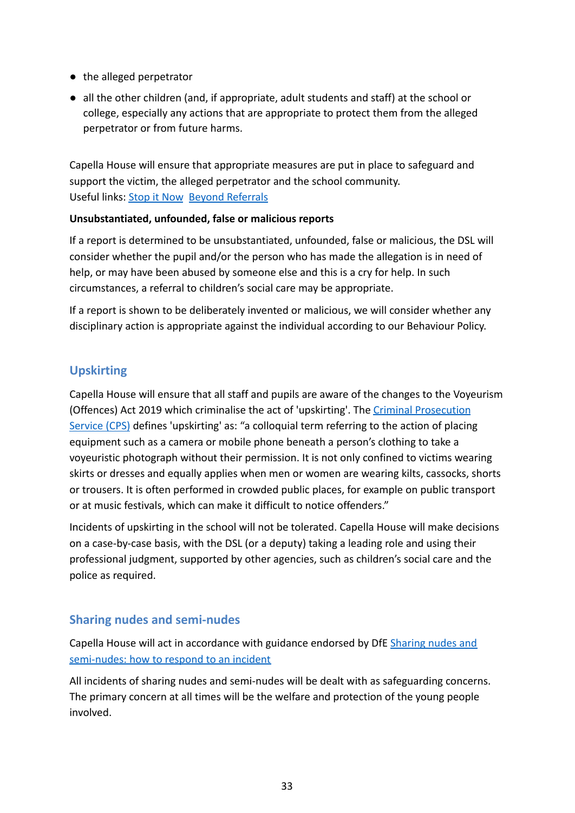- the alleged perpetrator
- all the other children (and, if appropriate, adult students and staff) at the school or college, especially any actions that are appropriate to protect them from the alleged perpetrator or from future harms.

Capella House will ensure that appropriate measures are put in place to safeguard and support the victim, the alleged perpetrator and the school community. Useful links: [Stop it Now](https://www.stopitnow.org.uk/concerned-about-a-child-or-young-persons-sexual-behaviour/preventing-harmful-sexual-behaviour/) [Beyond Referrals](https://www.csnetwork.org.uk/en/beyond-referrals-levers-for-addressing-harmful-sexual-behaviour-in-schools)

### **Unsubstantiated, unfounded, false or malicious reports**

If a report is determined to be unsubstantiated, unfounded, false or malicious, the DSL will consider whether the pupil and/or the person who has made the allegation is in need of help, or may have been abused by someone else and this is a cry for help. In such circumstances, a referral to children's social care may be appropriate.

If a report is shown to be deliberately invented or malicious, we will consider whether any disciplinary action is appropriate against the individual according to our Behaviour Policy.

### <span id="page-35-0"></span>**Upskirting**

Capella House will ensure that all staff and pupils are aware of the changes to the Voyeurism (Offences) Act 2019 which criminalise the act of 'upskirting'. The [Criminal Prosecution](https://www.cps.gov.uk/legal-guidance/voyeurism) [Service \(CPS\)](https://www.cps.gov.uk/legal-guidance/voyeurism) defines 'upskirting' as: "a colloquial term referring to the action of placing equipment such as a camera or mobile phone beneath a person's clothing to take a voyeuristic photograph without their permission. It is not only confined to victims wearing skirts or dresses and equally applies when men or women are wearing kilts, cassocks, shorts or trousers. It is often performed in crowded public places, for example on public transport or at music festivals, which can make it difficult to notice offenders."

Incidents of upskirting in the school will not be tolerated. Capella House will make decisions on a case-by-case basis, with the DSL (or a deputy) taking a leading role and using their professional judgment, supported by other agencies, such as children's social care and the police as required.

### <span id="page-35-1"></span>**Sharing nudes and semi-nudes**

Capella House will act in accordance with guidance endorsed by DfE [Sharing nudes and](https://www.gov.uk/government/publications/sharing-nudes-and-semi-nudes-advice-for-education-settings-working-with-children-and-young-people/sharing-nudes-and-semi-nudes-how-to-respond-to-an-incident-overview) [semi-nudes: how to respond to an incident](https://www.gov.uk/government/publications/sharing-nudes-and-semi-nudes-advice-for-education-settings-working-with-children-and-young-people/sharing-nudes-and-semi-nudes-how-to-respond-to-an-incident-overview)

All incidents of sharing nudes and semi-nudes will be dealt with as safeguarding concerns. The primary concern at all times will be the welfare and protection of the young people involved.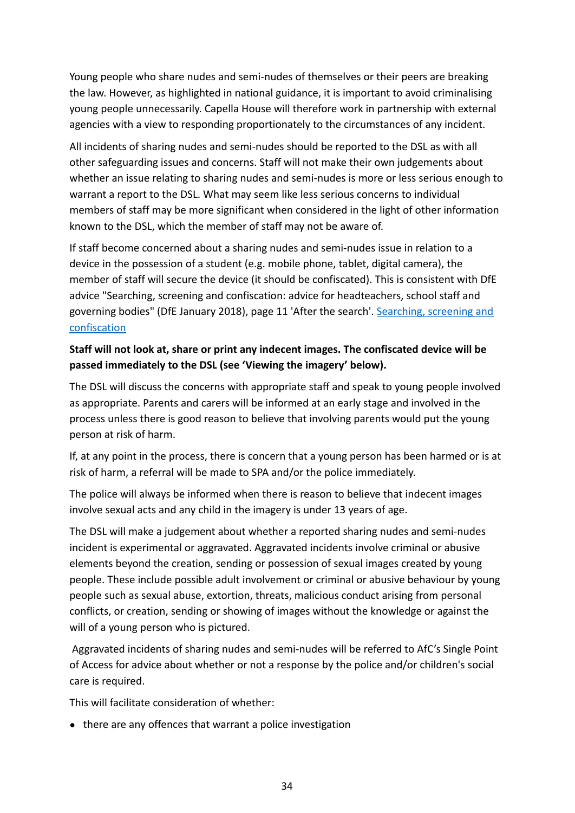Young people who share nudes and semi-nudes of themselves or their peers are breaking the law. However, as highlighted in national guidance, it is important to avoid criminalising young people unnecessarily. Capella House will therefore work in partnership with external agencies with a view to responding proportionately to the circumstances of any incident.

All incidents of sharing nudes and semi-nudes should be reported to the DSL as with all other safeguarding issues and concerns. Staff will not make their own judgements about whether an issue relating to sharing nudes and semi-nudes is more or less serious enough to warrant a report to the DSL. What may seem like less serious concerns to individual members of staff may be more significant when considered in the light of other information known to the DSL, which the member of staff may not be aware of.

If staff become concerned about a sharing nudes and semi-nudes issue in relation to a device in the possession of a student (e.g. mobile phone, tablet, digital camera), the member of staff will secure the device (it should be confiscated). This is consistent with DfE advice "Searching, screening and confiscation: advice for headteachers, school staff and governing bodies" (DfE January 2018), page 11 'After the search'. [Searching, screening and](https://www.gov.uk/government/uploads/system/uploads/attachment_data/file/554415/searching_screening_confiscation_advice_Sept_2016.pdf) [confiscation](https://www.gov.uk/government/uploads/system/uploads/attachment_data/file/554415/searching_screening_confiscation_advice_Sept_2016.pdf)

### **Staff will not look at, share or print any indecent images. The confiscated device will be passed immediately to the DSL (see 'Viewing the imagery' below).**

The DSL will discuss the concerns with appropriate staff and speak to young people involved as appropriate. Parents and carers will be informed at an early stage and involved in the process unless there is good reason to believe that involving parents would put the young person at risk of harm.

If, at any point in the process, there is concern that a young person has been harmed or is at risk of harm, a referral will be made to SPA and/or the police immediately.

The police will always be informed when there is reason to believe that indecent images involve sexual acts and any child in the imagery is under 13 years of age.

The DSL will make a judgement about whether a reported sharing nudes and semi-nudes incident is experimental or aggravated. Aggravated incidents involve criminal or abusive elements beyond the creation, sending or possession of sexual images created by young people. These include possible adult involvement or criminal or abusive behaviour by young people such as sexual abuse, extortion, threats, malicious conduct arising from personal conflicts, or creation, sending or showing of images without the knowledge or against the will of a young person who is pictured.

Aggravated incidents of sharing nudes and semi-nudes will be referred to AfC's Single Point of Access for advice about whether or not a response by the police and/or children's social care is required.

This will facilitate consideration of whether:

• there are any offences that warrant a police investigation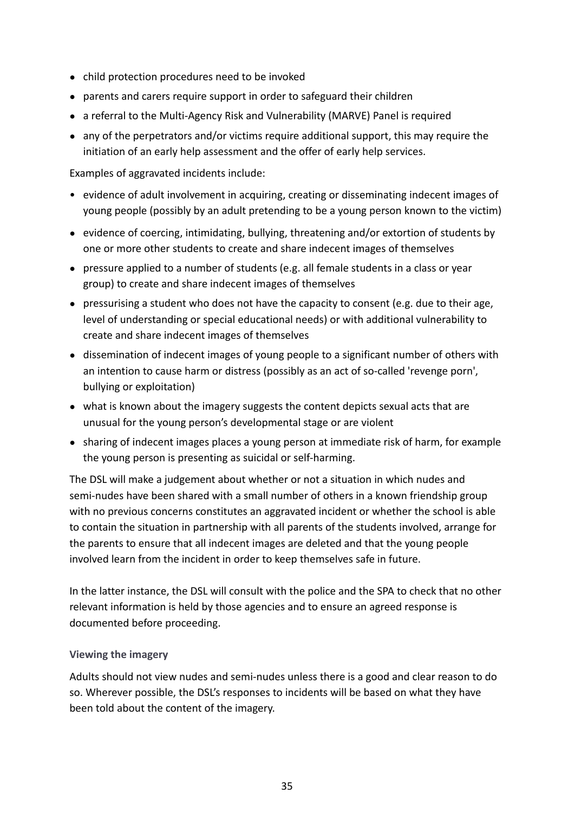- child protection procedures need to be invoked
- parents and carers require support in order to safeguard their children
- a referral to the Multi-Agency Risk and Vulnerability (MARVE) Panel is required
- any of the perpetrators and/or victims require additional support, this may require the initiation of an early help assessment and the offer of early help services.

Examples of aggravated incidents include:

- evidence of adult involvement in acquiring, creating or disseminating indecent images of young people (possibly by an adult pretending to be a young person known to the victim)
- evidence of coercing, intimidating, bullying, threatening and/or extortion of students by one or more other students to create and share indecent images of themselves
- pressure applied to a number of students (e.g. all female students in a class or year group) to create and share indecent images of themselves
- $\bullet$  pressurising a student who does not have the capacity to consent (e.g. due to their age, level of understanding or special educational needs) or with additional vulnerability to create and share indecent images of themselves
- dissemination of indecent images of young people to a significant number of others with an intention to cause harm or distress (possibly as an act of so-called 'revenge porn', bullying or exploitation)
- what is known about the imagery suggests the content depicts sexual acts that are unusual for the young person's developmental stage or are violent
- sharing of indecent images places a young person at immediate risk of harm, for example the young person is presenting as suicidal or self-harming.

The DSL will make a judgement about whether or not a situation in which nudes and semi-nudes have been shared with a small number of others in a known friendship group with no previous concerns constitutes an aggravated incident or whether the school is able to contain the situation in partnership with all parents of the students involved, arrange for the parents to ensure that all indecent images are deleted and that the young people involved learn from the incident in order to keep themselves safe in future.

In the latter instance, the DSL will consult with the police and the SPA to check that no other relevant information is held by those agencies and to ensure an agreed response is documented before proceeding.

#### **Viewing the imagery**

Adults should not view nudes and semi-nudes unless there is a good and clear reason to do so. Wherever possible, the DSL's responses to incidents will be based on what they have been told about the content of the imagery.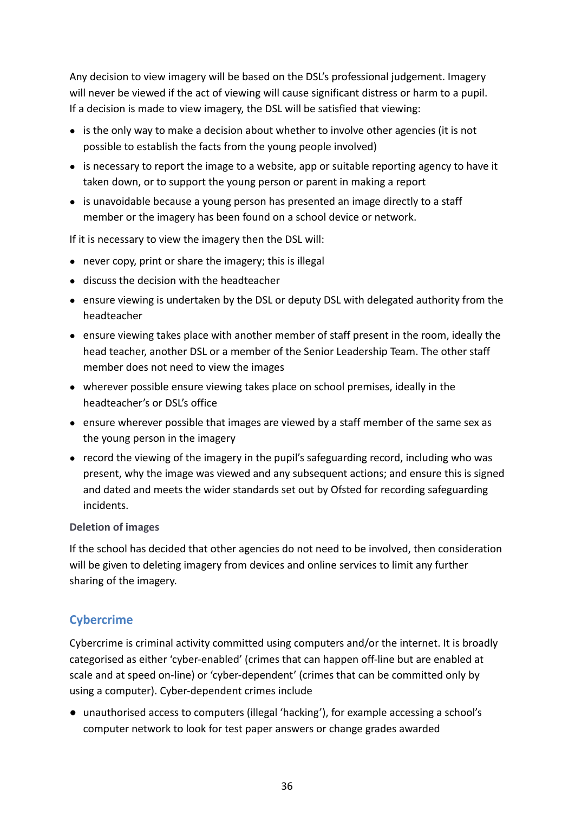Any decision to view imagery will be based on the DSL's professional judgement. Imagery will never be viewed if the act of viewing will cause significant distress or harm to a pupil. If a decision is made to view imagery, the DSL will be satisfied that viewing:

- is the only way to make a decision about whether to involve other agencies (it is not possible to establish the facts from the young people involved)
- is necessary to report the image to a website, app or suitable reporting agency to have it taken down, or to support the young person or parent in making a report
- is unavoidable because a young person has presented an image directly to a staff member or the imagery has been found on a school device or network.

If it is necessary to view the imagery then the DSL will:

- never copy, print or share the imagery; this is illegal
- discuss the decision with the headteacher
- ensure viewing is undertaken by the DSL or deputy DSL with delegated authority from the headteacher
- ensure viewing takes place with another member of staff present in the room, ideally the head teacher, another DSL or a member of the Senior Leadership Team. The other staff member does not need to view the images
- wherever possible ensure viewing takes place on school premises, ideally in the headteacher's or DSL's office
- ensure wherever possible that images are viewed by a staff member of the same sex as the young person in the imagery
- record the viewing of the imagery in the pupil's safeguarding record, including who was present, why the image was viewed and any subsequent actions; and ensure this is signed and dated and meets the wider standards set out by Ofsted for recording safeguarding incidents.

#### **Deletion of images**

If the school has decided that other agencies do not need to be involved, then consideration will be given to deleting imagery from devices and online services to limit any further sharing of the imagery.

### <span id="page-38-0"></span>**Cybercrime**

Cybercrime is criminal activity committed using computers and/or the internet. It is broadly categorised as either 'cyber-enabled' (crimes that can happen off-line but are enabled at scale and at speed on-line) or 'cyber-dependent' (crimes that can be committed only by using a computer). Cyber-dependent crimes include

● unauthorised access to computers (illegal 'hacking'), for example accessing a school's computer network to look for test paper answers or change grades awarded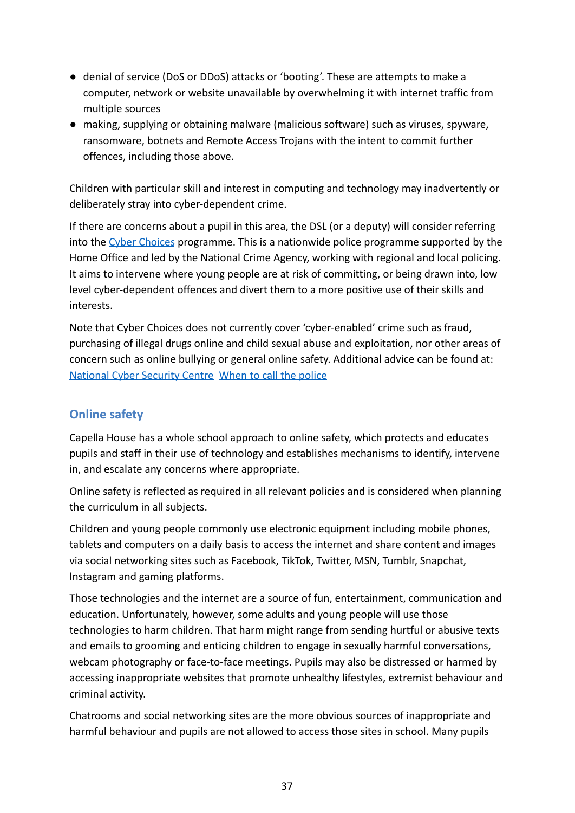- denial of service (DoS or DDoS) attacks or 'booting'. These are attempts to make a computer, network or website unavailable by overwhelming it with internet traffic from multiple sources
- making, supplying or obtaining malware (malicious software) such as viruses, spyware, ransomware, botnets and Remote Access Trojans with the intent to commit further offences, including those above.

Children with particular skill and interest in computing and technology may inadvertently or deliberately stray into cyber-dependent crime.

If there are concerns about a pupil in this area, the DSL (or a deputy) will consider referring into the [Cyber Choices](https://nationalcrimeagency.gov.uk/what-we-do/crime-threats/cyber-crime/cyberchoices) programme. This is a nationwide police programme supported by the Home Office and led by the National Crime Agency, working with regional and local policing. It aims to intervene where young people are at risk of committing, or being drawn into, low level cyber-dependent offences and divert them to a more positive use of their skills and interests.

Note that Cyber Choices does not currently cover 'cyber-enabled' crime such as fraud, purchasing of illegal drugs online and child sexual abuse and exploitation, nor other areas of concern such as online bullying or general online safety. Additional advice can be found at: [National Cyber Security Centre](https://www.ncsc.gov.uk/) [When to call the police](https://www.npcc.police.uk/documents/Children%20and%20Young%20people/When%20to%20call%20the%20police%20guidance%20for%20schools%20and%20colleges.pdf)

### <span id="page-39-0"></span>**Online safety**

Capella House has a whole school approach to online safety, which protects and educates pupils and staff in their use of technology and establishes mechanisms to identify, intervene in, and escalate any concerns where appropriate.

Online safety is reflected as required in all relevant policies and is considered when planning the curriculum in all subjects.

Children and young people commonly use electronic equipment including mobile phones, tablets and computers on a daily basis to access the internet and share content and images via social networking sites such as Facebook, TikTok, Twitter, MSN, Tumblr, Snapchat, Instagram and gaming platforms.

Those technologies and the internet are a source of fun, entertainment, communication and education. Unfortunately, however, some adults and young people will use those technologies to harm children. That harm might range from sending hurtful or abusive texts and emails to grooming and enticing children to engage in sexually harmful conversations, webcam photography or face-to-face meetings. Pupils may also be distressed or harmed by accessing inappropriate websites that promote unhealthy lifestyles, extremist behaviour and criminal activity.

Chatrooms and social networking sites are the more obvious sources of inappropriate and harmful behaviour and pupils are not allowed to access those sites in school. Many pupils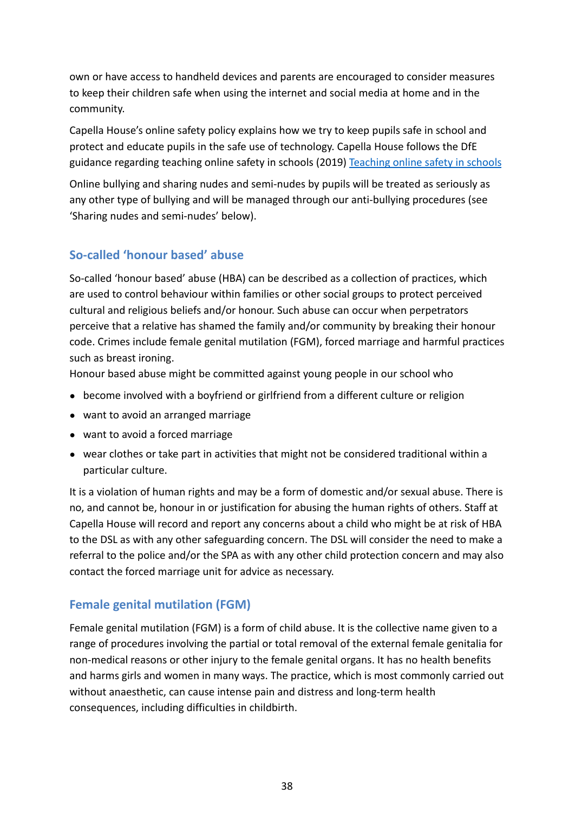own or have access to handheld devices and parents are encouraged to consider measures to keep their children safe when using the internet and social media at home and in the community.

Capella House's online safety policy explains how we try to keep pupils safe in school and protect and educate pupils in the safe use of technology. Capella House follows the DfE guidance regarding teaching online safety in schools (2019) [Teaching online safety in schools](https://www.gov.uk/government/publications/teaching-online-safety-in-schools)

Online bullying and sharing nudes and semi-nudes by pupils will be treated as seriously as any other type of bullying and will be managed through our anti-bullying procedures (see 'Sharing nudes and semi-nudes' below).

### <span id="page-40-0"></span>**So-called 'honour based' abuse**

So-called 'honour based' abuse (HBA) can be described as a collection of practices, which are used to control behaviour within families or other social groups to protect perceived cultural and religious beliefs and/or honour. Such abuse can occur when perpetrators perceive that a relative has shamed the family and/or community by breaking their honour code. Crimes include female genital mutilation (FGM), forced marriage and harmful practices such as breast ironing.

Honour based abuse might be committed against young people in our school who

- become involved with a boyfriend or girlfriend from a different culture or religion
- want to avoid an arranged marriage
- want to avoid a forced marriage
- wear clothes or take part in activities that might not be considered traditional within a particular culture.

It is a violation of human rights and may be a form of domestic and/or sexual abuse. There is no, and cannot be, honour in or justification for abusing the human rights of others. Staff at Capella House will record and report any concerns about a child who might be at risk of HBA to the DSL as with any other safeguarding concern. The DSL will consider the need to make a referral to the police and/or the SPA as with any other child protection concern and may also contact the forced marriage unit for advice as necessary.

### <span id="page-40-1"></span>**Female genital mutilation (FGM)**

Female genital mutilation (FGM) is a form of child abuse. It is the collective name given to a range of procedures involving the partial or total removal of the external female genitalia for non-medical reasons or other injury to the female genital organs. It has no health benefits and harms girls and women in many ways. The practice, which is most commonly carried out without anaesthetic, can cause intense pain and distress and long-term health consequences, including difficulties in childbirth.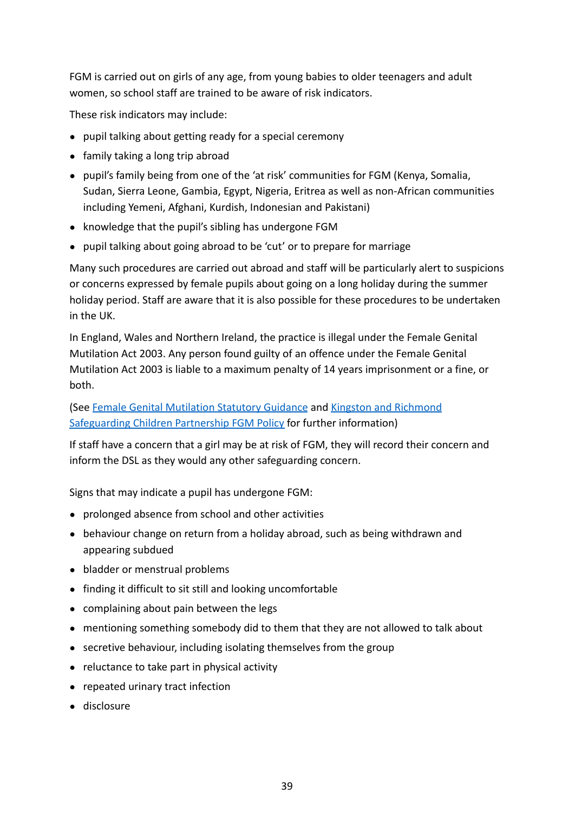FGM is carried out on girls of any age, from young babies to older teenagers and adult women, so school staff are trained to be aware of risk indicators.

These risk indicators may include:

- pupil talking about getting ready for a special ceremony
- family taking a long trip abroad
- pupil's family being from one of the 'at risk' communities for FGM (Kenya, Somalia, Sudan, Sierra Leone, Gambia, Egypt, Nigeria, Eritrea as well as non-African communities including Yemeni, Afghani, Kurdish, Indonesian and Pakistani)
- knowledge that the pupil's sibling has undergone FGM
- pupil talking about going abroad to be 'cut' or to prepare for marriage

Many such procedures are carried out abroad and staff will be particularly alert to suspicions or concerns expressed by female pupils about going on a long holiday during the summer holiday period. Staff are aware that it is also possible for these procedures to be undertaken in the UK.

In England, Wales and Northern Ireland, the practice is illegal under the Female Genital Mutilation Act 2003. Any person found guilty of an offence under the Female Genital Mutilation Act 2003 is liable to a maximum penalty of 14 years imprisonment or a fine, or both.

(See [Female Genital Mutilation Statutory Guidance](https://www.gov.uk/government/publications/female-genital-mutilation-guidelines) and [Kingston and Richmond](https://kingstonandrichmondlscb.org.uk/news-resources/policies-and-procedures-87/female-genital-mutilation-policy-203.php) [Safeguarding Children Partnership FGM Policy](https://kingstonandrichmondlscb.org.uk/news-resources/policies-and-procedures-87/female-genital-mutilation-policy-203.php) for further information)

If staff have a concern that a girl may be at risk of FGM, they will record their concern and inform the DSL as they would any other safeguarding concern.

Signs that may indicate a pupil has undergone FGM:

- prolonged absence from school and other activities
- behaviour change on return from a holiday abroad, such as being withdrawn and appearing subdued
- bladder or menstrual problems
- finding it difficult to sit still and looking uncomfortable
- complaining about pain between the legs
- mentioning something somebody did to them that they are not allowed to talk about
- secretive behaviour, including isolating themselves from the group
- reluctance to take part in physical activity
- repeated urinary tract infection
- disclosure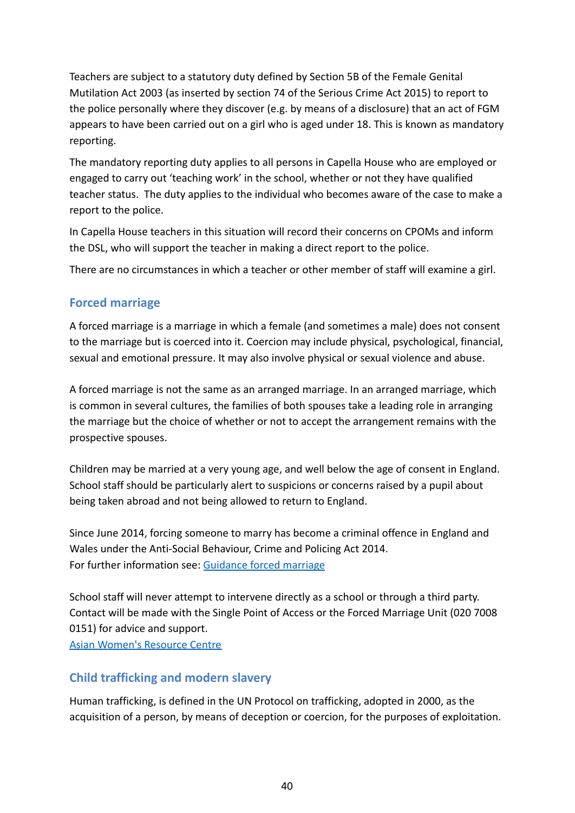Teachers are subject to a statutory duty defined by Section 5B of the Female Genital Mutilation Act 2003 (as inserted by section 74 of the Serious Crime Act 2015) to report to the police personally where they discover (e.g. by means of a disclosure) that an act of FGM appears to have been carried out on a girl who is aged under 18. This is known as mandatory reporting.

The mandatory reporting duty applies to all persons in Capella House who are employed or engaged to carry out 'teaching work' in the school, whether or not they have qualified teacher status. The duty applies to the individual who becomes aware of the case to make a report to the police.

In Capella House teachers in this situation will record their concerns on CPOMs and inform the DSL, who will support the teacher in making a direct report to the police.

There are no circumstances in which a teacher or other member of staff will examine a girl.

### <span id="page-42-0"></span>**Forced marriage**

A forced marriage is a marriage in which a female (and sometimes a male) does not consent to the marriage but is coerced into it. Coercion may include physical, psychological, financial, sexual and emotional pressure. It may also involve physical or sexual violence and abuse.

A forced marriage is not the same as an arranged marriage. In an arranged marriage, which is common in several cultures, the families of both spouses take a leading role in arranging the marriage but the choice of whether or not to accept the arrangement remains with the prospective spouses.

Children may be married at a very young age, and well below the age of consent in England. School staff should be particularly alert to suspicions or concerns raised by a pupil about being taken abroad and not being allowed to return to England.

Since June 2014, forcing someone to marry has become a criminal offence in England and Wales under the Anti-Social Behaviour, Crime and Policing Act 2014. For further information see: [Guidance forced marriage](https://www.gov.uk/guidance/forced-marriage)

School staff will never attempt to intervene directly as a school or through a third party. Contact will be made with the Single Point of Access or the Forced Marriage Unit (020 7008 0151) for advice and support. [Asian Women's Resource Centre](https://www.asianwomencentre.org.uk/)

### <span id="page-42-1"></span>**Child trafficking and modern slavery**

Human trafficking, is defined in the UN Protocol on trafficking, adopted in 2000, as the acquisition of a person, by means of deception or coercion, for the purposes of exploitation.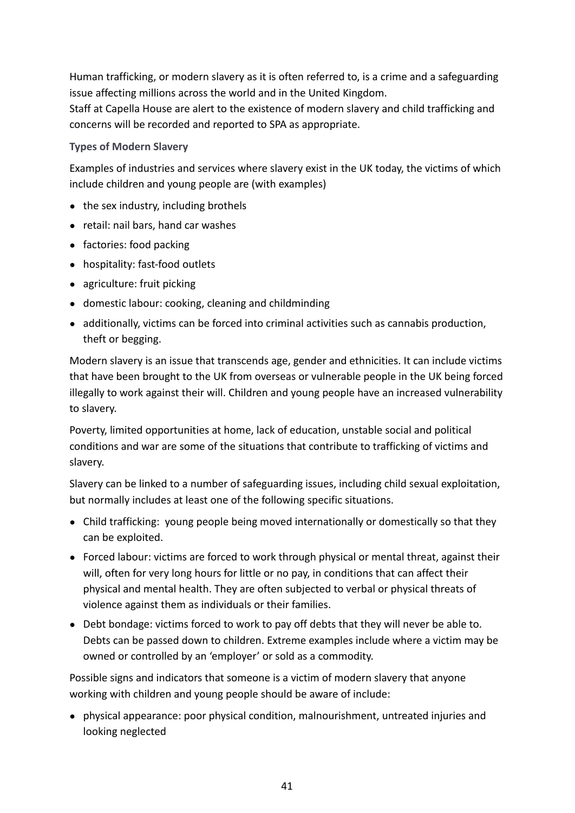Human trafficking, or modern slavery as it is often referred to, is a crime and a safeguarding issue affecting millions across the world and in the United Kingdom.

Staff at Capella House are alert to the existence of modern slavery and child trafficking and concerns will be recorded and reported to SPA as appropriate.

### **Types of Modern Slavery**

Examples of industries and services where slavery exist in the UK today, the victims of which include children and young people are (with examples)

- the sex industry, including brothels
- retail: nail bars, hand car washes
- factories: food packing
- hospitality: fast-food outlets
- agriculture: fruit picking
- domestic labour: cooking, cleaning and childminding
- additionally, victims can be forced into criminal activities such as cannabis production, theft or begging.

Modern slavery is an issue that transcends age, gender and ethnicities. It can include victims that have been brought to the UK from overseas or vulnerable people in the UK being forced illegally to work against their will. Children and young people have an increased vulnerability to slavery.

Poverty, limited opportunities at home, lack of education, unstable social and political conditions and war are some of the situations that contribute to trafficking of victims and slavery.

Slavery can be linked to a number of safeguarding issues, including child sexual exploitation, but normally includes at least one of the following specific situations.

- Child trafficking: young people being moved internationally or domestically so that they can be exploited.
- Forced labour: victims are forced to work through physical or mental threat, against their will, often for very long hours for little or no pay, in conditions that can affect their physical and mental health. They are often subjected to verbal or physical threats of violence against them as individuals or their families.
- Debt bondage: victims forced to work to pay off debts that they will never be able to. Debts can be passed down to children. Extreme examples include where a victim may be owned or controlled by an 'employer' or sold as a commodity.

Possible signs and indicators that someone is a victim of modern slavery that anyone working with children and young people should be aware of include:

● physical appearance: poor physical condition, malnourishment, untreated injuries and looking neglected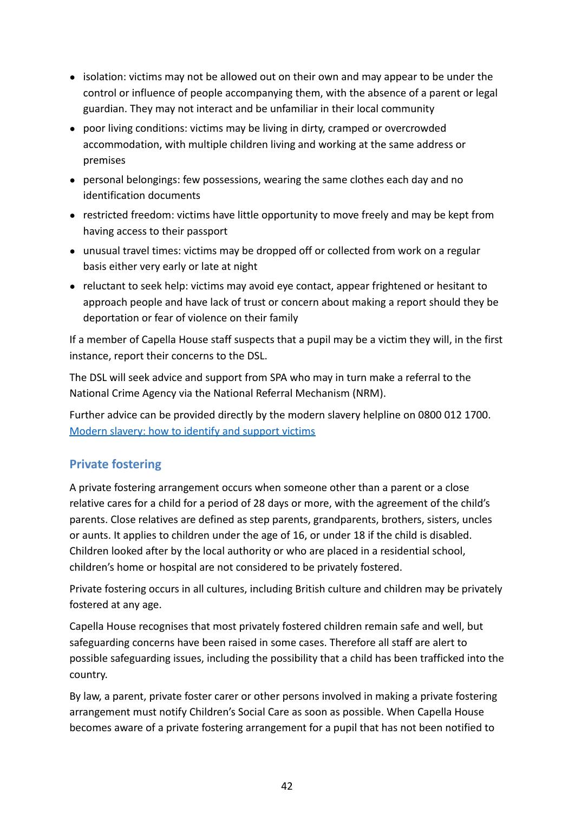- isolation: victims may not be allowed out on their own and may appear to be under the control or influence of people accompanying them, with the absence of a parent or legal guardian. They may not interact and be unfamiliar in their local community
- poor living conditions: victims may be living in dirty, cramped or overcrowded accommodation, with multiple children living and working at the same address or premises
- personal belongings: few possessions, wearing the same clothes each day and no identification documents
- restricted freedom: victims have little opportunity to move freely and may be kept from having access to their passport
- unusual travel times: victims may be dropped off or collected from work on a regular basis either very early or late at night
- reluctant to seek help: victims may avoid eye contact, appear frightened or hesitant to approach people and have lack of trust or concern about making a report should they be deportation or fear of violence on their family

If a member of Capella House staff suspects that a pupil may be a victim they will, in the first instance, report their concerns to the DSL.

The DSL will seek advice and support from SPA who may in turn make a referral to the National Crime Agency via the National Referral Mechanism (NRM).

Further advice can be provided directly by the modern slavery helpline on 0800 012 1700. [Modern slavery: how to identify and support victims](https://www.gov.uk/government/publications/modern-slavery-how-to-identify-and-support-victims)

### <span id="page-44-0"></span>**Private fostering**

A private fostering arrangement occurs when someone other than a parent or a close relative cares for a child for a period of 28 days or more, with the agreement of the child's parents. Close relatives are defined as step parents, grandparents, brothers, sisters, uncles or aunts. It applies to children under the age of 16, or under 18 if the child is disabled. Children looked after by the local authority or who are placed in a residential school, children's home or hospital are not considered to be privately fostered.

Private fostering occurs in all cultures, including British culture and children may be privately fostered at any age.

Capella House recognises that most privately fostered children remain safe and well, but safeguarding concerns have been raised in some cases. Therefore all staff are alert to possible safeguarding issues, including the possibility that a child has been trafficked into the country.

By law, a parent, private foster carer or other persons involved in making a private fostering arrangement must notify Children's Social Care as soon as possible. When Capella House becomes aware of a private fostering arrangement for a pupil that has not been notified to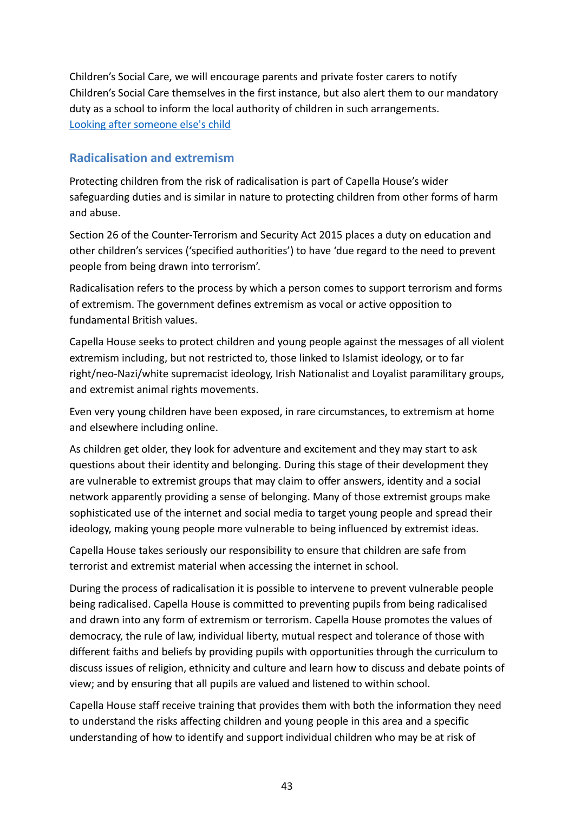Children's Social Care, we will encourage parents and private foster carers to notify Children's Social Care themselves in the first instance, but also alert them to our mandatory duty as a school to inform the local authority of children in such arrangements. [Looking after someone else's child](https://www.gov.uk/looking-after-someone-elses-child)

### <span id="page-45-0"></span>**Radicalisation and extremism**

Protecting children from the risk of radicalisation is part of Capella House's wider safeguarding duties and is similar in nature to protecting children from other forms of harm and abuse.

Section 26 of the Counter-Terrorism and Security Act 2015 places a duty on education and other children's services ('specified authorities') to have 'due regard to the need to prevent people from being drawn into terrorism'.

Radicalisation refers to the process by which a person comes to support terrorism and forms of extremism. The government defines extremism as vocal or active opposition to fundamental British values.

Capella House seeks to protect children and young people against the messages of all violent extremism including, but not restricted to, those linked to Islamist ideology, or to far right/neo-Nazi/white supremacist ideology, Irish Nationalist and Loyalist paramilitary groups, and extremist animal rights movements.

Even very young children have been exposed, in rare circumstances, to extremism at home and elsewhere including online.

As children get older, they look for adventure and excitement and they may start to ask questions about their identity and belonging. During this stage of their development they are vulnerable to extremist groups that may claim to offer answers, identity and a social network apparently providing a sense of belonging. Many of those extremist groups make sophisticated use of the internet and social media to target young people and spread their ideology, making young people more vulnerable to being influenced by extremist ideas.

Capella House takes seriously our responsibility to ensure that children are safe from terrorist and extremist material when accessing the internet in school.

During the process of radicalisation it is possible to intervene to prevent vulnerable people being radicalised. Capella House is committed to preventing pupils from being radicalised and drawn into any form of extremism or terrorism. Capella House promotes the values of democracy, the rule of law, individual liberty, mutual respect and tolerance of those with different faiths and beliefs by providing pupils with opportunities through the curriculum to discuss issues of religion, ethnicity and culture and learn how to discuss and debate points of view; and by ensuring that all pupils are valued and listened to within school.

Capella House staff receive training that provides them with both the information they need to understand the risks affecting children and young people in this area and a specific understanding of how to identify and support individual children who may be at risk of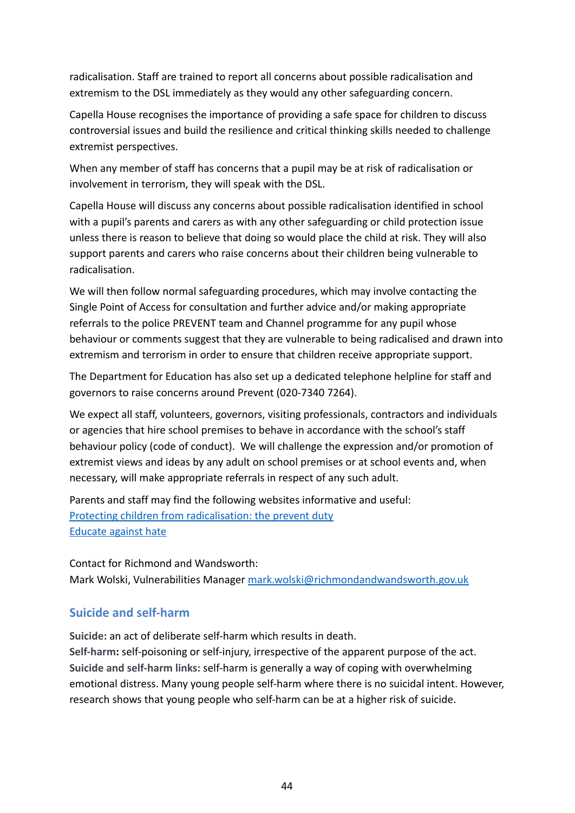radicalisation. Staff are trained to report all concerns about possible radicalisation and extremism to the DSL immediately as they would any other safeguarding concern.

Capella House recognises the importance of providing a safe space for children to discuss controversial issues and build the resilience and critical thinking skills needed to challenge extremist perspectives.

When any member of staff has concerns that a pupil may be at risk of radicalisation or involvement in terrorism, they will speak with the DSL.

Capella House will discuss any concerns about possible radicalisation identified in school with a pupil's parents and carers as with any other safeguarding or child protection issue unless there is reason to believe that doing so would place the child at risk. They will also support parents and carers who raise concerns about their children being vulnerable to radicalisation.

We will then follow normal safeguarding procedures, which may involve contacting the Single Point of Access for consultation and further advice and/or making appropriate referrals to the police PREVENT team and Channel programme for any pupil whose behaviour or comments suggest that they are vulnerable to being radicalised and drawn into extremism and terrorism in order to ensure that children receive appropriate support.

The Department for Education has also set up a dedicated telephone helpline for staff and governors to raise concerns around Prevent (020-7340 7264).

We expect all staff, volunteers, governors, visiting professionals, contractors and individuals or agencies that hire school premises to behave in accordance with the school's staff behaviour policy (code of conduct). We will challenge the expression and/or promotion of extremist views and ideas by any adult on school premises or at school events and, when necessary, will make appropriate referrals in respect of any such adult.

Parents and staff may find the following websites informative and useful: [Protecting children from radicalisation: the prevent duty](https://www.gov.uk/government/publications/protecting-children-from-radicalisation-the-prevent-duty) [Educate against hate](http://educateagainsthate.com/)

Contact for Richmond and Wandsworth: Mark Wolski, Vulnerabilities Manager [mark.wolski@richmondandwandsworth.gov.uk](http://mark.wolski@richmondandwandsworth.gov.uk)

### <span id="page-46-0"></span>**Suicide and self-harm**

**Suicide:** an act of deliberate self-harm which results in death.

**Self-harm:** self-poisoning or self-injury, irrespective of the apparent purpose of the act. **Suicide and self-harm links:** self-harm is generally a way of coping with overwhelming emotional distress. Many young people self-harm where there is no suicidal intent. However, research shows that young people who self-harm can be at a higher risk of suicide.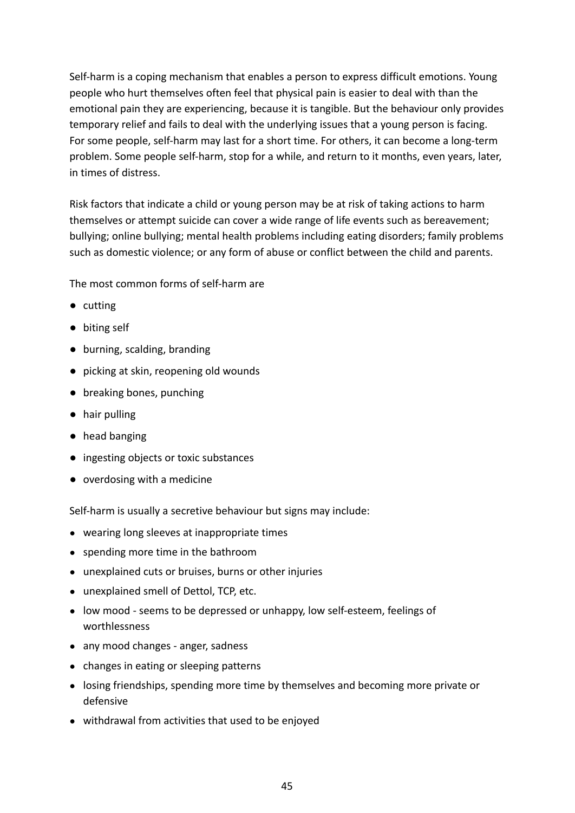Self-harm is a coping mechanism that enables a person to express difficult emotions. Young people who hurt themselves often feel that physical pain is easier to deal with than the emotional pain they are experiencing, because it is tangible. But the behaviour only provides temporary relief and fails to deal with the underlying issues that a young person is facing. For some people, self-harm may last for a short time. For others, it can become a long-term problem. Some people self-harm, stop for a while, and return to it months, even years, later, in times of distress.

Risk factors that indicate a child or young person may be at risk of taking actions to harm themselves or attempt suicide can cover a wide range of life events such as bereavement; bullying; online bullying; mental health problems including eating disorders; family problems such as domestic violence; or any form of abuse or conflict between the child and parents.

The most common forms of self-harm are

- cutting
- biting self
- burning, scalding, branding
- picking at skin, reopening old wounds
- breaking bones, punching
- hair pulling
- head banging
- ingesting objects or toxic substances
- overdosing with a medicine

Self-harm is usually a secretive behaviour but signs may include:

- wearing long sleeves at inappropriate times
- spending more time in the bathroom
- unexplained cuts or bruises, burns or other injuries
- unexplained smell of Dettol, TCP, etc.
- low mood seems to be depressed or unhappy, low self-esteem, feelings of worthlessness
- any mood changes anger, sadness
- changes in eating or sleeping patterns
- losing friendships, spending more time by themselves and becoming more private or defensive
- withdrawal from activities that used to be enjoyed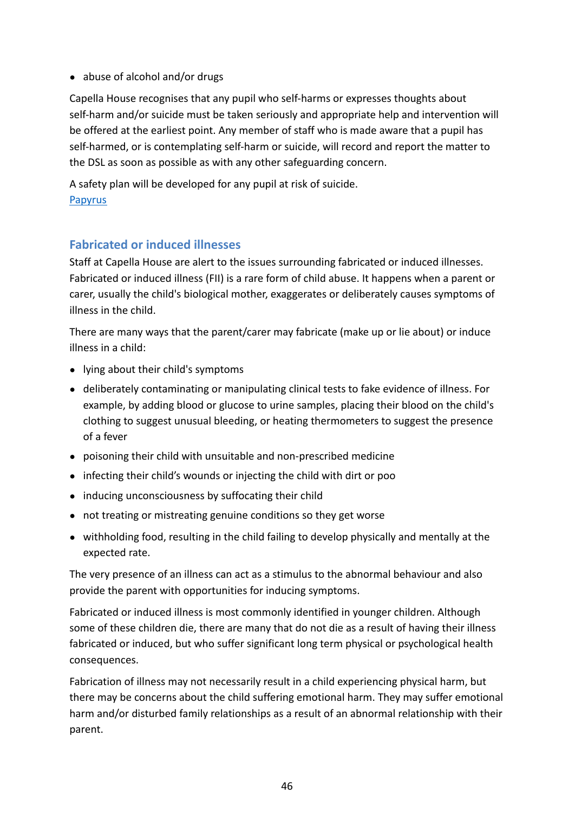• abuse of alcohol and/or drugs

Capella House recognises that any pupil who self-harms or expresses thoughts about self-harm and/or suicide must be taken seriously and appropriate help and intervention will be offered at the earliest point. Any member of staff who is made aware that a pupil has self-harmed, or is contemplating self-harm or suicide, will record and report the matter to the DSL as soon as possible as with any other safeguarding concern.

A safety plan will be developed for any pupil at risk of suicide. **[Papyrus](https://www.papyrus-uk.org/suicide-prevention/)** 

### <span id="page-48-0"></span>**Fabricated or induced illnesses**

Staff at Capella House are alert to the issues surrounding fabricated or induced illnesses. Fabricated or induced illness (FII) is a rare form of child abuse. It happens when a parent or carer, usually the child's biological mother, exaggerates or deliberately causes symptoms of illness in the child.

There are many ways that the parent/carer may fabricate (make up or lie about) or induce illness in a child:

- lying about their child's symptoms
- deliberately contaminating or manipulating clinical tests to fake evidence of illness. For example, by adding blood or glucose to urine samples, placing their blood on the child's clothing to suggest unusual bleeding, or heating thermometers to suggest the presence of a fever
- poisoning their child with unsuitable and non-prescribed medicine
- infecting their child's wounds or injecting the child with dirt or poo
- inducing unconsciousness by suffocating their child
- not treating or mistreating genuine conditions so they get worse
- withholding food, resulting in the child failing to develop physically and mentally at the expected rate.

The very presence of an illness can act as a stimulus to the abnormal behaviour and also provide the parent with opportunities for inducing symptoms.

Fabricated or induced illness is most commonly identified in younger children. Although some of these children die, there are many that do not die as a result of having their illness fabricated or induced, but who suffer significant long term physical or psychological health consequences.

Fabrication of illness may not necessarily result in a child experiencing physical harm, but there may be concerns about the child suffering emotional harm. They may suffer emotional harm and/or disturbed family relationships as a result of an abnormal relationship with their parent.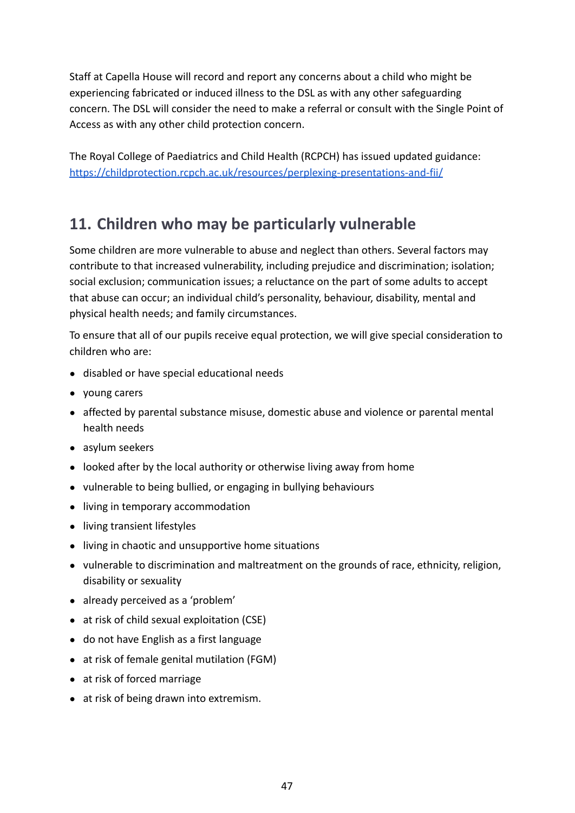Staff at Capella House will record and report any concerns about a child who might be experiencing fabricated or induced illness to the DSL as with any other safeguarding concern. The DSL will consider the need to make a referral or consult with the Single Point of Access as with any other child protection concern.

The Royal College of Paediatrics and Child Health (RCPCH) has issued updated guidance: <https://childprotection.rcpch.ac.uk/resources/perplexing-presentations-and-fii/>

# <span id="page-49-0"></span>**11. Children who may be particularly vulnerable**

Some children are more vulnerable to abuse and neglect than others. Several factors may contribute to that increased vulnerability, including prejudice and discrimination; isolation; social exclusion; communication issues; a reluctance on the part of some adults to accept that abuse can occur; an individual child's personality, behaviour, disability, mental and physical health needs; and family circumstances.

To ensure that all of our pupils receive equal protection, we will give special consideration to children who are:

- disabled or have special educational needs
- young carers
- affected by parental substance misuse, domestic abuse and violence or parental mental health needs
- asylum seekers
- looked after by the local authority or otherwise living away from home
- vulnerable to being bullied, or engaging in bullying behaviours
- living in temporary accommodation
- living transient lifestyles
- living in chaotic and unsupportive home situations
- vulnerable to discrimination and maltreatment on the grounds of race, ethnicity, religion, disability or sexuality
- already perceived as a 'problem'
- at risk of child sexual exploitation (CSE)
- do not have English as a first language
- at risk of female genital mutilation (FGM)
- at risk of forced marriage
- at risk of being drawn into extremism.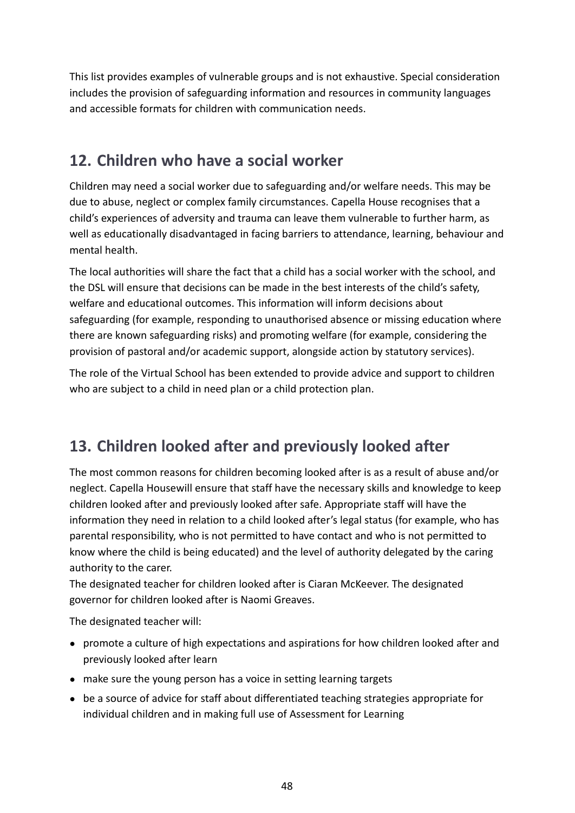This list provides examples of vulnerable groups and is not exhaustive. Special consideration includes the provision of safeguarding information and resources in community languages and accessible formats for children with communication needs.

# <span id="page-50-0"></span>**12. Children who have a social worker**

Children may need a social worker due to safeguarding and/or welfare needs. This may be due to abuse, neglect or complex family circumstances. Capella House recognises that a child's experiences of adversity and trauma can leave them vulnerable to further harm, as well as educationally disadvantaged in facing barriers to attendance, learning, behaviour and mental health.

The local authorities will share the fact that a child has a social worker with the school, and the DSL will ensure that decisions can be made in the best interests of the child's safety, welfare and educational outcomes. This information will inform decisions about safeguarding (for example, responding to unauthorised absence or missing education where there are known safeguarding risks) and promoting welfare (for example, considering the provision of pastoral and/or academic support, alongside action by statutory services).

The role of the Virtual School has been extended to provide advice and support to children who are subject to a child in need plan or a child protection plan.

# <span id="page-50-1"></span>**13. Children looked after and previously looked after**

The most common reasons for children becoming looked after is as a result of abuse and/or neglect. Capella Housewill ensure that staff have the necessary skills and knowledge to keep children looked after and previously looked after safe. Appropriate staff will have the information they need in relation to a child looked after's legal status (for example, who has parental responsibility, who is not permitted to have contact and who is not permitted to know where the child is being educated) and the level of authority delegated by the caring authority to the carer.

The designated teacher for children looked after is Ciaran McKeever. The designated governor for children looked after is Naomi Greaves.

The designated teacher will:

- promote a culture of high expectations and aspirations for how children looked after and previously looked after learn
- make sure the young person has a voice in setting learning targets
- be a source of advice for staff about differentiated teaching strategies appropriate for individual children and in making full use of Assessment for Learning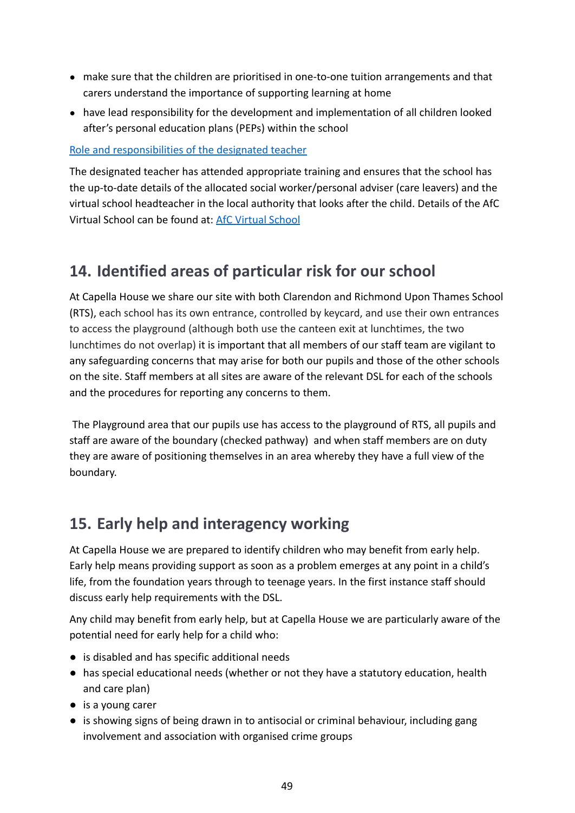- make sure that the children are prioritised in one-to-one tuition arrangements and that carers understand the importance of supporting learning at home
- have lead responsibility for the development and implementation of all children looked after's personal education plans (PEPs) within the school

### [Role and responsibilities of the designated teacher](https://www.gov.uk/government/uploads/system/uploads/attachment_data/file/269764/role_and_responsibilities_of_the_designated_teacher_for_looked_after_children.pdf)

The designated teacher has attended appropriate training and ensures that the school has the up-to-date details of the allocated social worker/personal adviser (care leavers) and the virtual school headteacher in the local authority that looks after the child. Details of the AfC Virtual School can be found at: [AfC Virtual School](http://www.afcvirtualschool.org.uk/)

# <span id="page-51-0"></span>**14. Identified areas of particular risk for our school**

At Capella House we share our site with both Clarendon and Richmond Upon Thames School (RTS), each school has its own entrance, controlled by keycard, and use their own entrances to access the playground (although both use the canteen exit at lunchtimes, the two lunchtimes do not overlap) it is important that all members of our staff team are vigilant to any safeguarding concerns that may arise for both our pupils and those of the other schools on the site. Staff members at all sites are aware of the relevant DSL for each of the schools and the procedures for reporting any concerns to them.

The Playground area that our pupils use has access to the playground of RTS, all pupils and staff are aware of the boundary (checked pathway) and when staff members are on duty they are aware of positioning themselves in an area whereby they have a full view of the boundary.

# <span id="page-51-1"></span>**15. Early help and interagency working**

At Capella House we are prepared to identify children who may benefit from early help. Early help means providing support as soon as a problem emerges at any point in a child's life, from the foundation years through to teenage years. In the first instance staff should discuss early help requirements with the DSL.

Any child may benefit from early help, but at Capella House we are particularly aware of the potential need for early help for a child who:

- is disabled and has specific additional needs
- has special educational needs (whether or not they have a statutory education, health and care plan)
- is a young carer
- is showing signs of being drawn in to antisocial or criminal behaviour, including gang involvement and association with organised crime groups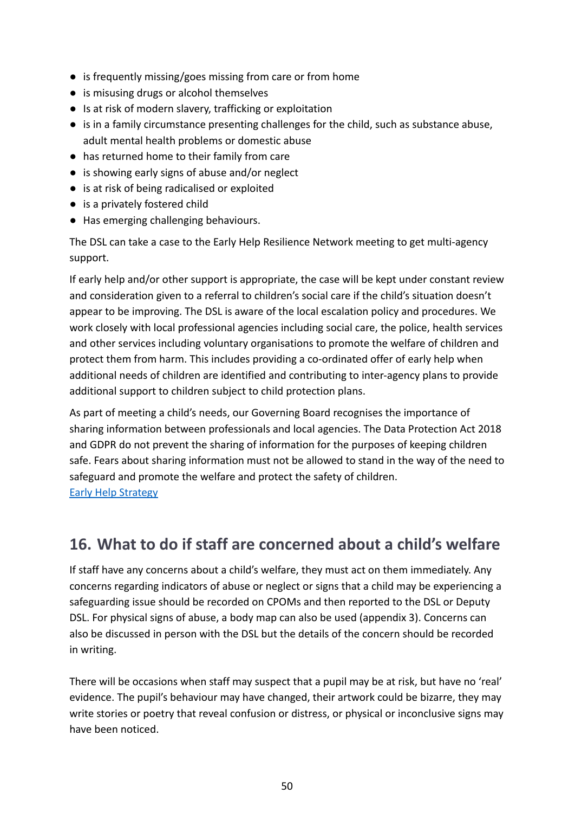- is frequently missing/goes missing from care or from home
- is misusing drugs or alcohol themselves
- Is at risk of modern slavery, trafficking or exploitation
- is in a family circumstance presenting challenges for the child, such as substance abuse, adult mental health problems or domestic abuse
- has returned home to their family from care
- is showing early signs of abuse and/or neglect
- is at risk of being radicalised or exploited
- is a privately fostered child
- Has emerging challenging behaviours.

The DSL can take a case to the Early Help Resilience Network meeting to get multi-agency support.

If early help and/or other support is appropriate, the case will be kept under constant review and consideration given to a referral to children's social care if the child's situation doesn't appear to be improving. The DSL is aware of the local escalation policy and procedures. We work closely with local professional agencies including social care, the police, health services and other services including voluntary organisations to promote the welfare of children and protect them from harm. This includes providing a co-ordinated offer of early help when additional needs of children are identified and contributing to inter-agency plans to provide additional support to children subject to child protection plans.

As part of meeting a child's needs, our Governing Board recognises the importance of sharing information between professionals and local agencies. The Data Protection Act 2018 and GDPR do not prevent the sharing of information for the purposes of keeping children safe. Fears about sharing information must not be allowed to stand in the way of the need to safeguard and promote the welfare and protect the safety of children. [Early Help Strategy](https://kingstonandrichmondsafeguardingchildrenpartnership.org.uk/media/upload/fck/file/EH%20Partnership%20Strategy%209%20Nov%202020%20(1)F.pdf)

# <span id="page-52-0"></span>**16. What to do if staff are concerned about a child's welfare**

If staff have any concerns about a child's welfare, they must act on them immediately. Any concerns regarding indicators of abuse or neglect or signs that a child may be experiencing a safeguarding issue should be recorded on CPOMs and then reported to the DSL or Deputy DSL. For physical signs of abuse, a body map can also be used (appendix 3). Concerns can also be discussed in person with the DSL but the details of the concern should be recorded in writing.

There will be occasions when staff may suspect that a pupil may be at risk, but have no 'real' evidence. The pupil's behaviour may have changed, their artwork could be bizarre, they may write stories or poetry that reveal confusion or distress, or physical or inconclusive signs may have been noticed.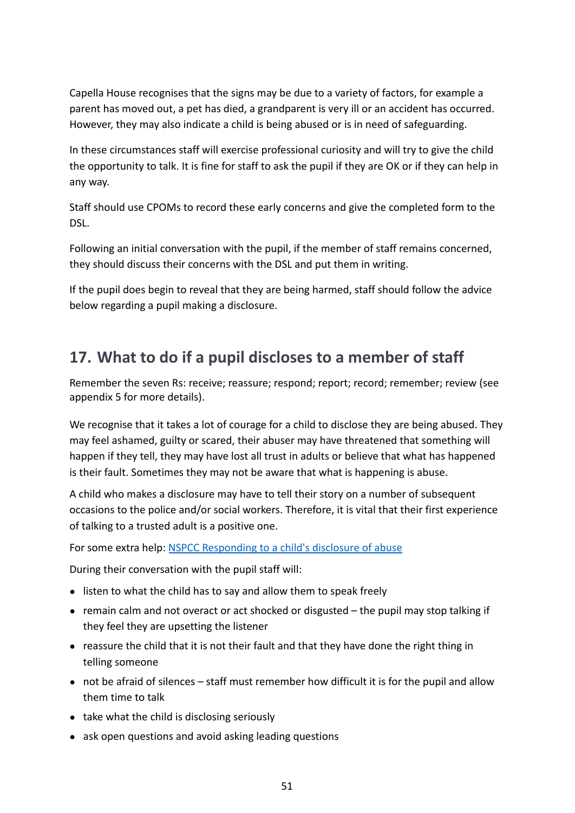Capella House recognises that the signs may be due to a variety of factors, for example a parent has moved out, a pet has died, a grandparent is very ill or an accident has occurred. However, they may also indicate a child is being abused or is in need of safeguarding.

In these circumstances staff will exercise professional curiosity and will try to give the child the opportunity to talk. It is fine for staff to ask the pupil if they are OK or if they can help in any way.

Staff should use CPOMs to record these early concerns and give the completed form to the DSL.

Following an initial conversation with the pupil, if the member of staff remains concerned, they should discuss their concerns with the DSL and put them in writing.

If the pupil does begin to reveal that they are being harmed, staff should follow the advice below regarding a pupil making a disclosure.

# <span id="page-53-0"></span>**17. What to do if a pupil discloses to a member of staff**

Remember the seven Rs: receive; reassure; respond; report; record; remember; review (see appendix 5 for more details).

We recognise that it takes a lot of courage for a child to disclose they are being abused. They may feel ashamed, guilty or scared, their abuser may have threatened that something will happen if they tell, they may have lost all trust in adults or believe that what has happened is their fault. Sometimes they may not be aware that what is happening is abuse.

A child who makes a disclosure may have to tell their story on a number of subsequent occasions to the police and/or social workers. Therefore, it is vital that their first experience of talking to a trusted adult is a positive one.

For some extra help: [NSPCC Responding to a child's](https://www.youtube.com/watch?v=bvJ5uBlGYgE) disclosure of abuse

During their conversation with the pupil staff will:

- listen to what the child has to say and allow them to speak freely
- remain calm and not overact or act shocked or disgusted the pupil may stop talking if they feel they are upsetting the listener
- reassure the child that it is not their fault and that they have done the right thing in telling someone
- not be afraid of silences staff must remember how difficult it is for the pupil and allow them time to talk
- take what the child is disclosing seriously
- ask open questions and avoid asking leading questions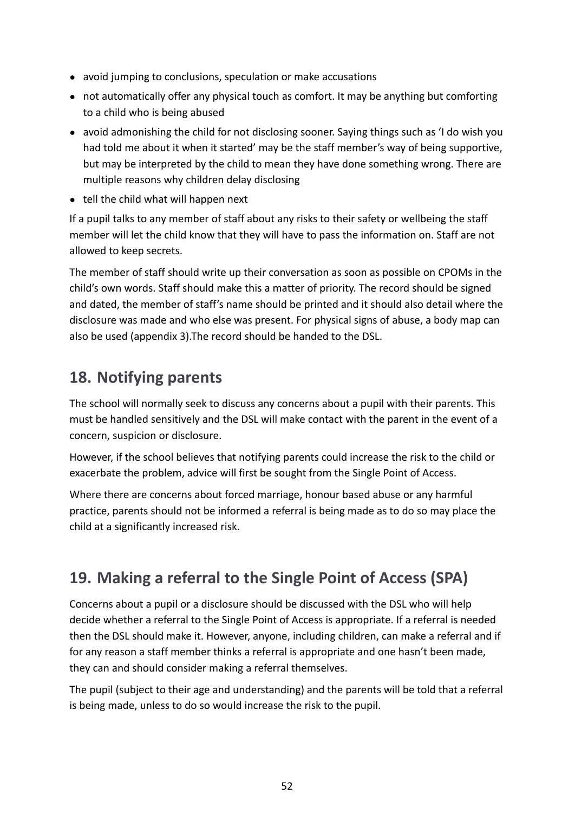- avoid jumping to conclusions, speculation or make accusations
- not automatically offer any physical touch as comfort. It may be anything but comforting to a child who is being abused
- avoid admonishing the child for not disclosing sooner. Saying things such as 'I do wish you had told me about it when it started' may be the staff member's way of being supportive, but may be interpreted by the child to mean they have done something wrong. There are multiple reasons why children delay disclosing
- tell the child what will happen next

If a pupil talks to any member of staff about any risks to their safety or wellbeing the staff member will let the child know that they will have to pass the information on. Staff are not allowed to keep secrets.

The member of staff should write up their conversation as soon as possible on CPOMs in the child's own words. Staff should make this a matter of priority. The record should be signed and dated, the member of staff's name should be printed and it should also detail where the disclosure was made and who else was present. For physical signs of abuse, a body map can also be used (appendix 3).The record should be handed to the DSL.

# <span id="page-54-0"></span>**18. Notifying parents**

The school will normally seek to discuss any concerns about a pupil with their parents. This must be handled sensitively and the DSL will make contact with the parent in the event of a concern, suspicion or disclosure.

However, if the school believes that notifying parents could increase the risk to the child or exacerbate the problem, advice will first be sought from the Single Point of Access.

Where there are concerns about forced marriage, honour based abuse or any harmful practice, parents should not be informed a referral is being made as to do so may place the child at a significantly increased risk.

# <span id="page-54-1"></span>**19. Making a referral to the Single Point of Access (SPA)**

Concerns about a pupil or a disclosure should be discussed with the DSL who will help decide whether a referral to the Single Point of Access is appropriate. If a referral is needed then the DSL should make it. However, anyone, including children, can make a referral and if for any reason a staff member thinks a referral is appropriate and one hasn't been made, they can and should consider making a referral themselves.

The pupil (subject to their age and understanding) and the parents will be told that a referral is being made, unless to do so would increase the risk to the pupil.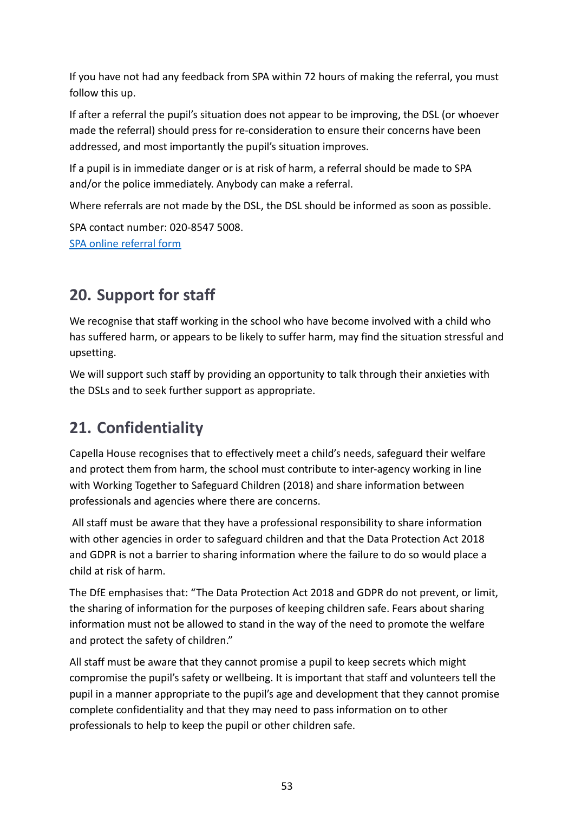If you have not had any feedback from SPA within 72 hours of making the referral, you must follow this up.

If after a referral the pupil's situation does not appear to be improving, the DSL (or whoever made the referral) should press for re-consideration to ensure their concerns have been addressed, and most importantly the pupil's situation improves.

If a pupil is in immediate danger or is at risk of harm, a referral should be made to SPA and/or the police immediately. Anybody can make a referral.

Where referrals are not made by the DSL, the DSL should be informed as soon as possible.

SPA contact number: 020-8547 5008. [SPA online referral form](https://emea01.safelinks.protection.outlook.com/?url=https%3A%2F%2Fwww.richmond.gov.uk%2Fservices%2Fchildren_and_family_care%2Fsingle_point_of_access%2Fsingle_point_of_access_for_professionals&data=04%7C01%7C%7C6a07c91381af4e8dbd6808d9957009e5%7C84df9e7fe9f640afb435aaaaaaaaaaaa%7C1%7C0%7C637705130692605258%7CUnknown%7CTWFpbGZsb3d8eyJWIjoiMC4wLjAwMDAiLCJQIjoiV2luMzIiLCJBTiI6Ik1haWwiLCJXVCI6Mn0%3D%7C1000&sdata=%2B0ygyDiuBmVGjGwdFU8Jp%2FXtbq0LfkjGVfw4hRRoUOU%3D&reserved=0)

# <span id="page-55-0"></span>**20. Support for staff**

We recognise that staff working in the school who have become involved with a child who has suffered harm, or appears to be likely to suffer harm, may find the situation stressful and upsetting.

We will support such staff by providing an opportunity to talk through their anxieties with the DSLs and to seek further support as appropriate.

# <span id="page-55-1"></span>**21. Confidentiality**

Capella House recognises that to effectively meet a child's needs, safeguard their welfare and protect them from harm, the school must contribute to inter-agency working in line with Working Together to Safeguard Children (2018) and share information between professionals and agencies where there are concerns.

All staff must be aware that they have a professional responsibility to share information with other agencies in order to safeguard children and that the Data Protection Act 2018 and GDPR is not a barrier to sharing information where the failure to do so would place a child at risk of harm.

The DfE emphasises that: "The Data Protection Act 2018 and GDPR do not prevent, or limit, the sharing of information for the purposes of keeping children safe. Fears about sharing information must not be allowed to stand in the way of the need to promote the welfare and protect the safety of children."

All staff must be aware that they cannot promise a pupil to keep secrets which might compromise the pupil's safety or wellbeing. It is important that staff and volunteers tell the pupil in a manner appropriate to the pupil's age and development that they cannot promise complete confidentiality and that they may need to pass information on to other professionals to help to keep the pupil or other children safe.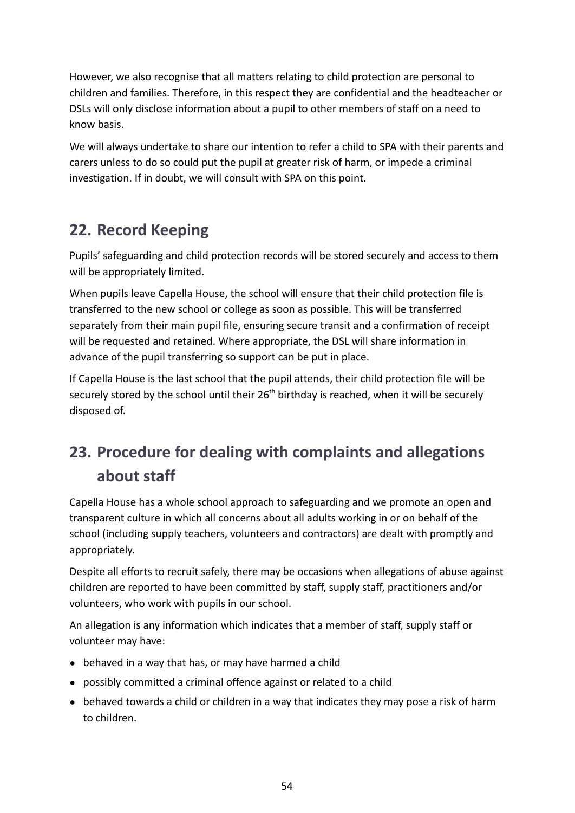However, we also recognise that all matters relating to child protection are personal to children and families. Therefore, in this respect they are confidential and the headteacher or DSLs will only disclose information about a pupil to other members of staff on a need to know basis.

We will always undertake to share our intention to refer a child to SPA with their parents and carers unless to do so could put the pupil at greater risk of harm, or impede a criminal investigation. If in doubt, we will consult with SPA on this point.

# <span id="page-56-0"></span>**22. Record Keeping**

Pupils' safeguarding and child protection records will be stored securely and access to them will be appropriately limited.

When pupils leave Capella House, the school will ensure that their child protection file is transferred to the new school or college as soon as possible. This will be transferred separately from their main pupil file, ensuring secure transit and a confirmation of receipt will be requested and retained. Where appropriate, the DSL will share information in advance of the pupil transferring so support can be put in place.

If Capella House is the last school that the pupil attends, their child protection file will be securely stored by the school until their  $26<sup>th</sup>$  birthday is reached, when it will be securely disposed of.

# <span id="page-56-1"></span>**23. Procedure for dealing with complaints and allegations about staff**

Capella House has a whole school approach to safeguarding and we promote an open and transparent culture in which all concerns about all adults working in or on behalf of the school (including supply teachers, volunteers and contractors) are dealt with promptly and appropriately.

Despite all efforts to recruit safely, there may be occasions when allegations of abuse against children are reported to have been committed by staff, supply staff, practitioners and/or volunteers, who work with pupils in our school.

An allegation is any information which indicates that a member of staff, supply staff or volunteer may have:

- behaved in a way that has, or may have harmed a child
- possibly committed a criminal offence against or related to a child
- behaved towards a child or children in a way that indicates they may pose a risk of harm to children.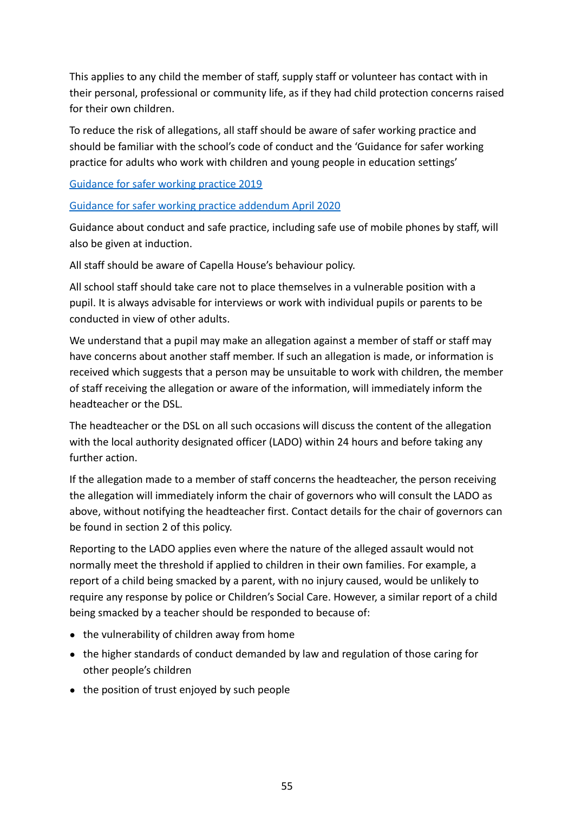This applies to any child the member of staff, supply staff or volunteer has contact with in their personal, professional or community life, as if they had child protection concerns raised for their own children.

To reduce the risk of allegations, all staff should be aware of safer working practice and should be familiar with the school's code of conduct and the 'Guidance for safer working practice for adults who work with children and young people in education settings'

[Guidance for safer working practice 2019](https://c-cluster-110.uploads.documents.cimpress.io/v1/uploads/13ecce28-e8f2-49e9-83c6-c29337cd8071~110/original?tenant=vbu-digital)

[Guidance for safer working practice addendum April 2020](https://www.safeguardingchildren.co.uk/wp-content/uploads/2020/04/Guidance-For-Safer-Working-Practice-COVID-addendum-April-2020.pdf)

Guidance about conduct and safe practice, including safe use of mobile phones by staff, will also be given at induction.

All staff should be aware of Capella House's behaviour policy.

All school staff should take care not to place themselves in a vulnerable position with a pupil. It is always advisable for interviews or work with individual pupils or parents to be conducted in view of other adults.

We understand that a pupil may make an allegation against a member of staff or staff may have concerns about another staff member. If such an allegation is made, or information is received which suggests that a person may be unsuitable to work with children, the member of staff receiving the allegation or aware of the information, will immediately inform the headteacher or the DSL.

The headteacher or the DSL on all such occasions will discuss the content of the allegation with the local authority designated officer (LADO) within 24 hours and before taking any further action.

If the allegation made to a member of staff concerns the headteacher, the person receiving the allegation will immediately inform the chair of governors who will consult the LADO as above, without notifying the headteacher first. Contact details for the chair of governors can be found in section 2 of this policy.

Reporting to the LADO applies even where the nature of the alleged assault would not normally meet the threshold if applied to children in their own families. For example, a report of a child being smacked by a parent, with no injury caused, would be unlikely to require any response by police or Children's Social Care. However, a similar report of a child being smacked by a teacher should be responded to because of:

- the vulnerability of children away from home
- the higher standards of conduct demanded by law and regulation of those caring for other people's children
- the position of trust enjoyed by such people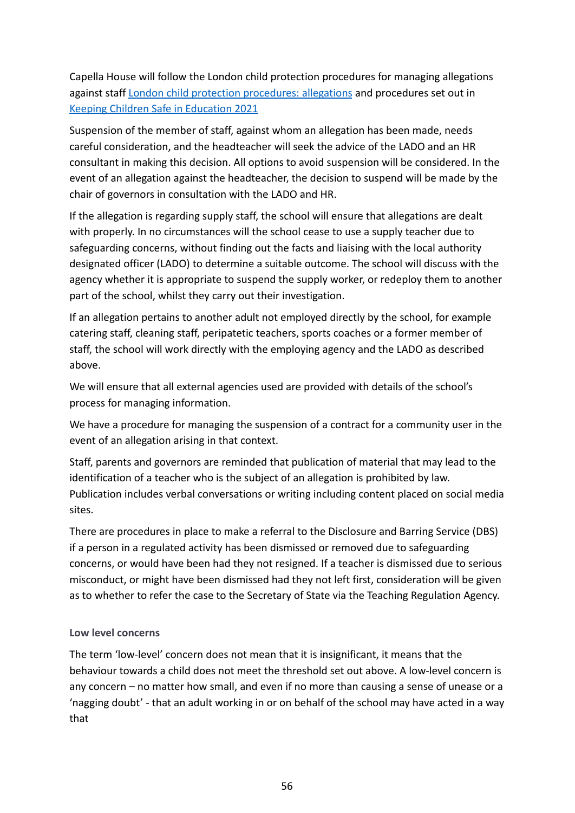Capella House will follow the London child protection procedures for managing allegations against staff [London child protection procedures:](https://www.londoncp.co.uk/alleg_staff.html?zoom_highlight=allegations%20) allegations and procedures set out in [Keeping Children Safe in Education 2021](http://www.gov.uk/government/publications/keeping-children-safe-in-education--2)

Suspension of the member of staff, against whom an allegation has been made, needs careful consideration, and the headteacher will seek the advice of the LADO and an HR consultant in making this decision. All options to avoid suspension will be considered. In the event of an allegation against the headteacher, the decision to suspend will be made by the chair of governors in consultation with the LADO and HR.

If the allegation is regarding supply staff, the school will ensure that allegations are dealt with properly. In no circumstances will the school cease to use a supply teacher due to safeguarding concerns, without finding out the facts and liaising with the local authority designated officer (LADO) to determine a suitable outcome. The school will discuss with the agency whether it is appropriate to suspend the supply worker, or redeploy them to another part of the school, whilst they carry out their investigation.

If an allegation pertains to another adult not employed directly by the school, for example catering staff, cleaning staff, peripatetic teachers, sports coaches or a former member of staff, the school will work directly with the employing agency and the LADO as described above.

We will ensure that all external agencies used are provided with details of the school's process for managing information.

We have a procedure for managing the suspension of a contract for a community user in the event of an allegation arising in that context.

Staff, parents and governors are reminded that publication of material that may lead to the identification of a teacher who is the subject of an allegation is prohibited by law. Publication includes verbal conversations or writing including content placed on social media sites.

There are procedures in place to make a referral to the Disclosure and Barring Service (DBS) if a person in a regulated activity has been dismissed or removed due to safeguarding concerns, or would have been had they not resigned. If a teacher is dismissed due to serious misconduct, or might have been dismissed had they not left first, consideration will be given as to whether to refer the case to the Secretary of State via the Teaching Regulation Agency.

### **Low level concerns**

The term 'low-level' concern does not mean that it is insignificant, it means that the behaviour towards a child does not meet the threshold set out above. A low-level concern is any concern – no matter how small, and even if no more than causing a sense of unease or a 'nagging doubt' - that an adult working in or on behalf of the school may have acted in a way that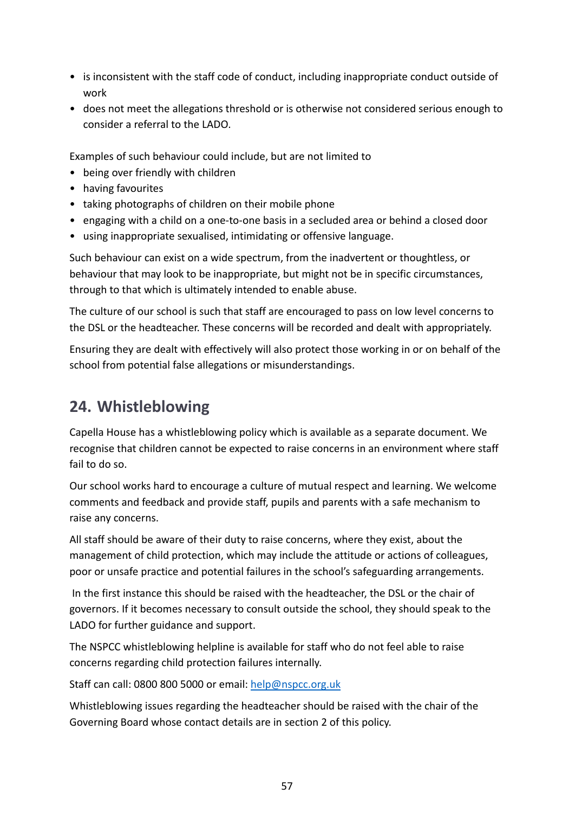- is inconsistent with the staff code of conduct, including inappropriate conduct outside of work
- does not meet the allegations threshold or is otherwise not considered serious enough to consider a referral to the LADO.

Examples of such behaviour could include, but are not limited to

- being over friendly with children
- having favourites
- taking photographs of children on their mobile phone
- engaging with a child on a one-to-one basis in a secluded area or behind a closed door
- using inappropriate sexualised, intimidating or offensive language.

Such behaviour can exist on a wide spectrum, from the inadvertent or thoughtless, or behaviour that may look to be inappropriate, but might not be in specific circumstances, through to that which is ultimately intended to enable abuse.

The culture of our school is such that staff are encouraged to pass on low level concerns to the DSL or the headteacher. These concerns will be recorded and dealt with appropriately.

Ensuring they are dealt with effectively will also protect those working in or on behalf of the school from potential false allegations or misunderstandings.

# <span id="page-59-0"></span>**24. Whistleblowing**

Capella House has a whistleblowing policy which is available as a separate document. We recognise that children cannot be expected to raise concerns in an environment where staff fail to do so.

Our school works hard to encourage a culture of mutual respect and learning. We welcome comments and feedback and provide staff, pupils and parents with a safe mechanism to raise any concerns.

All staff should be aware of their duty to raise concerns, where they exist, about the management of child protection, which may include the attitude or actions of colleagues, poor or unsafe practice and potential failures in the school's safeguarding arrangements.

In the first instance this should be raised with the headteacher, the DSL or the chair of governors. If it becomes necessary to consult outside the school, they should speak to the LADO for further guidance and support.

The NSPCC whistleblowing helpline is available for staff who do not feel able to raise concerns regarding child protection failures internally.

Staff can call: 0800 800 5000 or email: help@nspcc.org.uk

Whistleblowing issues regarding the headteacher should be raised with the chair of the Governing Board whose contact details are in section 2 of this policy.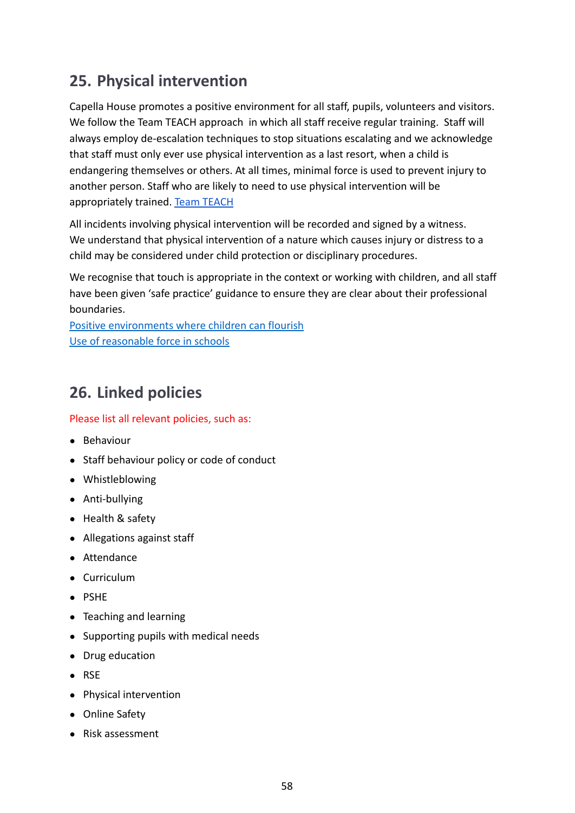# <span id="page-60-0"></span>**25. Physical intervention**

Capella House promotes a positive environment for all staff, pupils, volunteers and visitors. We follow the Team TEACH approach in which all staff receive regular training. Staff will always employ de-escalation techniques to stop situations escalating and we acknowledge that staff must only ever use physical intervention as a last resort, when a child is endangering themselves or others. At all times, minimal force is used to prevent injury to another person. Staff who are likely to need to use physical intervention will be appropriately trained. [Team TEACH](https://www.teamteach.co.uk/)

All incidents involving physical intervention will be recorded and signed by a witness. We understand that physical intervention of a nature which causes injury or distress to a child may be considered under child protection or disciplinary procedures.

We recognise that touch is appropriate in the context or working with children, and all staff have been given 'safe practice' guidance to ensure they are clear about their professional boundaries.

[Positive environments where children can flourish](https://www.gov.uk/government/publications/positive-environments-where-children-can-flourish/positive-environments-where-children-can-flourish) [Use of reasonable force in schools](https://www.gov.uk/government/publications/use-of-reasonable-force-in-schools)

# <span id="page-60-1"></span>**26. Linked policies**

Please list all relevant policies, such as:

- Behaviour
- Staff behaviour policy or code of conduct
- Whistleblowing
- Anti-bullying
- Health & safety
- Allegations against staff
- Attendance
- Curriculum
- PSHE
- Teaching and learning
- Supporting pupils with medical needs
- Drug education
- RSE
- Physical intervention
- Online Safety
- Risk assessment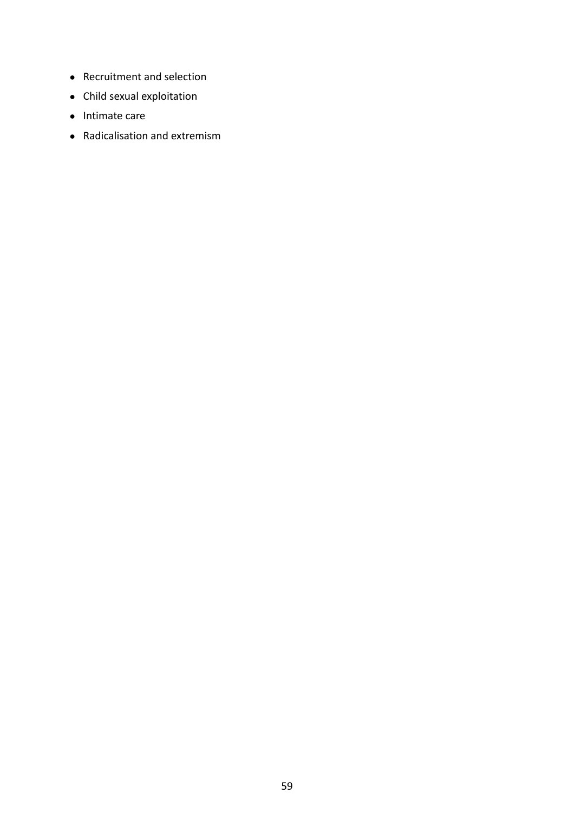- Recruitment and selection
- Child sexual exploitation
- Intimate care
- Radicalisation and extremism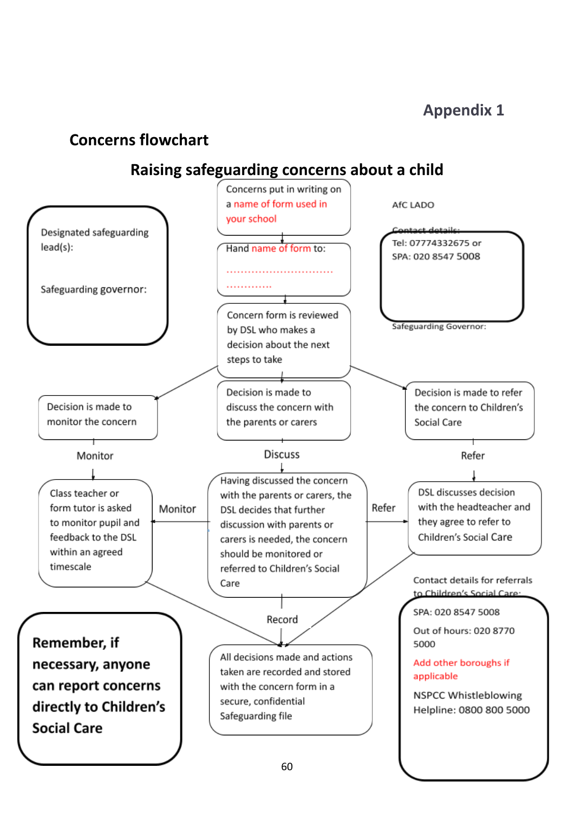# <span id="page-62-2"></span><span id="page-62-1"></span><span id="page-62-0"></span>**Concerns flowchart**

# **Raising safeguarding concerns about a child**

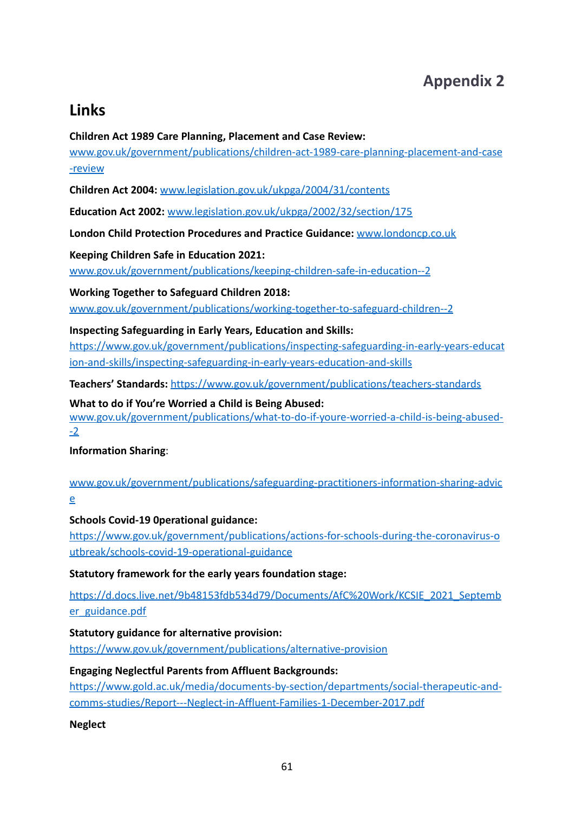# **Appendix 2**

# <span id="page-63-1"></span><span id="page-63-0"></span>**Links**

### **Children Act 1989 Care Planning, Placement and Case Review:**

[www.gov.uk/government/publications/children-act-1989-care-planning-placement-and-case](http://www.gov.uk/government/publications/children-act-1989-care-planning-placement-and-case-review) [-review](http://www.gov.uk/government/publications/children-act-1989-care-planning-placement-and-case-review)

**Children Act 2004:** [www.legislation.gov.uk/ukpga/2004/31/contents](http://www.legislation.gov.uk/ukpga/2004/31/contents)

**Education Act 2002:** [www.legislation.gov.uk/ukpga/2002/32/section/175](http://www.legislation.gov.uk/ukpga/2002/32/section/175)

**London Child Protection Procedures and Practice Guidance:** [www.londoncp.co.uk](http://www.londoncp.co.uk)

**Keeping Children Safe in Education 2021:**

[www.gov.uk/government/publications/keeping-children-safe-in-education--2](http://www.gov.uk/government/publications/keeping-children-safe-in-education--2)

### **Working Together to Safeguard Children 2018:**

[www.gov.uk/government/publications/working-together-to-safeguard-children--2](http://www.gov.uk/government/publications/working-together-to-safeguard-children--2)

**Inspecting Safeguarding in Early Years, Education and Skills:**

[https://www.gov.uk/government/publications/inspecting-safeguarding-in-early-years-educat](https://www.gov.uk/government/publications/inspecting-safeguarding-in-early-years-education-and-skills/inspecting-safeguarding-in-early-years-education-and-skills) [ion-and-skills/inspecting-safeguarding-in-early-years-education-and-skills](https://www.gov.uk/government/publications/inspecting-safeguarding-in-early-years-education-and-skills/inspecting-safeguarding-in-early-years-education-and-skills)

**Teachers' Standards:** <https://www.gov.uk/government/publications/teachers-standards>

**What to do if You're Worried a Child is Being Abused:**

[www.gov.uk/government/publications/what-to-do-if-youre-worried-a-child-is-being-abused-](http://www.gov.uk/government/publications/what-to-do-if-youre-worried-a-child-is-being-abused--2) [-2](http://www.gov.uk/government/publications/what-to-do-if-youre-worried-a-child-is-being-abused--2)

**Information Sharing**:

[www.gov.uk/government/publications/safeguarding-practitioners-information-sharing-advic](http://www.gov.uk/government/publications/safeguarding-practitioners-information-sharing-advice) [e](http://www.gov.uk/government/publications/safeguarding-practitioners-information-sharing-advice)

**Schools Covid-19 0perational guidance:**

[https://www.gov.uk/government/publications/actions-for-schools-during-the-coronavirus-o](https://www.gov.uk/government/publications/actions-for-schools-during-the-coronavirus-outbreak/schools-covid-19-operational-guidance) [utbreak/schools-covid-19-operational-guidance](https://www.gov.uk/government/publications/actions-for-schools-during-the-coronavirus-outbreak/schools-covid-19-operational-guidance)

### **Statutory framework for the early years foundation stage:**

[https://d.docs.live.net/9b48153fdb534d79/Documents/AfC%20Work/KCSIE\\_2021\\_Septemb](https://d.docs.live.net/9b48153fdb534d79/Documents/AfC%20Work/KCSIE_2021_September_guidance.pdf) [er\\_guidance.pdf](https://d.docs.live.net/9b48153fdb534d79/Documents/AfC%20Work/KCSIE_2021_September_guidance.pdf)

**Statutory guidance for alternative provision:**

<https://www.gov.uk/government/publications/alternative-provision>

### **Engaging Neglectful Parents from Affluent Backgrounds:**

[https://www.gold.ac.uk/media/documents-by-section/departments/social-therapeutic-and](https://www.gold.ac.uk/media/documents-by-section/departments/social-therapeutic-and-comms-studies/Report---Neglect-in-Affluent-Families-1-December-2017.pdf)[comms-studies/Report---Neglect-in-Affluent-Families-1-December-2017.pdf](https://www.gold.ac.uk/media/documents-by-section/departments/social-therapeutic-and-comms-studies/Report---Neglect-in-Affluent-Families-1-December-2017.pdf)

**Neglect**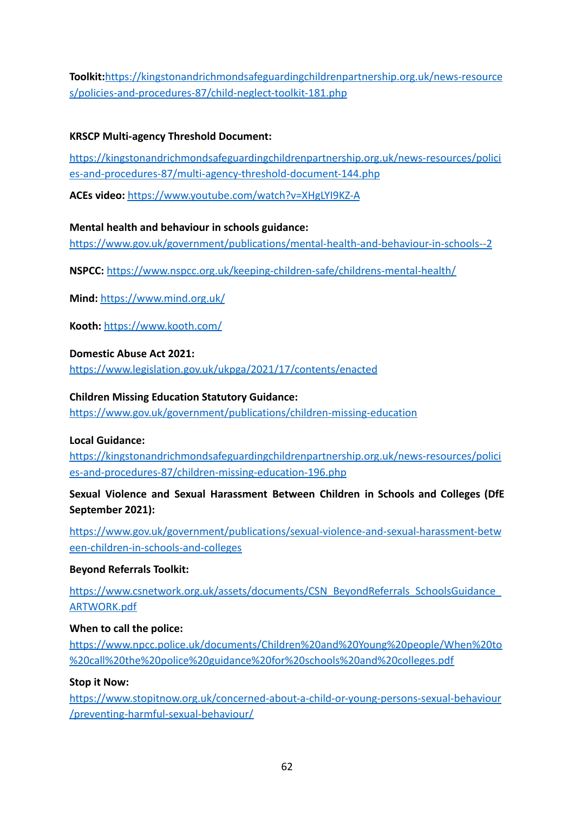**Toolkit:**[https://kingstonandrichmondsafeguardingchildrenpartnership.org.uk/news-resource](https://kingstonandrichmondsafeguardingchildrenpartnership.org.uk/news-resources/policies-and-procedures-87/child-neglect-toolkit-181.php) [s/policies-and-procedures-87/child-neglect-toolkit-181.php](https://kingstonandrichmondsafeguardingchildrenpartnership.org.uk/news-resources/policies-and-procedures-87/child-neglect-toolkit-181.php)

### **KRSCP Multi-agency Threshold Document:**

[https://kingstonandrichmondsafeguardingchildrenpartnership.org.uk/news-resources/polici](https://kingstonandrichmondsafeguardingchildrenpartnership.org.uk/news-resources/policies-and-procedures-87/multi-agency-threshold-document-144.php) [es-and-procedures-87/multi-agency-threshold-document-144.php](https://kingstonandrichmondsafeguardingchildrenpartnership.org.uk/news-resources/policies-and-procedures-87/multi-agency-threshold-document-144.php)

**ACEs video:** <https://www.youtube.com/watch?v=XHgLYI9KZ-A>

#### **Mental health and behaviour in schools guidance:**

<https://www.gov.uk/government/publications/mental-health-and-behaviour-in-schools--2>

**NSPCC:** <https://www.nspcc.org.uk/keeping-children-safe/childrens-mental-health/>

**Mind:** <https://www.mind.org.uk/>

**Kooth:** <https://www.kooth.com/>

#### **Domestic Abuse Act 2021:**

<https://www.legislation.gov.uk/ukpga/2021/17/contents/enacted>

#### **Children Missing Education Statutory Guidance:**

<https://www.gov.uk/government/publications/children-missing-education>

#### **Local Guidance:**

[https://kingstonandrichmondsafeguardingchildrenpartnership.org.uk/news-resources/polici](https://kingstonandrichmondsafeguardingchildrenpartnership.org.uk/news-resources/policies-and-procedures-87/children-missing-education-196.php) [es-and-procedures-87/children-missing-education-196.php](https://kingstonandrichmondsafeguardingchildrenpartnership.org.uk/news-resources/policies-and-procedures-87/children-missing-education-196.php)

### **Sexual Violence and Sexual Harassment Between Children in Schools and Colleges (DfE September 2021):**

[https://www.gov.uk/government/publications/sexual-violence-and-sexual-harassment-betw](https://www.gov.uk/government/publications/sexual-violence-and-sexual-harassment-between-children-in-schools-and-colleges) [een-children-in-schools-and-colleges](https://www.gov.uk/government/publications/sexual-violence-and-sexual-harassment-between-children-in-schools-and-colleges)

#### **Beyond Referrals Toolkit:**

https://www.csnetwork.org.uk/assets/documents/CSN\_BeyondReferrals\_SchoolsGuidance [ARTWORK.pdf](https://www.csnetwork.org.uk/assets/documents/CSN_BeyondReferrals_SchoolsGuidance_ARTWORK.pdf)

#### **When to call the police:**

[https://www.npcc.police.uk/documents/Children%20and%20Young%20people/When%20to](https://www.npcc.police.uk/documents/Children%20and%20Young%20people/When%20to%20call%20the%20police%20guidance%20for%20schools%20and%20colleges.pdf) [%20call%20the%20police%20guidance%20for%20schools%20and%20colleges.pdf](https://www.npcc.police.uk/documents/Children%20and%20Young%20people/When%20to%20call%20the%20police%20guidance%20for%20schools%20and%20colleges.pdf)

#### **Stop it Now:**

[https://www.stopitnow.org.uk/concerned-about-a-child-or-young-persons-sexual-behaviour](https://www.stopitnow.org.uk/concerned-about-a-child-or-young-persons-sexual-behaviour/preventing-harmful-sexual-behaviour/) [/preventing-harmful-sexual-behaviour/](https://www.stopitnow.org.uk/concerned-about-a-child-or-young-persons-sexual-behaviour/preventing-harmful-sexual-behaviour/)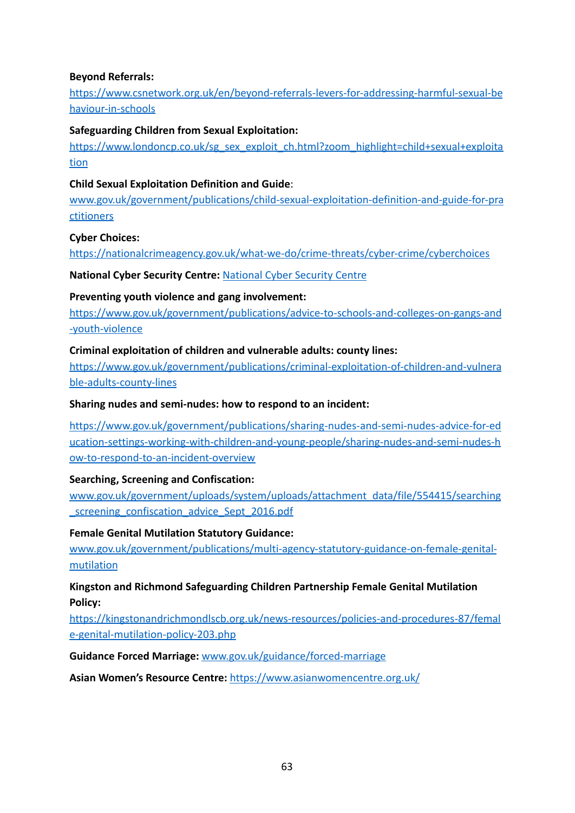### **Beyond Referrals:**

[https://www.csnetwork.org.uk/en/beyond-referrals-levers-for-addressing-harmful-sexual-be](https://www.csnetwork.org.uk/en/beyond-referrals-levers-for-addressing-harmful-sexual-behaviour-in-schools) [haviour-in-schools](https://www.csnetwork.org.uk/en/beyond-referrals-levers-for-addressing-harmful-sexual-behaviour-in-schools)

### **Safeguarding Children from Sexual Exploitation:**

[https://www.londoncp.co.uk/sg\\_sex\\_exploit\\_ch.html?zoom\\_highlight=child+sexual+exploita](https://www.londoncp.co.uk/sg_sex_exploit_ch.html?zoom_highlight=child+sexual+exploitation) [tion](https://www.londoncp.co.uk/sg_sex_exploit_ch.html?zoom_highlight=child+sexual+exploitation)

### **Child Sexual Exploitation Definition and Guide**:

[www.gov.uk/government/publications/child-sexual-exploitation-definition-and-guide-for-pra](http://www.gov.uk/government/publications/child-sexual-exploitation-definition-and-guide-for-practitioners) [ctitioners](http://www.gov.uk/government/publications/child-sexual-exploitation-definition-and-guide-for-practitioners)

### **Cyber Choices:**

<https://nationalcrimeagency.gov.uk/what-we-do/crime-threats/cyber-crime/cyberchoices>

**National Cyber Security Centre:** [National Cyber Security](https://www.ncsc.gov.uk/) Centre

### **Preventing youth violence and gang involvement:**

[https://www.gov.uk/government/publications/advice-to-schools-and-colleges-on-gangs-and](https://www.gov.uk/government/publications/advice-to-schools-and-colleges-on-gangs-and-youth-violence) [-youth-violence](https://www.gov.uk/government/publications/advice-to-schools-and-colleges-on-gangs-and-youth-violence)

### **Criminal exploitation of children and vulnerable adults: county lines:**

[https://www.gov.uk/government/publications/criminal-exploitation-of-children-and-vulnera](https://www.gov.uk/government/publications/criminal-exploitation-of-children-and-vulnerable-adults-county-lines) [ble-adults-county-lines](https://www.gov.uk/government/publications/criminal-exploitation-of-children-and-vulnerable-adults-county-lines)

### **Sharing nudes and semi-nudes: how to respond to an incident:**

[https://www.gov.uk/government/publications/sharing-nudes-and-semi-nudes-advice-for-ed](https://www.gov.uk/government/publications/sharing-nudes-and-semi-nudes-advice-for-education-settings-working-with-children-and-young-people/sharing-nudes-and-semi-nudes-how-to-respond-to-an-incident-overview) [ucation-settings-working-with-children-and-young-people/sharing-nudes-and-semi-nudes-h](https://www.gov.uk/government/publications/sharing-nudes-and-semi-nudes-advice-for-education-settings-working-with-children-and-young-people/sharing-nudes-and-semi-nudes-how-to-respond-to-an-incident-overview) [ow-to-respond-to-an-incident-overview](https://www.gov.uk/government/publications/sharing-nudes-and-semi-nudes-advice-for-education-settings-working-with-children-and-young-people/sharing-nudes-and-semi-nudes-how-to-respond-to-an-incident-overview)

### **Searching, Screening and Confiscation:**

[www.gov.uk/government/uploads/system/uploads/attachment\\_data/file/554415/searching](http://www.gov.uk/government/uploads/system/uploads/attachment_data/file/554415/searching_screening_confiscation_advice_Sept_2016.pdf) [\\_screening\\_confiscation\\_advice\\_Sept\\_2016.pdf](http://www.gov.uk/government/uploads/system/uploads/attachment_data/file/554415/searching_screening_confiscation_advice_Sept_2016.pdf)

### **Female Genital Mutilation Statutory Guidance:**

[www.gov.uk/government/publications/multi-agency-statutory-guidance-on-female-genital](http://www.gov.uk/government/publications/multi-agency-statutory-guidance-on-female-genital-mutilation)[mutilation](http://www.gov.uk/government/publications/multi-agency-statutory-guidance-on-female-genital-mutilation)

### **Kingston and Richmond Safeguarding Children Partnership Female Genital Mutilation Policy:**

[https://kingstonandrichmondlscb.org.uk/news-resources/policies-and-procedures-87/femal](https://kingstonandrichmondlscb.org.uk/news-resources/policies-and-procedures-87/female-genital-mutilation-policy-203.php) [e-genital-mutilation-policy-203.php](https://kingstonandrichmondlscb.org.uk/news-resources/policies-and-procedures-87/female-genital-mutilation-policy-203.php)

**Guidance Forced Marriage:** [www.gov.uk/guidance/forced-marriage](http://www.gov.uk/guidance/forced-marriage)

**Asian Women's Resource Centre:** <https://www.asianwomencentre.org.uk/>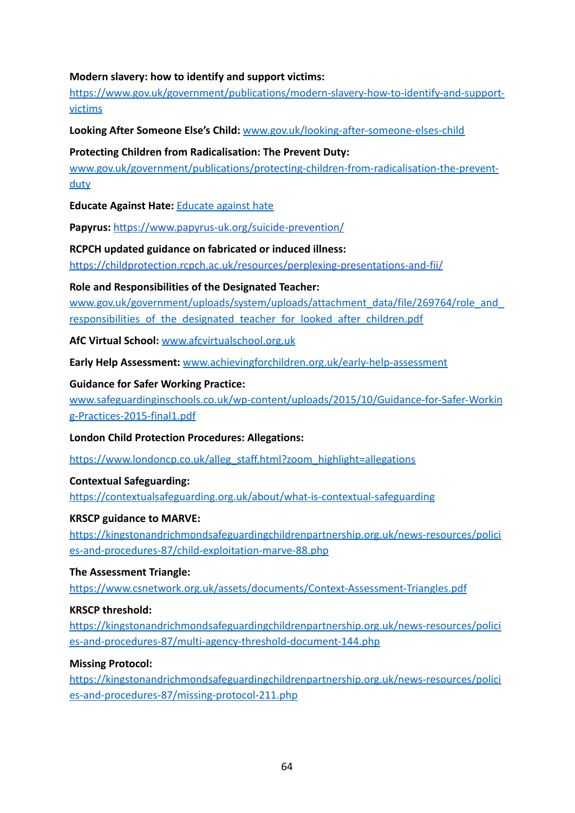### **Modern slavery: how to identify and support victims:**

[https://www.gov.uk/government/publications/modern-slavery-how-to-identify-and-support](https://www.gov.uk/government/publications/modern-slavery-how-to-identify-and-support-victims)[victims](https://www.gov.uk/government/publications/modern-slavery-how-to-identify-and-support-victims)

**Looking After Someone Else's Child:** [www.gov.uk/looking-after-someone-elses-child](http://www.gov.uk/looking-after-someone-elses-child)

#### **Protecting Children from Radicalisation: The Prevent Duty:**

[www.gov.uk/government/publications/protecting-children-from-radicalisation-the-prevent](http://www.gov.uk/government/publications/protecting-children-from-radicalisation-the-prevent-duty)[duty](http://www.gov.uk/government/publications/protecting-children-from-radicalisation-the-prevent-duty)

**Educate Against Hate:** [Educate against hate](http://educateagainsthate.com/)

**Papyrus:** <https://www.papyrus-uk.org/suicide-prevention/>

#### **RCPCH updated guidance on fabricated or induced illness:**

<https://childprotection.rcpch.ac.uk/resources/perplexing-presentations-and-fii/>

#### **Role and Responsibilities of the Designated Teacher:**

[www.gov.uk/government/uploads/system/uploads/attachment\\_data/file/269764/role\\_and\\_](http://www.gov.uk/government/uploads/system/uploads/attachment_data/file/269764/role_and_responsibilities_of_the_designated_teacher_for_looked_after_children.pdf) responsibilities of the designated teacher for looked after children.pdf

**AfC Virtual School:** www.afcvirtualschool.org.uk

**Early Help Assessment:** [www.achievingforchildren.org.uk/early-help-assessment](http://www.achievingforchildren.org.uk/early-help-assessment)

#### **Guidance for Safer Working Practice:**

[www.safeguardinginschools.co.uk/wp-content/uploads/2015/10/Guidance-for-Safer-Workin](http://www.safeguardinginschools.co.uk/wp-content/uploads/2015/10/Guidance-for-Safer-Working-Practices-2015-final1.pdf) [g-Practices-2015-final1.pdf](http://www.safeguardinginschools.co.uk/wp-content/uploads/2015/10/Guidance-for-Safer-Working-Practices-2015-final1.pdf)

**London Child Protection Procedures: Allegations:**

[https://www.londoncp.co.uk/alleg\\_staff.html?zoom\\_highlight=allegations](https://www.londoncp.co.uk/alleg_staff.html?zoom_highlight=allegations)

**Contextual Safeguarding:**

<https://contextualsafeguarding.org.uk/about/what-is-contextual-safeguarding>

### **KRSCP guidance to MARVE:**

[https://kingstonandrichmondsafeguardingchildrenpartnership.org.uk/news-resources/polici](https://kingstonandrichmondsafeguardingchildrenpartnership.org.uk/news-resources/policies-and-procedures-87/child-exploitation-marve-88.php) [es-and-procedures-87/child-exploitation-marve-88.php](https://kingstonandrichmondsafeguardingchildrenpartnership.org.uk/news-resources/policies-and-procedures-87/child-exploitation-marve-88.php)

### **The Assessment Triangle:**

<https://www.csnetwork.org.uk/assets/documents/Context-Assessment-Triangles.pdf>

#### **KRSCP threshold:**

[https://kingstonandrichmondsafeguardingchildrenpartnership.org.uk/news-resources/polici](https://kingstonandrichmondsafeguardingchildrenpartnership.org.uk/news-resources/policies-and-procedures-87/multi-agency-threshold-document-144.php) [es-and-procedures-87/multi-agency-threshold-document-144.php](https://kingstonandrichmondsafeguardingchildrenpartnership.org.uk/news-resources/policies-and-procedures-87/multi-agency-threshold-document-144.php)

#### **Missing Protocol:**

[https://kingstonandrichmondsafeguardingchildrenpartnership.org.uk/news-resources/polici](https://kingstonandrichmondsafeguardingchildrenpartnership.org.uk/news-resources/policies-and-procedures-87/missing-protocol-211.php) [es-and-procedures-87/missing-protocol-211.php](https://kingstonandrichmondsafeguardingchildrenpartnership.org.uk/news-resources/policies-and-procedures-87/missing-protocol-211.php)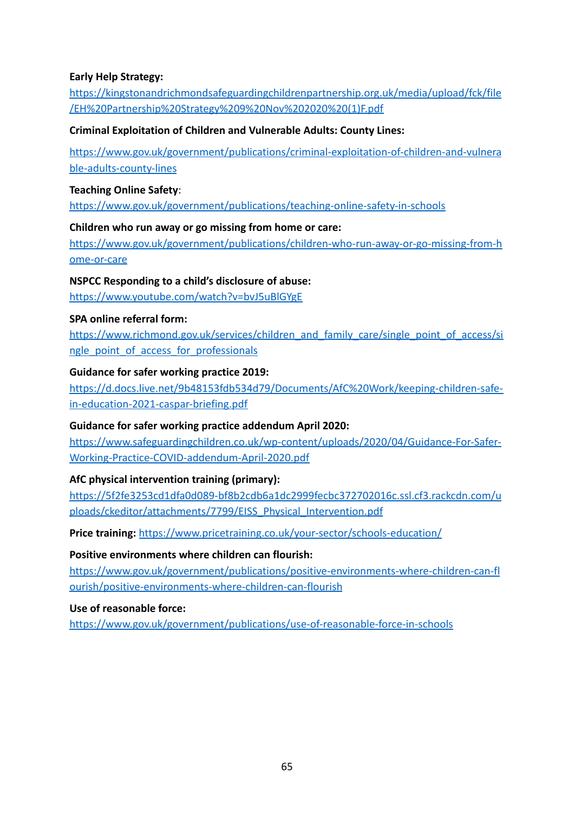### **Early Help Strategy:**

[https://kingstonandrichmondsafeguardingchildrenpartnership.org.uk/media/upload/fck/file](https://kingstonandrichmondsafeguardingchildrenpartnership.org.uk/media/upload/fck/file/EH%20Partnership%20Strategy%209%20Nov%202020%20(1)F.pdf) [/EH%20Partnership%20Strategy%209%20Nov%202020%20\(1\)F.pdf](https://kingstonandrichmondsafeguardingchildrenpartnership.org.uk/media/upload/fck/file/EH%20Partnership%20Strategy%209%20Nov%202020%20(1)F.pdf)

### **Criminal Exploitation of Children and Vulnerable Adults: County Lines:**

[https://www.gov.uk/government/publications/criminal-exploitation-of-children-and-vulnera](https://www.gov.uk/government/publications/criminal-exploitation-of-children-and-vulnerable-adults-county-lines) [ble-adults-county-lines](https://www.gov.uk/government/publications/criminal-exploitation-of-children-and-vulnerable-adults-county-lines)

#### **Teaching Online Safety**:

<https://www.gov.uk/government/publications/teaching-online-safety-in-schools>

### **Children who run away or go missing from home or care:**

[https://www.gov.uk/government/publications/children-who-run-away-or-go-missing-from-h](https://www.gov.uk/government/publications/children-who-run-away-or-go-missing-from-home-or-care) [ome-or-care](https://www.gov.uk/government/publications/children-who-run-away-or-go-missing-from-home-or-care)

### **NSPCC Responding to a child's disclosure of abuse:**

<https://www.youtube.com/watch?v=bvJ5uBlGYgE>

#### **SPA online referral form:**

[https://www.richmond.gov.uk/services/children\\_and\\_family\\_care/single\\_point\\_of\\_access/si](https://emea01.safelinks.protection.outlook.com/?url=https%3A%2F%2Fwww.richmond.gov.uk%2Fservices%2Fchildren_and_family_care%2Fsingle_point_of_access%2Fsingle_point_of_access_for_professionals&data=04%7C01%7C%7C6a07c91381af4e8dbd6808d9957009e5%7C84df9e7fe9f640afb435aaaaaaaaaaaa%7C1%7C0%7C637705130692605258%7CUnknown%7CTWFpbGZsb3d8eyJWIjoiMC4wLjAwMDAiLCJQIjoiV2luMzIiLCJBTiI6Ik1haWwiLCJXVCI6Mn0%3D%7C1000&sdata=%2B0ygyDiuBmVGjGwdFU8Jp%2FXtbq0LfkjGVfw4hRRoUOU%3D&reserved=0) [ngle\\_point\\_of\\_access\\_for\\_professionals](https://emea01.safelinks.protection.outlook.com/?url=https%3A%2F%2Fwww.richmond.gov.uk%2Fservices%2Fchildren_and_family_care%2Fsingle_point_of_access%2Fsingle_point_of_access_for_professionals&data=04%7C01%7C%7C6a07c91381af4e8dbd6808d9957009e5%7C84df9e7fe9f640afb435aaaaaaaaaaaa%7C1%7C0%7C637705130692605258%7CUnknown%7CTWFpbGZsb3d8eyJWIjoiMC4wLjAwMDAiLCJQIjoiV2luMzIiLCJBTiI6Ik1haWwiLCJXVCI6Mn0%3D%7C1000&sdata=%2B0ygyDiuBmVGjGwdFU8Jp%2FXtbq0LfkjGVfw4hRRoUOU%3D&reserved=0)

#### **Guidance for safer working practice 2019:**

[https://d.docs.live.net/9b48153fdb534d79/Documents/AfC%20Work/keeping-children-safe](https://d.docs.live.net/9b48153fdb534d79/Documents/AfC%20Work/keeping-children-safe-in-education-2021-caspar-briefing.pdf)[in-education-2021-caspar-briefing.pdf](https://d.docs.live.net/9b48153fdb534d79/Documents/AfC%20Work/keeping-children-safe-in-education-2021-caspar-briefing.pdf)

### **Guidance for safer working practice addendum April 2020:**

[https://www.safeguardingchildren.co.uk/wp-content/uploads/2020/04/Guidance-For-Safer-](https://www.safeguardingchildren.co.uk/wp-content/uploads/2020/04/Guidance-For-Safer-Working-Practice-COVID-addendum-April-2020.pdf)[Working-Practice-COVID-addendum-April-2020.pdf](https://www.safeguardingchildren.co.uk/wp-content/uploads/2020/04/Guidance-For-Safer-Working-Practice-COVID-addendum-April-2020.pdf)

### **AfC physical intervention training (primary):**

[https://5f2fe3253cd1dfa0d089-bf8b2cdb6a1dc2999fecbc372702016c.ssl.cf3.rackcdn.com/u](https://5f2fe3253cd1dfa0d089-bf8b2cdb6a1dc2999fecbc372702016c.ssl.cf3.rackcdn.com/uploads/ckeditor/attachments/7799/EISS_Physical_Intervention.pdf) [ploads/ckeditor/attachments/7799/EISS\\_Physical\\_Intervention.pdf](https://5f2fe3253cd1dfa0d089-bf8b2cdb6a1dc2999fecbc372702016c.ssl.cf3.rackcdn.com/uploads/ckeditor/attachments/7799/EISS_Physical_Intervention.pdf)

**Price training:** <https://www.pricetraining.co.uk/your-sector/schools-education/>

#### **Positive environments where children can flourish:**

[https://www.gov.uk/government/publications/positive-environments-where-children-can-fl](https://www.gov.uk/government/publications/positive-environments-where-children-can-flourish/positive-environments-where-children-can-flourish) [ourish/positive-environments-where-children-can-flourish](https://www.gov.uk/government/publications/positive-environments-where-children-can-flourish/positive-environments-where-children-can-flourish)

#### **Use of reasonable force:**

<https://www.gov.uk/government/publications/use-of-reasonable-force-in-schools>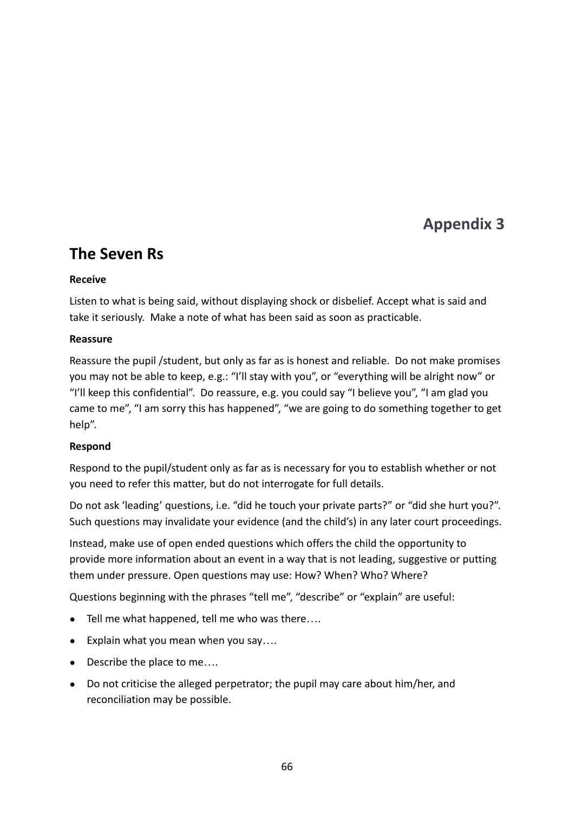# **Appendix 3**

# <span id="page-68-1"></span><span id="page-68-0"></span>**The Seven Rs**

### **Receive**

Listen to what is being said, without displaying shock or disbelief. Accept what is said and take it seriously. Make a note of what has been said as soon as practicable.

### **Reassure**

Reassure the pupil /student, but only as far as is honest and reliable. Do not make promises you may not be able to keep, e.g.: "I'll stay with you", or "everything will be alright now" or "I'll keep this confidential". Do reassure, e.g. you could say "I believe you", "I am glad you came to me", "I am sorry this has happened", "we are going to do something together to get help".

### **Respond**

Respond to the pupil/student only as far as is necessary for you to establish whether or not you need to refer this matter, but do not interrogate for full details.

Do not ask 'leading' questions, i.e. "did he touch your private parts?" or "did she hurt you?". Such questions may invalidate your evidence (and the child's) in any later court proceedings.

Instead, make use of open ended questions which offers the child the opportunity to provide more information about an event in a way that is not leading, suggestive or putting them under pressure. Open questions may use: How? When? Who? Where?

Questions beginning with the phrases "tell me", "describe" or "explain" are useful:

- Tell me what happened, tell me who was there....
- Explain what you mean when you say….
- Describe the place to me....
- Do not criticise the alleged perpetrator; the pupil may care about him/her, and reconciliation may be possible.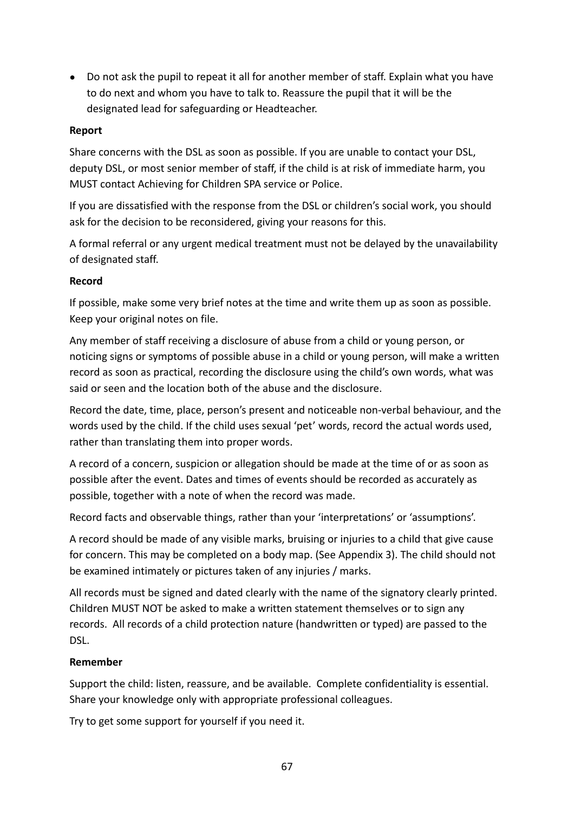● Do not ask the pupil to repeat it all for another member of staff. Explain what you have to do next and whom you have to talk to. Reassure the pupil that it will be the designated lead for safeguarding or Headteacher.

### **Report**

Share concerns with the DSL as soon as possible. If you are unable to contact your DSL, deputy DSL, or most senior member of staff, if the child is at risk of immediate harm, you MUST contact Achieving for Children SPA service or Police.

If you are dissatisfied with the response from the DSL or children's social work, you should ask for the decision to be reconsidered, giving your reasons for this.

A formal referral or any urgent medical treatment must not be delayed by the unavailability of designated staff.

### **Record**

If possible, make some very brief notes at the time and write them up as soon as possible. Keep your original notes on file.

Any member of staff receiving a disclosure of abuse from a child or young person, or noticing signs or symptoms of possible abuse in a child or young person, will make a written record as soon as practical, recording the disclosure using the child's own words, what was said or seen and the location both of the abuse and the disclosure.

Record the date, time, place, person's present and noticeable non-verbal behaviour, and the words used by the child. If the child uses sexual 'pet' words, record the actual words used, rather than translating them into proper words.

A record of a concern, suspicion or allegation should be made at the time of or as soon as possible after the event. Dates and times of events should be recorded as accurately as possible, together with a note of when the record was made.

Record facts and observable things, rather than your 'interpretations' or 'assumptions'.

A record should be made of any visible marks, bruising or injuries to a child that give cause for concern. This may be completed on a body map. (See Appendix 3). The child should not be examined intimately or pictures taken of any injuries / marks.

All records must be signed and dated clearly with the name of the signatory clearly printed. Children MUST NOT be asked to make a written statement themselves or to sign any records. All records of a child protection nature (handwritten or typed) are passed to the DSL.

### **Remember**

Support the child: listen, reassure, and be available. Complete confidentiality is essential. Share your knowledge only with appropriate professional colleagues.

Try to get some support for yourself if you need it.